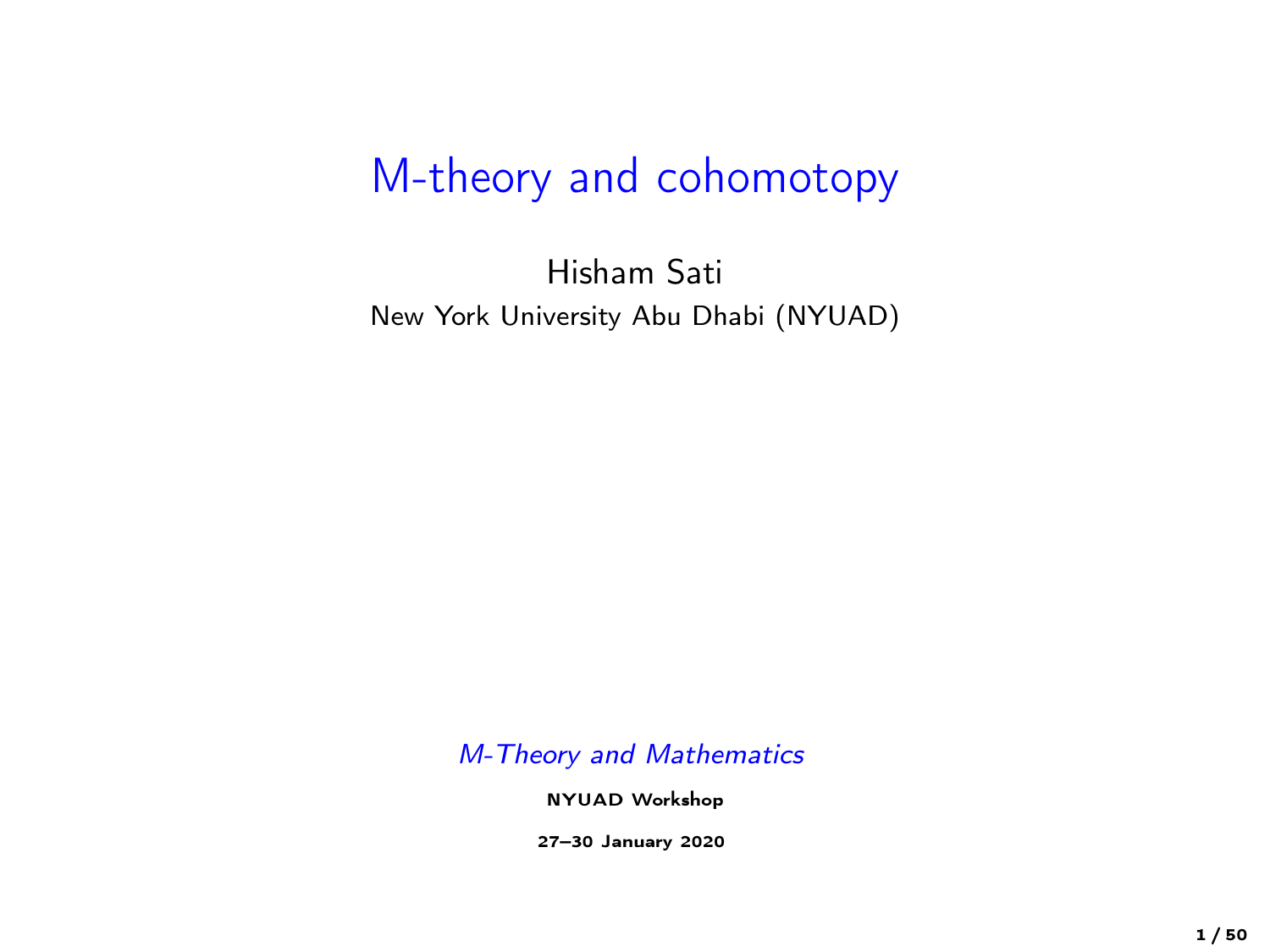## M-theory and cohomotopy

Hisham Sati New York University Abu Dhabi (NYUAD)

M-Theory and Mathematics

NYUAD Workshop

27–30 January 2020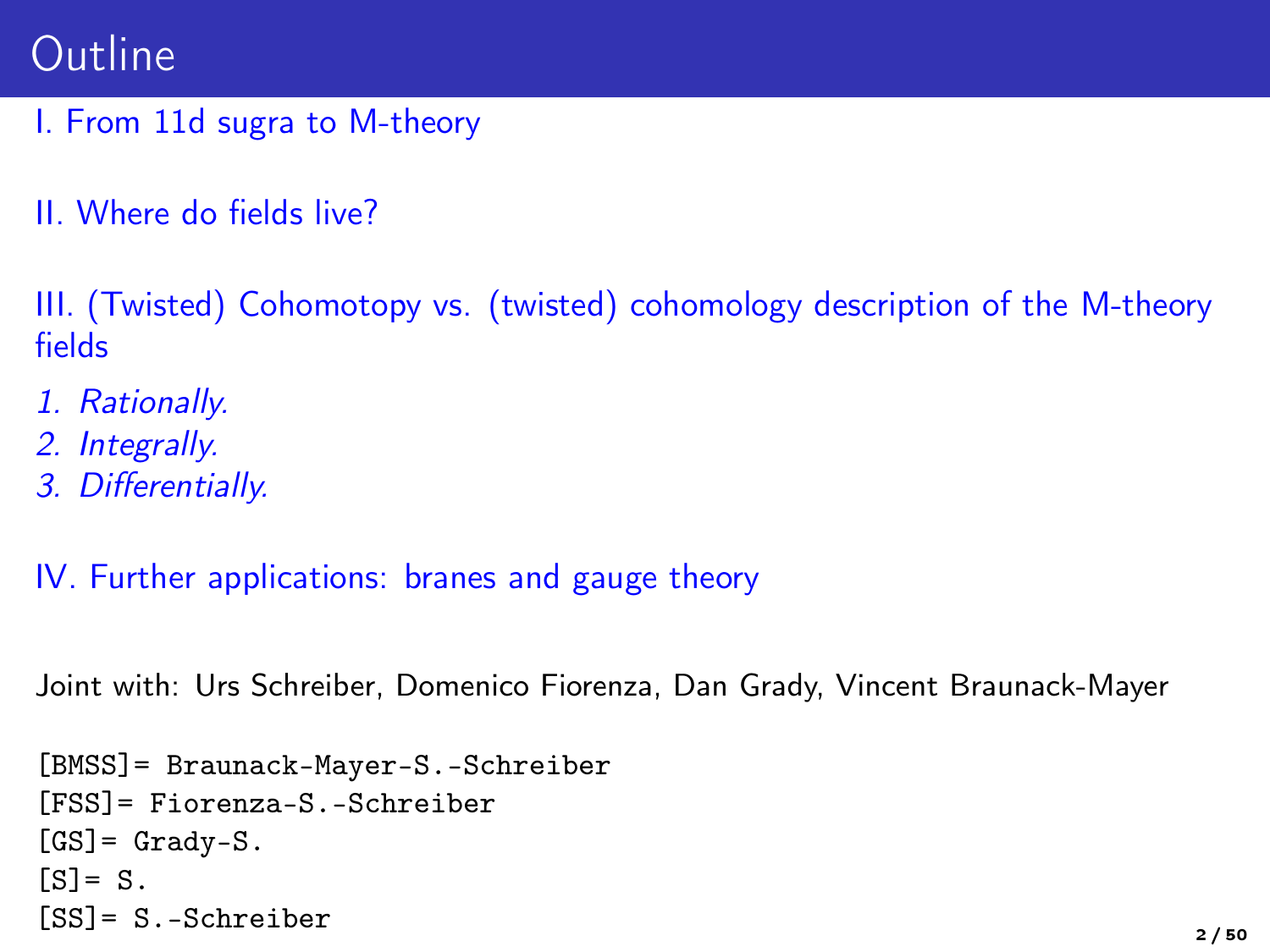## Outline

- I. From 11d sugra to M-theory
- II. Where do fields live?

III. (Twisted) Cohomotopy vs. (twisted) cohomology description of the M-theory fields

- 1. Rationally.
- 2. Integrally.
- 3. Differentially.

IV. Further applications: branes and gauge theory

Joint with: Urs Schreiber, Domenico Fiorenza, Dan Grady, Vincent Braunack-Mayer

```
[BMSS]= Braunack-Mayer-S.-Schreiber
[FSS]= Fiorenza-S.-Schreiber
[GS] = Grady-S.[s] = S.
[SS] = S.-Schreiber 2/50
```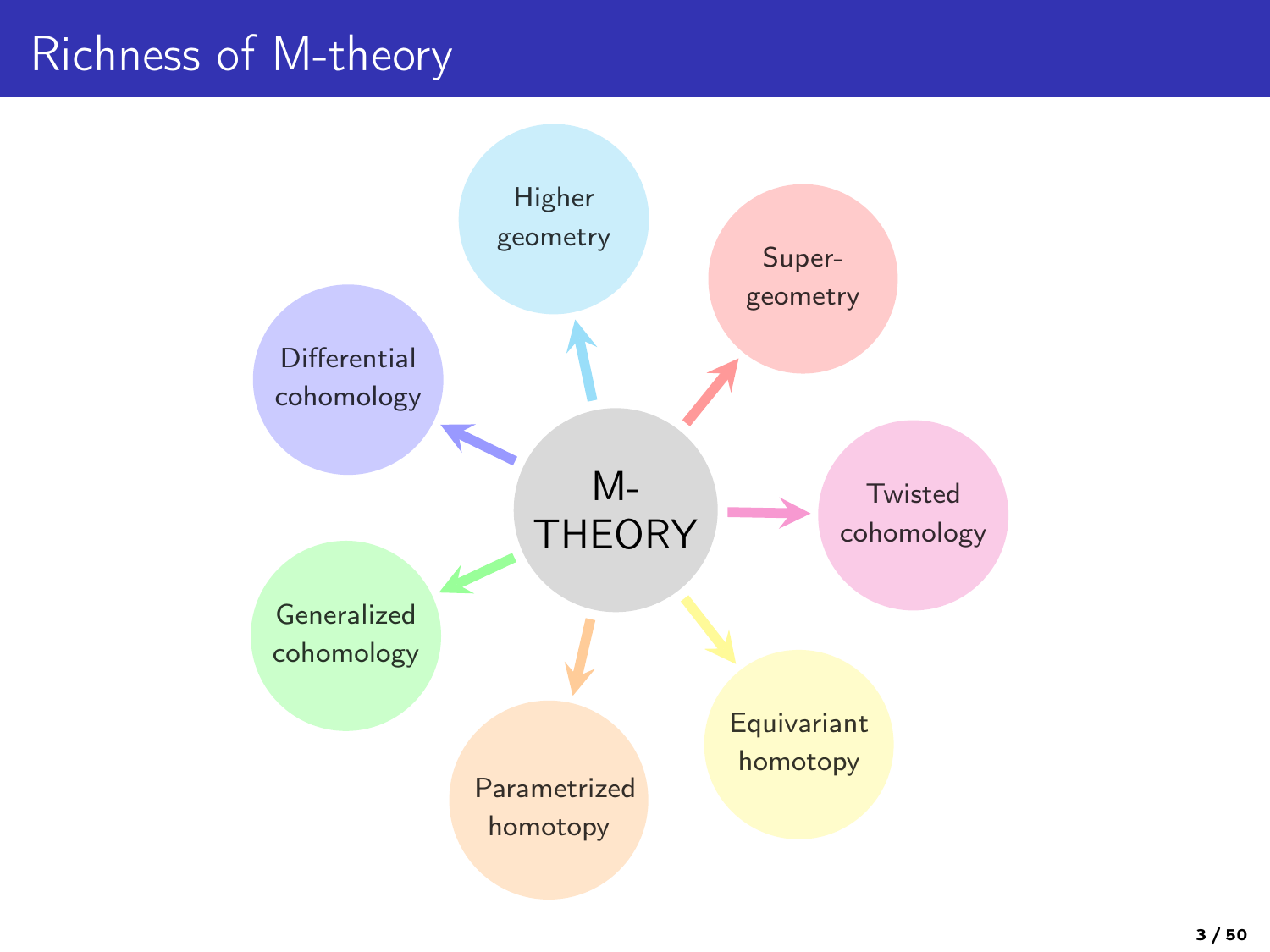# Richness of M-theory

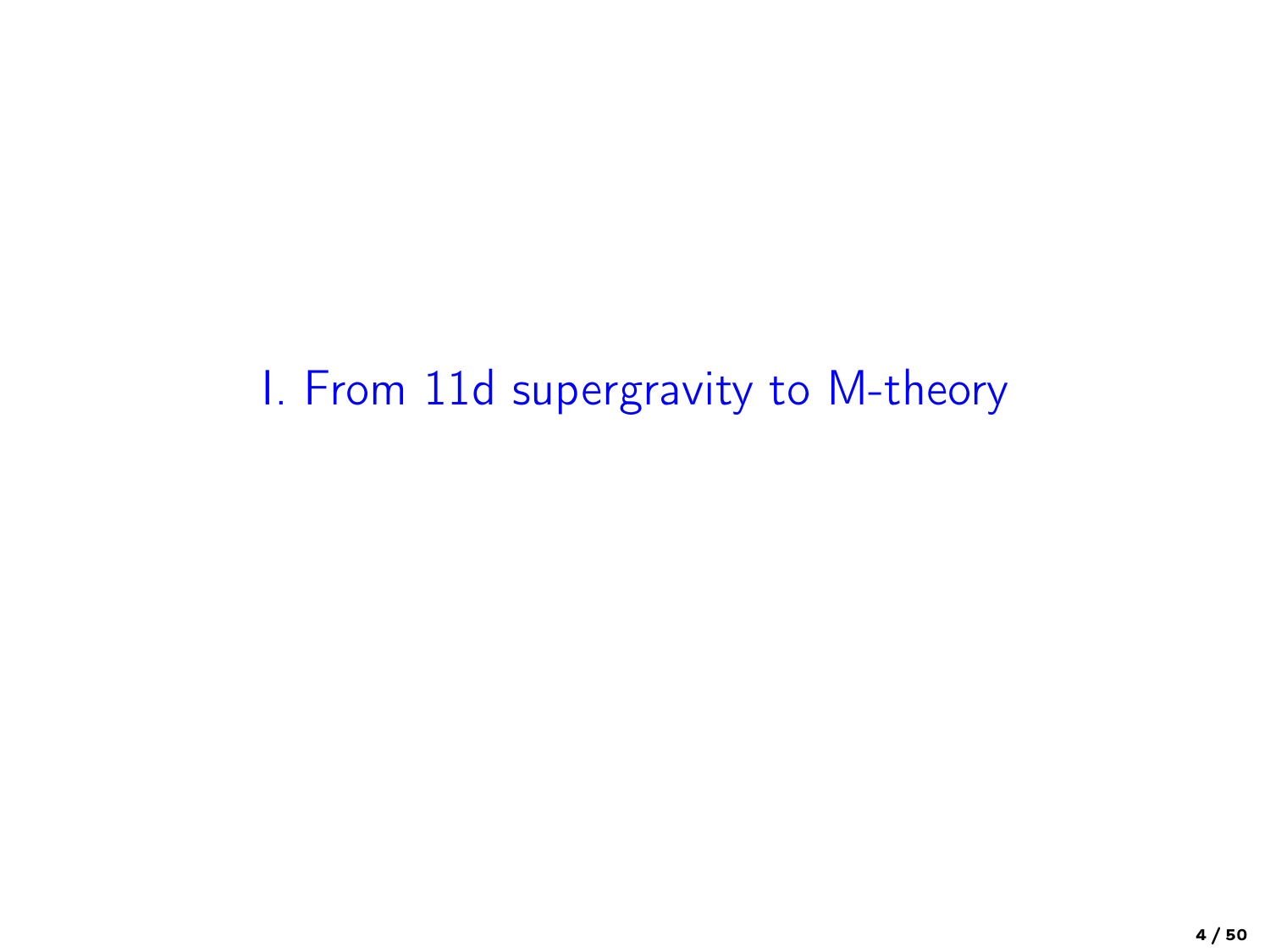I. From 11d supergravity to M-theory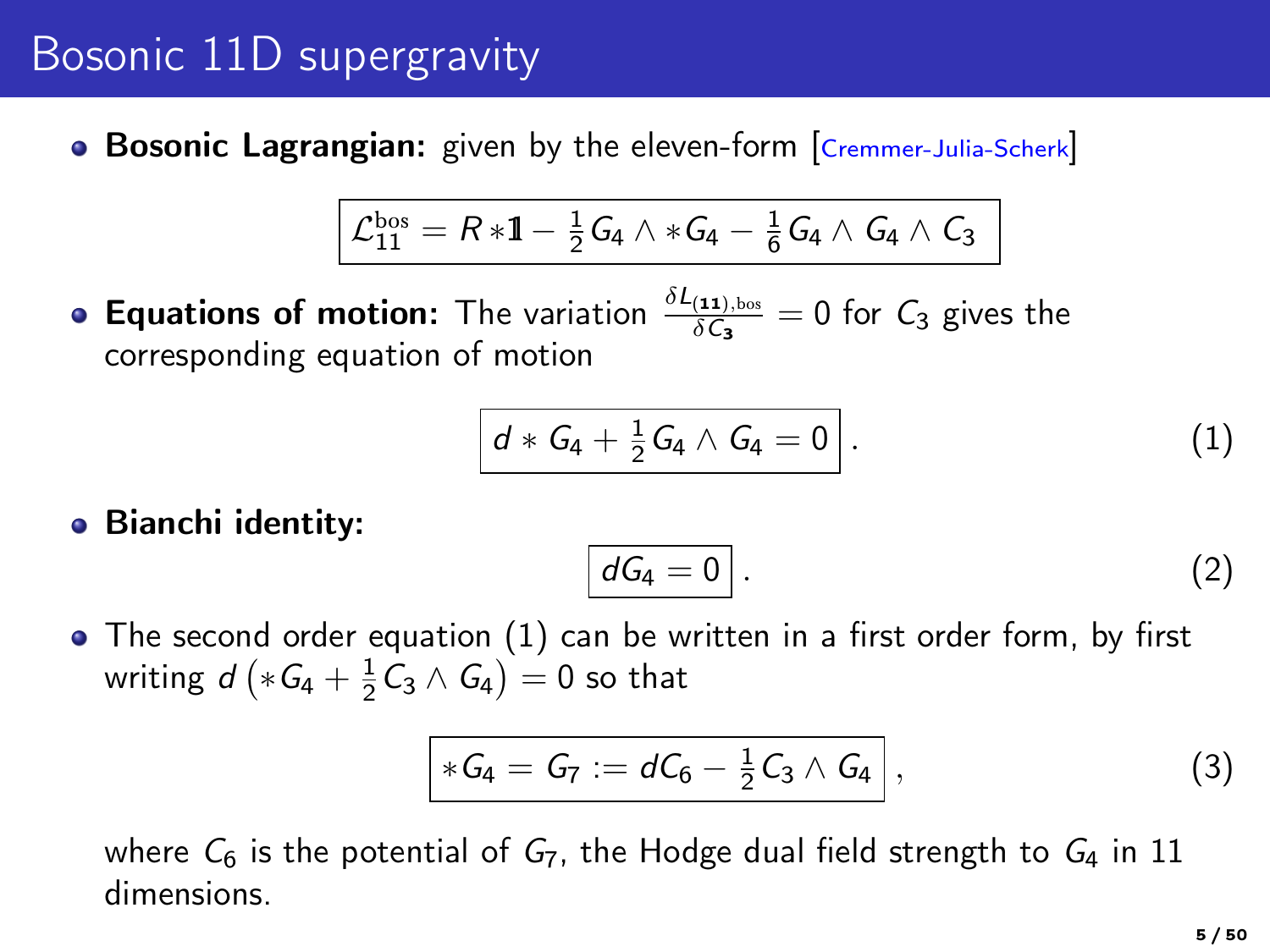### Bosonic 11D supergravity

• Bosonic Lagrangian: given by the eleven-form Cremmer-Julia-Scherk

$$
\boxed{\mathcal{L}^{\text{bos}}_{11} = R * 1 - \tfrac{1}{2} G_4 \wedge * G_4 - \tfrac{1}{6} G_4 \wedge G_4 \wedge C_3}
$$

**Equations of motion:** The variation  $\frac{\delta L_{(11),bos}}{\delta C_3} = 0$  for  $C_3$  gives the corresponding equation of motion

$$
\boxed{d * G_4 + \frac{1}{2}G_4 \wedge G_4 = 0} \, . \tag{1}
$$

Bianchi identity:

<span id="page-4-0"></span>
$$
dG_4=0.
$$
 (2)

• The second order equation [\(1\)](#page-4-0) can be written in a first order form, by first writing  $d\left( *G_{4}+\frac{1}{2}C_{3}\wedge G_{4}\right) =0$  so that

$$
*G_4 = G_7 := dC_6 - \frac{1}{2}C_3 \wedge G_4 , \qquad (3)
$$

where  $C_6$  is the potential of  $G_7$ , the Hodge dual field strength to  $G_4$  in 11 dimensions.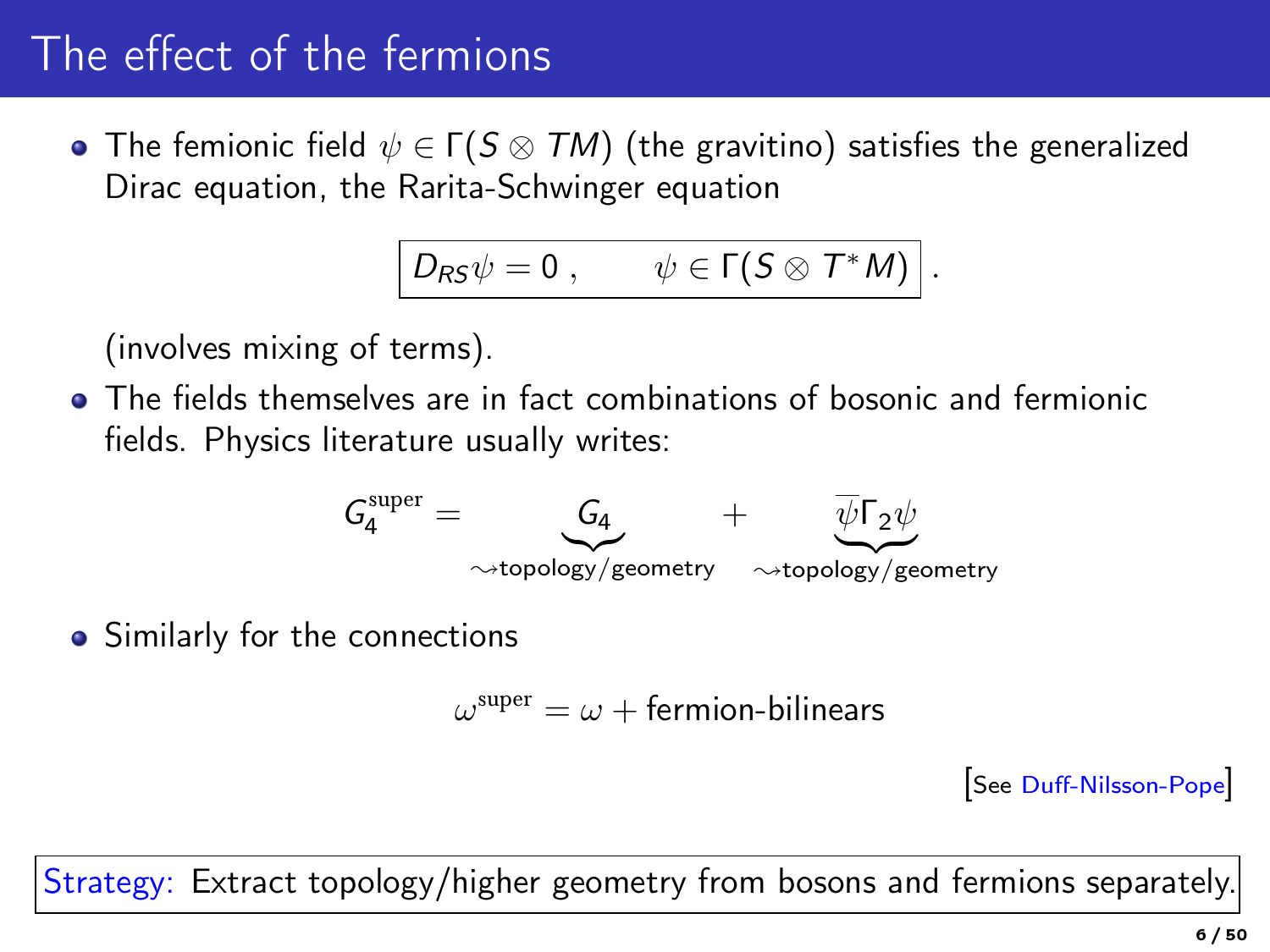# The effect of the fermions

• The femionic field  $\psi \in \Gamma(S \otimes TM)$  (the gravitino) satisfies the generalized Dirac equation, the Rarita-Schwinger equation

$$
D_{RS}\psi=0\;,\qquad\psi\in\Gamma(S\otimes T^*M)\bigg|\,.
$$

(involves mixing of terms).

The fields themselves are in fact combinations of bosonic and fermionic fields. Physics literature usually writes:



• Similarly for the connections

 $\omega^\mathrm{super} = \omega + \mathsf{fermion-bilinears}$ 

[See Duff-Nilsson-Pope]

Strategy: Extract topology/higher geometry from bosons and fermions separately.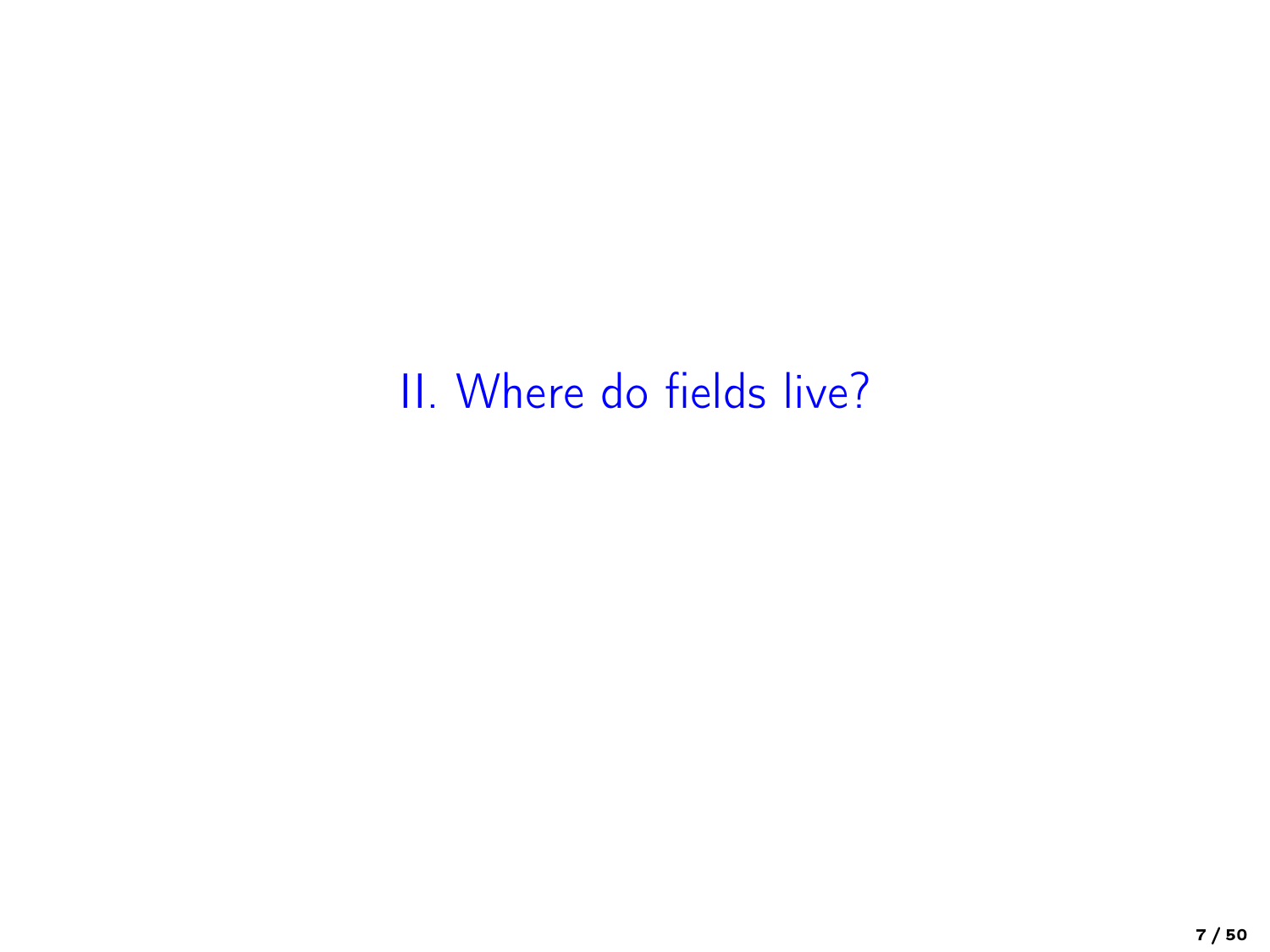# II. Where do fields live?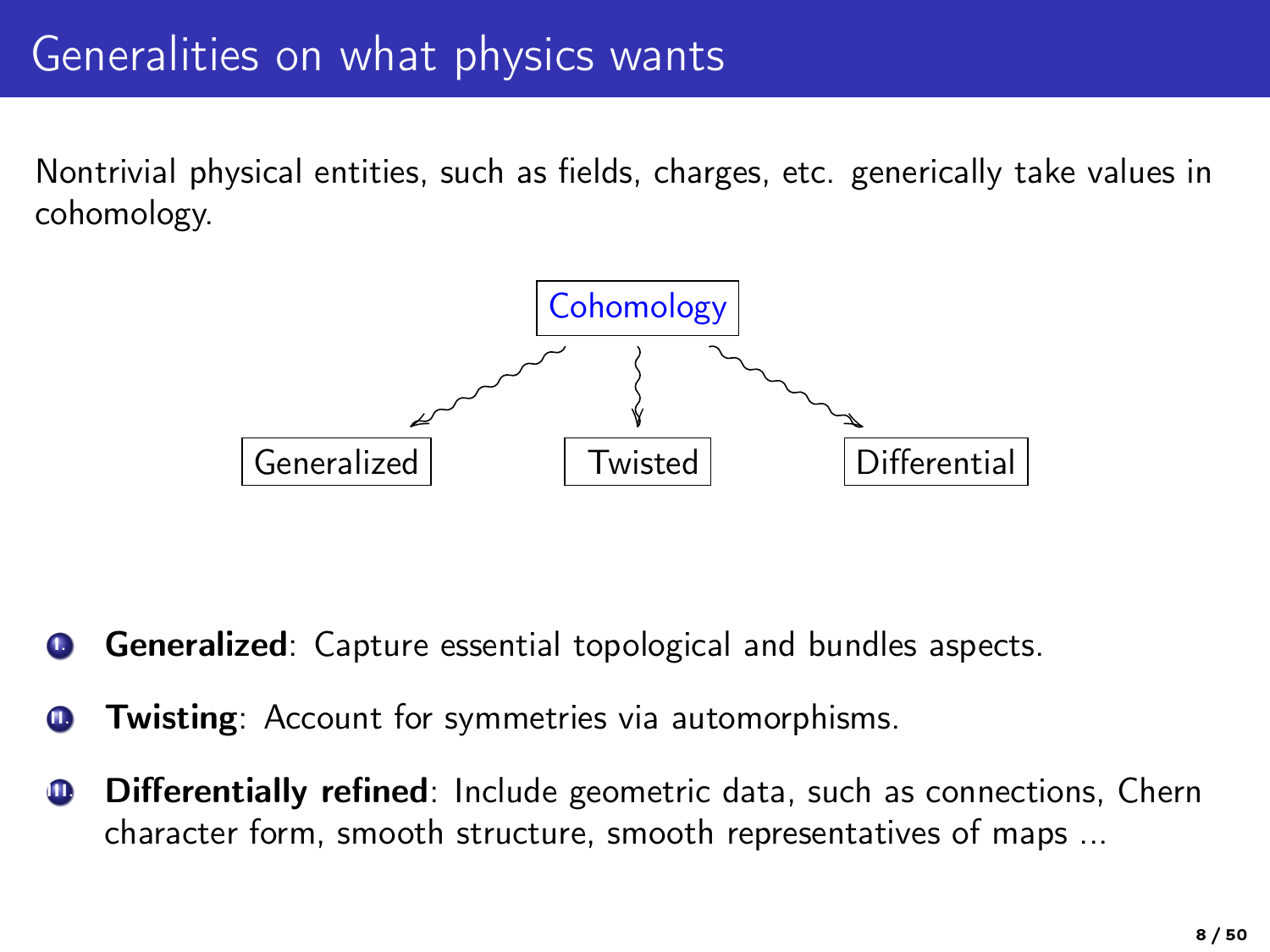## Generalities on what physics wants

Nontrivial physical entities, such as fields, charges, etc. generically take values in cohomology.



Generalized: Capture essential topological and bundles aspects.

- Twisting: Account for symmetries via automorphisms.
- **Differentially refined**: Include geometric data, such as connections, Chern character form, smooth structure, smooth representatives of maps ...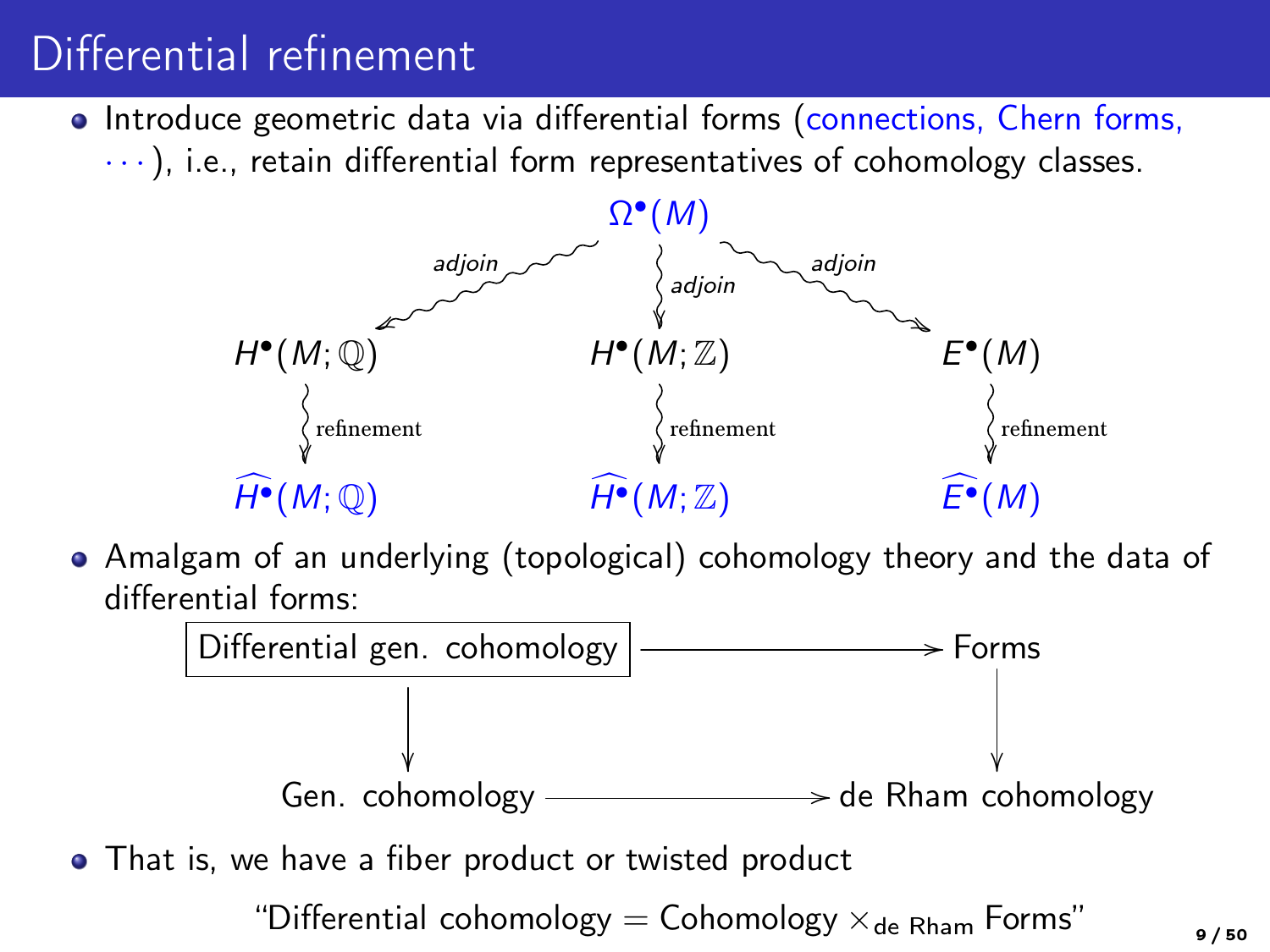# Differential refinement

• Introduce geometric data via differential forms (connections, Chern forms,  $\cdots$ ), i.e., retain differential form representatives of cohomology classes.



Amalgam of an underlying (topological) cohomology theory and the data of differential forms:



• That is, we have a fiber product or twisted product

"Differential cohomology = Cohomology  $\times_{\mathsf{de Rham}}$  Forms"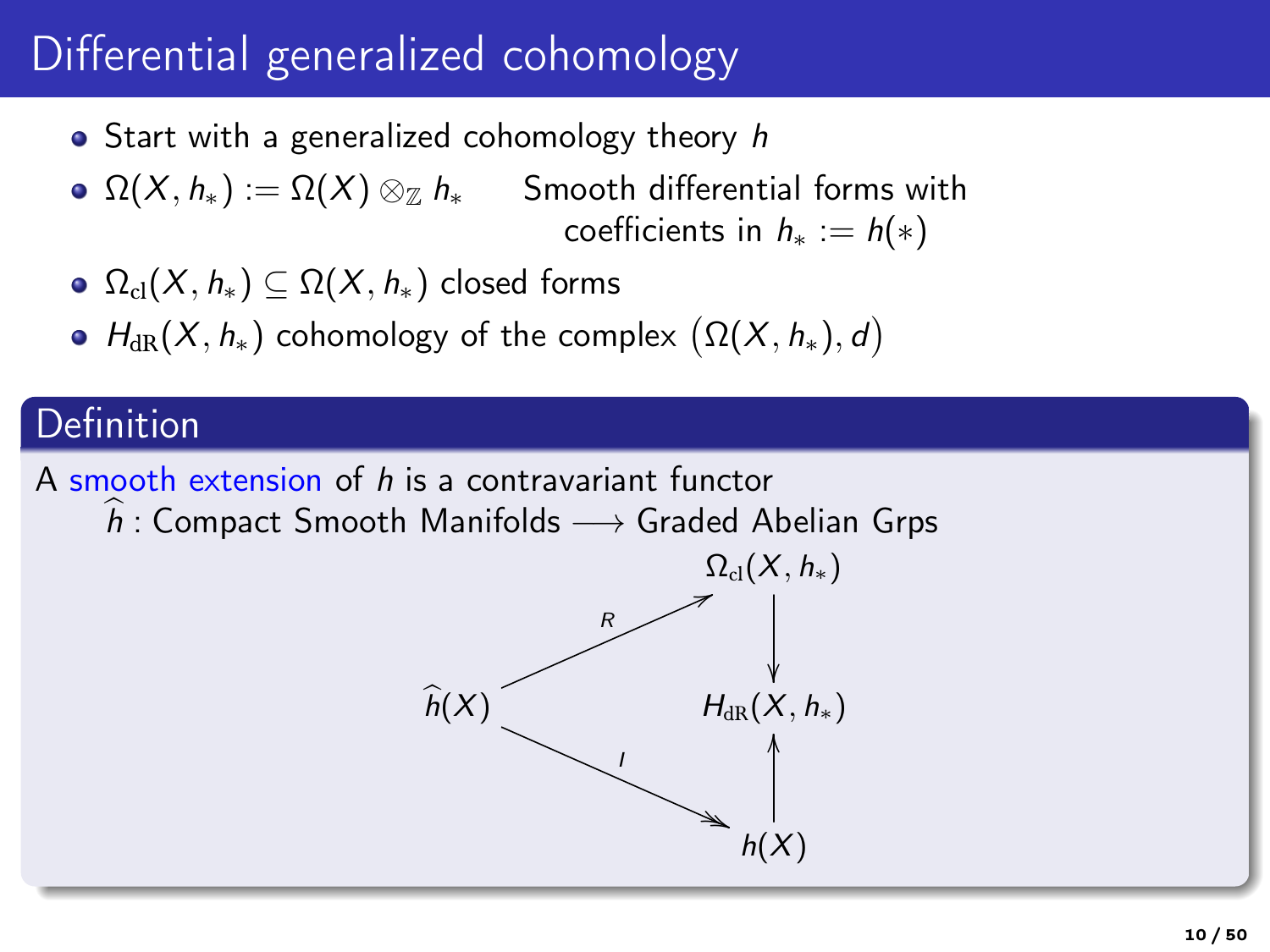# Differential generalized cohomology

- $\bullet$  Start with a generalized cohomology theory h
- $\Omega(X, h_*) := \Omega(X) \otimes_{\mathbb{Z}} h_*$  Smooth differential forms with coefficients in  $h_* := h(*)$
- $\Omega_{\text{cl}}(X, h_*) \subseteq \Omega(X, h_*)$  closed forms
- $H_{\text{dR}}(X, h_*)$  cohomology of the complex  $\big(\Omega(X, h_*), d\big)$

### Definition

A smooth extension of h is a contravariant functor

 $\widehat{h}$ : Compact Smooth Manifolds  $\longrightarrow$  Graded Abelian Grps

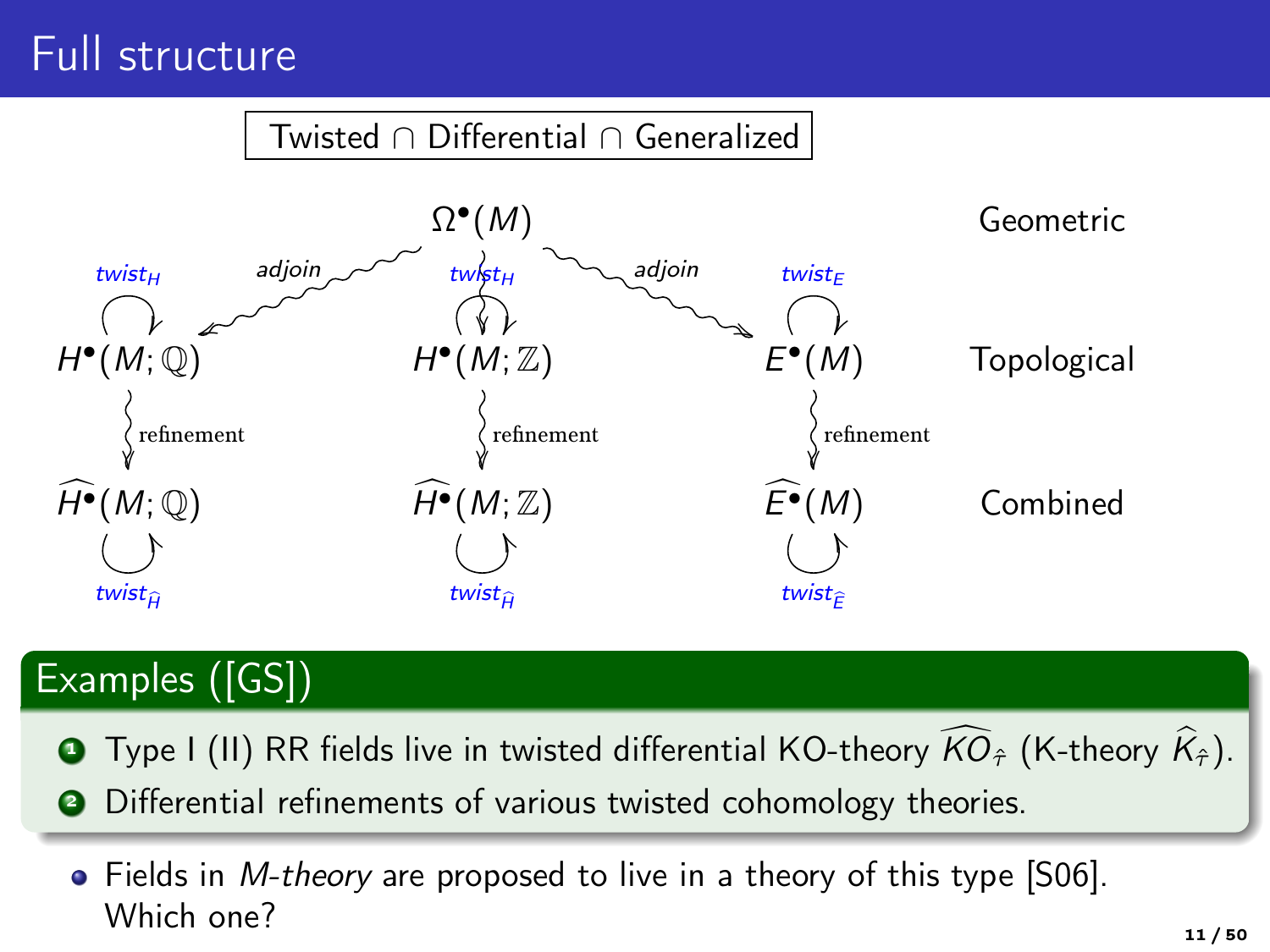## Full structure

#### Twisted ∩ Differential ∩ Generalized



### Examples ([GS])

- **1** Type I (II) RR fields live in twisted differential KO-theory  $\widehat{KO}_{\hat{\tau}}$  (K-theory  $\widehat{K}_{\hat{\tau}}$ ).
- **2** Differential refinements of various twisted cohomology theories.
	- Fields in *M-theory* are proposed to live in a theory of this type [S06]. Which one?  $11 / 50$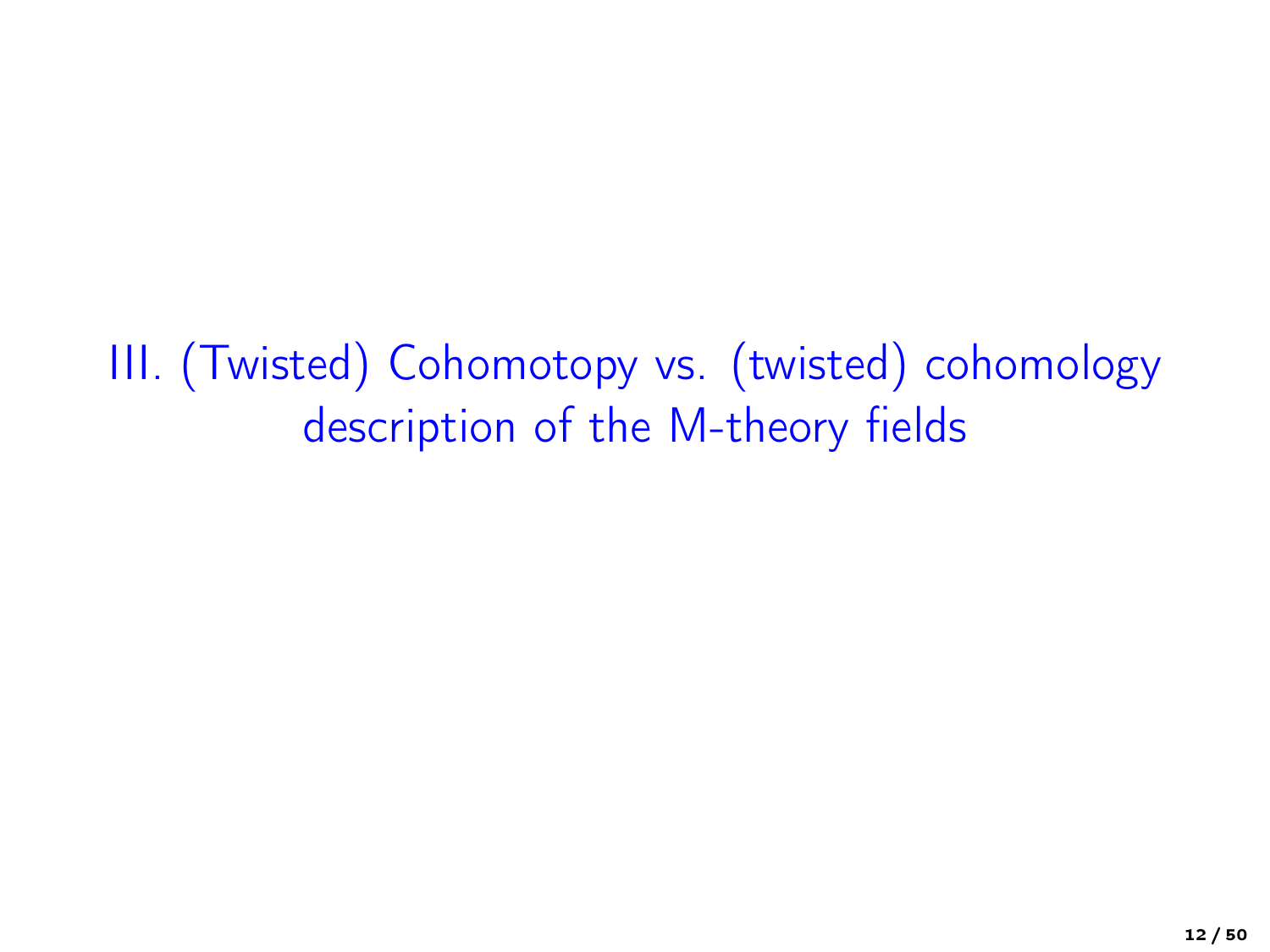III. (Twisted) Cohomotopy vs. (twisted) cohomology description of the M-theory fields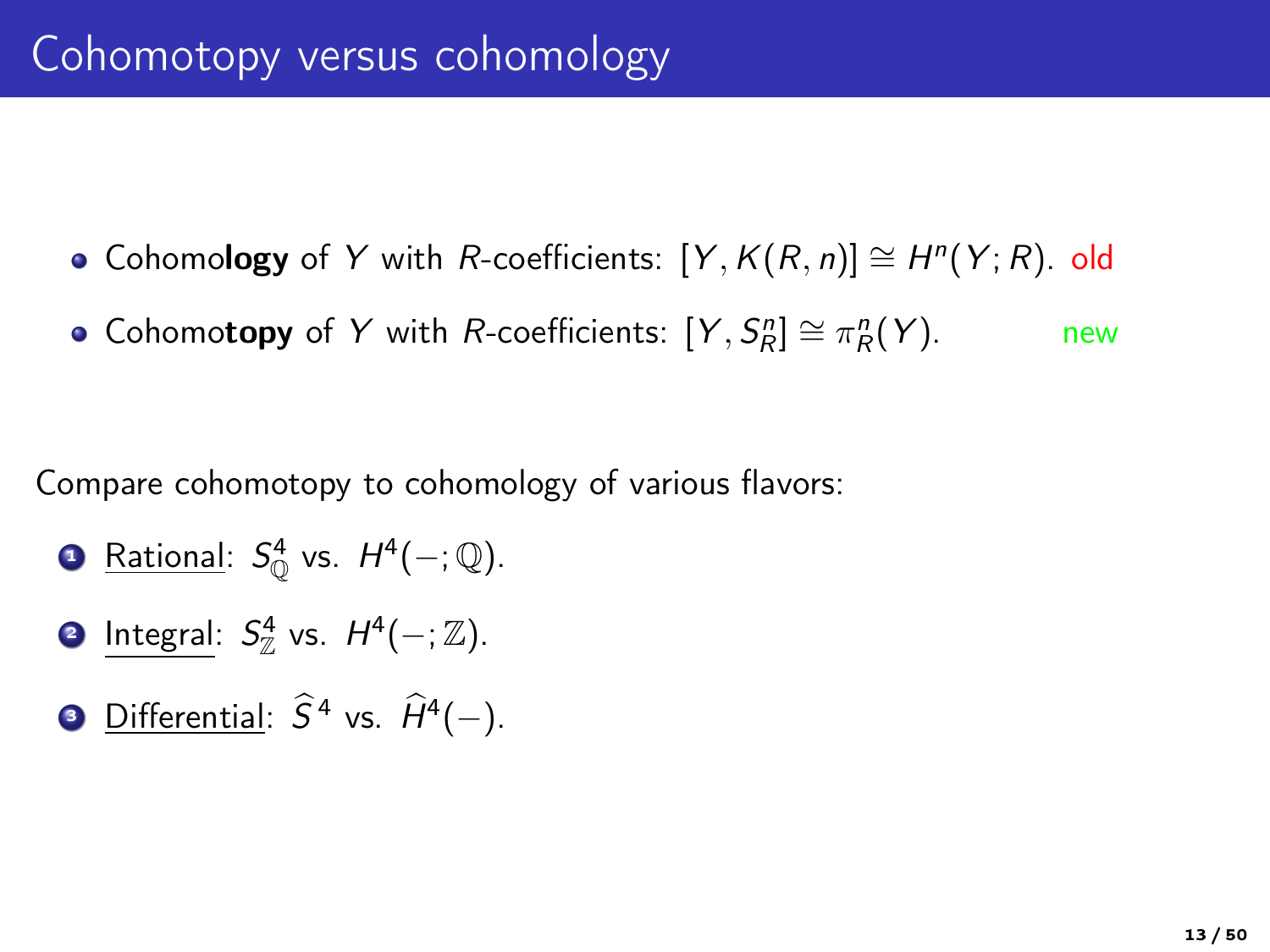- Cohomology of Y with R-coefficients:  $[Y, K(R, n)] \cong H<sup>n</sup>(Y; R)$ . old
- Cohomotopy of Y with R-coefficients:  $[Y, S_R^n] \cong \pi_R^n(Y)$ . new

Compare cohomotopy to cohomology of various flavors:

- **□** <u>Rational</u>:  $S^4_{\mathbb{Q}}$  vs.  $H^4(-; \mathbb{Q})$ .
- **2** Integral:  $S_{\mathbb{Z}}^4$  vs.  $H^4(-;\mathbb{Z})$ .
- **3** Differential:  $\hat{S}^4$  vs.  $\hat{H}^4(-)$ .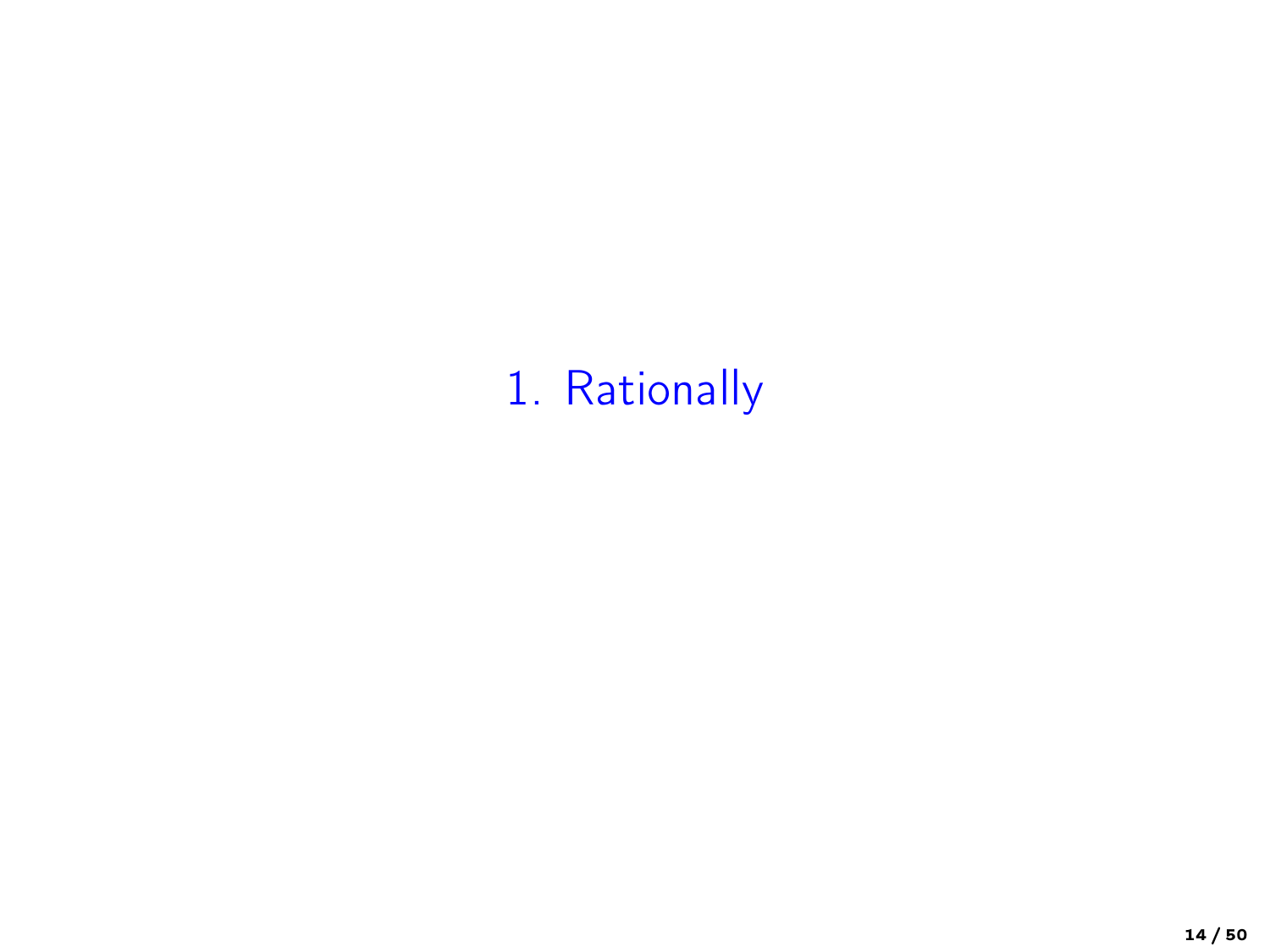# 1. Rationally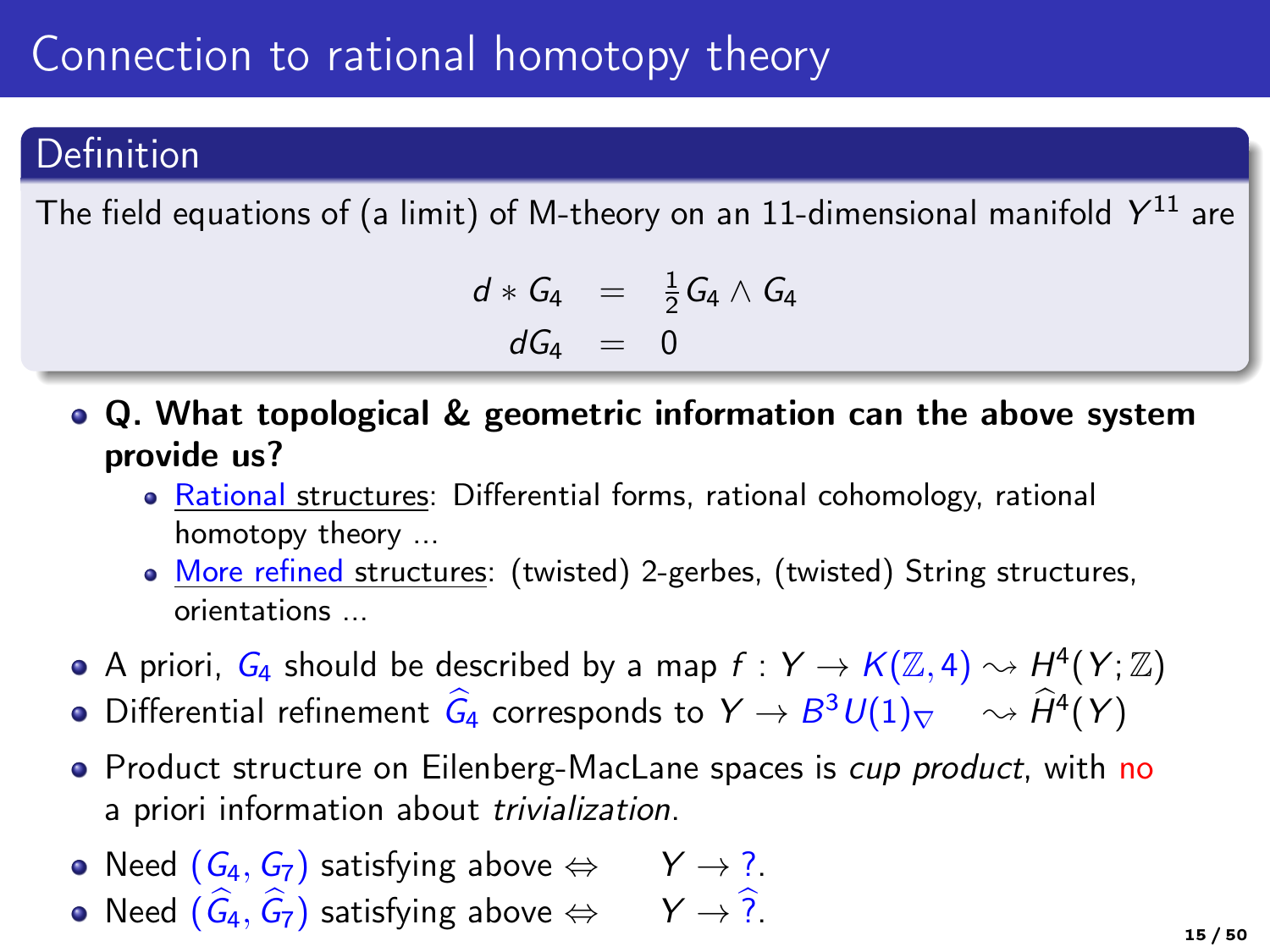# Connection to rational homotopy theory

### Definition

The field equations of (a limit) of M-theory on an 11-dimensional manifold  $\,Y^{11}$  are

$$
d * G_4 = \frac{1}{2} G_4 \wedge G_4
$$
  

$$
dG_4 = 0
$$

- Q. What topological & geometric information can the above system provide us?
	- Rational structures: Differential forms, rational cohomology, rational homotopy theory ...
	- More refined structures: (twisted) 2-gerbes, (twisted) String structures, orientations ...
- A priori,  $G_4$  should be described by a map  $f: Y \to K(\mathbb{Z}, 4) \rightsquigarrow H^4(Y; \mathbb{Z})$
- Differential refinement  $\hat{G}_4$  corresponds to  $Y \to B^3 U(1)_{\nabla} \quad \rightsquigarrow \hat{H}^4(Y)$
- Product structure on Eilenberg-MacLane spaces is *cup product*, with no a priori information about trivialization.
- Need  $(G_4, G_7)$  satisfying above  $\Leftrightarrow Y \rightarrow ?$ .
- Need  $(\widehat{G}_4, \widehat{G}_7)$  satisfying above  $\Leftrightarrow$  Y  $\rightarrow \widehat{?}$ .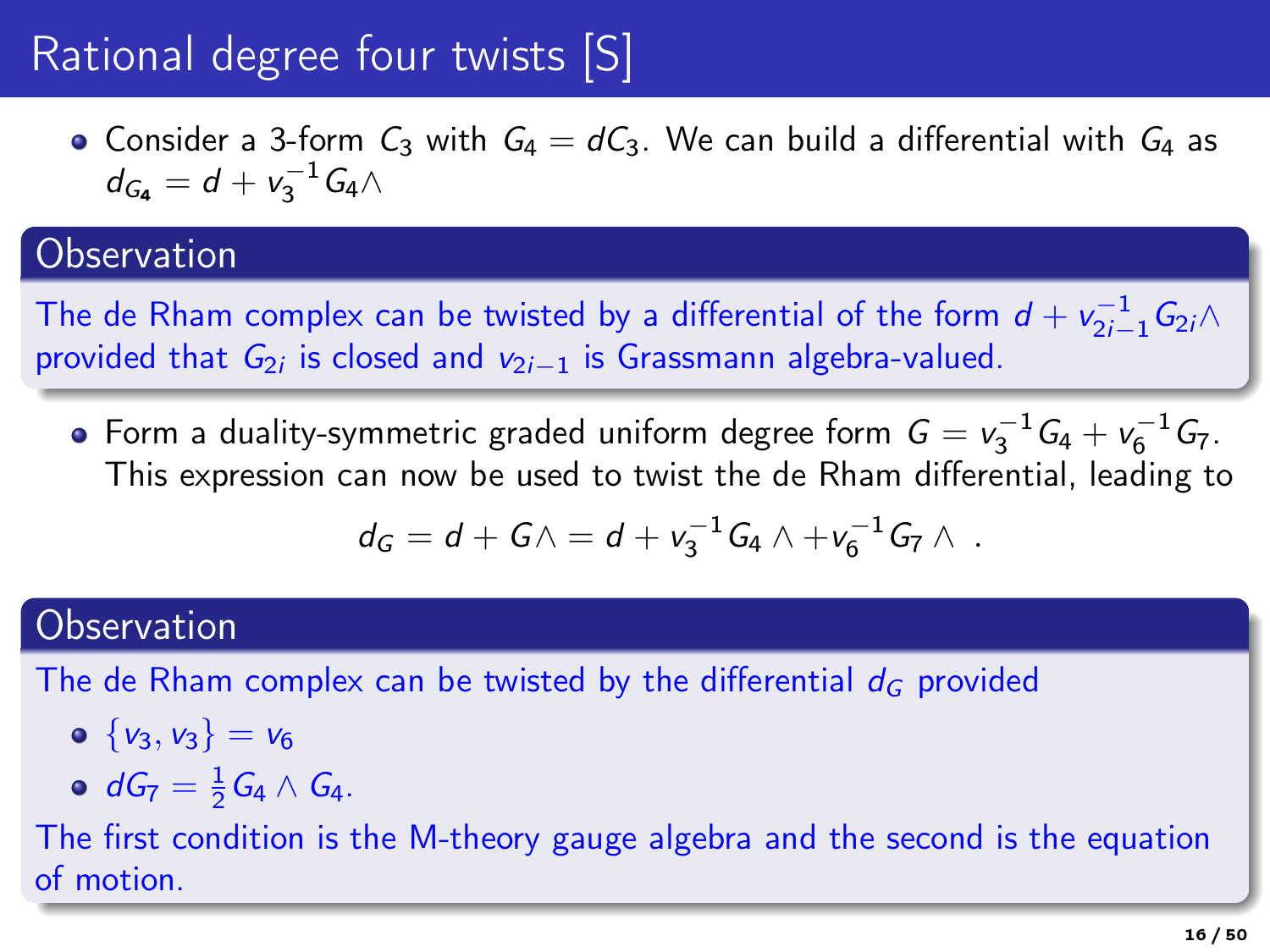# Rational degree four twists [S]

• Consider a 3-form  $C_3$  with  $G_4 = dC_3$ . We can build a differential with  $G_4$  as  $d_{G_4} = d + v_3^{-1} G_4 \wedge$ 

### **Observation**

The de Rham complex can be twisted by a differential of the form  $d + v_{2i-1}^{-1} G_{2i} \wedge$ provided that  $G_{2i}$  is closed and  $v_{2i-1}$  is Grassmann algebra-valued.

Form a duality-symmetric graded uniform degree form  $G = v_3^{-1}G_4 + v_6^{-1}G_7$ . This expression can now be used to twist the de Rham differential, leading to

$$
d_G = d + G \wedge = d + v_3^{-1} G_4 \wedge + v_6^{-1} G_7 \wedge \; .
$$

### **Observation**

The de Rham complex can be twisted by the differential  $d_G$  provided

- $\circ \{v_3, v_3\} = v_6$
- $dG_7 = \frac{1}{2} G_4 \wedge G_4.$

The first condition is the M-theory gauge algebra and the second is the equation of motion.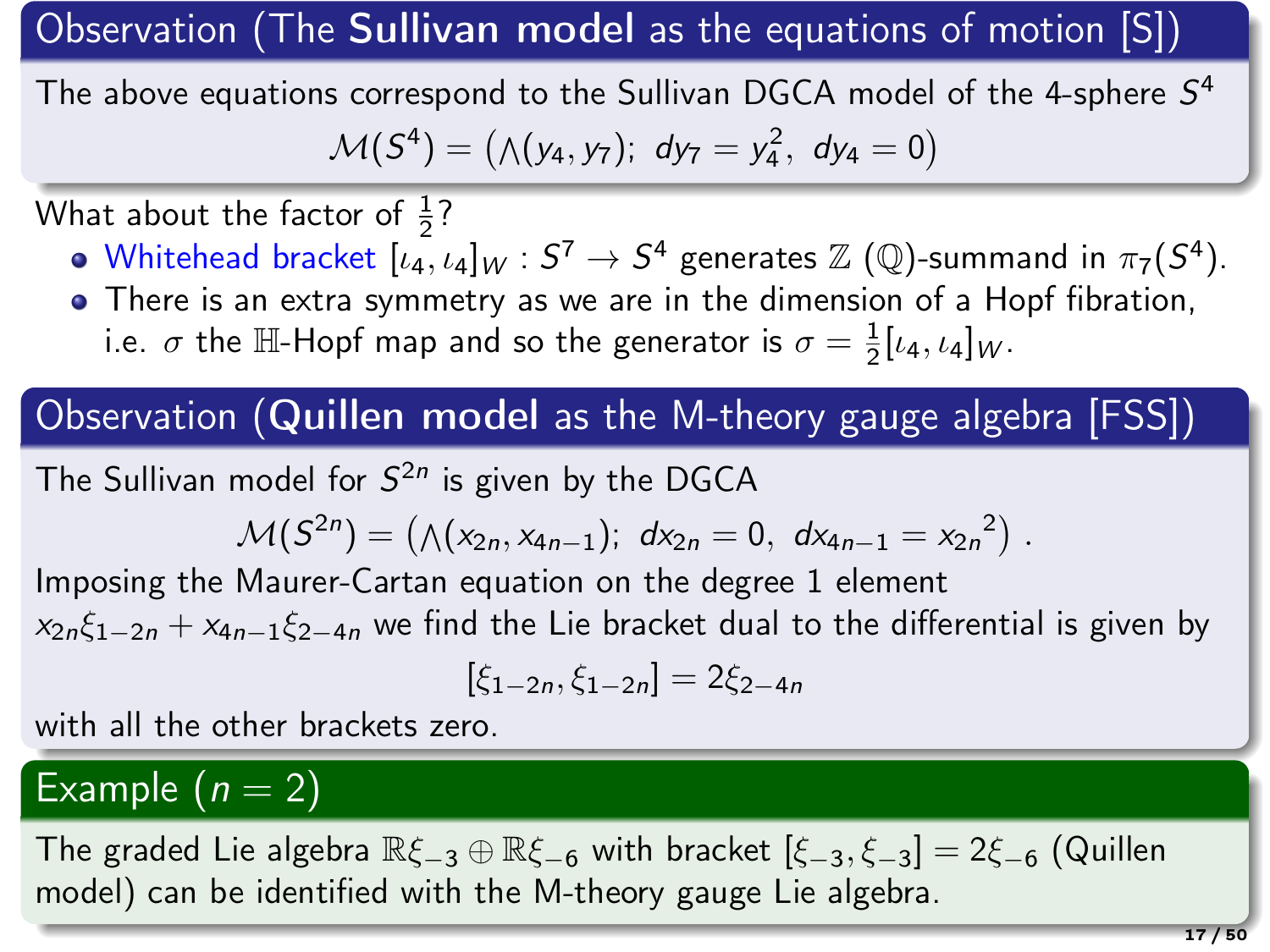Observation (The Sullivan model as the equations of motion [S])

The above equations correspond to the Sullivan DGCA model of the 4-sphere  $S^4$  $\mathcal{M}(S^4) = (\wedge(y_4, y_7); dy_7 = y_4^2, dy_4 = 0)$ 

What about the factor of  $\frac{1}{2}$ ?

- Whitehead bracket  $[\iota_4,\iota_4]_W:S^7\to S^4$  generates  $\mathbb Z$  (Q)-summand in  $\pi_7(S^4).$
- There is an extra symmetry as we are in the dimension of a Hopf fibration, i.e.  $\sigma$  the  $\mathbb{H}\text{-}\mathsf{Hopf}$  map and so the generator is  $\sigma = \frac{1}{2}[\iota_4, \iota_4]_W$ .

Observation (Quillen model as the M-theory gauge algebra [FSS])

The Sullivan model for  $S^{2n}$  is given by the DGCA

$$
\mathcal{M}(S^{2n}) = (\wedge (x_{2n}, x_{4n-1}); dx_{2n} = 0, dx_{4n-1} = x_{2n}^{2}).
$$

Imposing the Maurer-Cartan equation on the degree 1 element  $x_{2n} \xi_{1-2n} + x_{4n-1} \xi_{2-4n}$  we find the Lie bracket dual to the differential is given by

$$
[\xi_{1-2n},\xi_{1-2n}]=2\xi_{2-4n}
$$

with all the other brackets zero.

### Example  $(n = 2)$

The graded Lie algebra  $\mathbb{R}\xi_{-3} \oplus \mathbb{R}\xi_{-6}$  with bracket  $[\xi_{-3}, \xi_{-3}] = 2\xi_{-6}$  (Quillen model) can be identified with the M-theory gauge Lie algebra.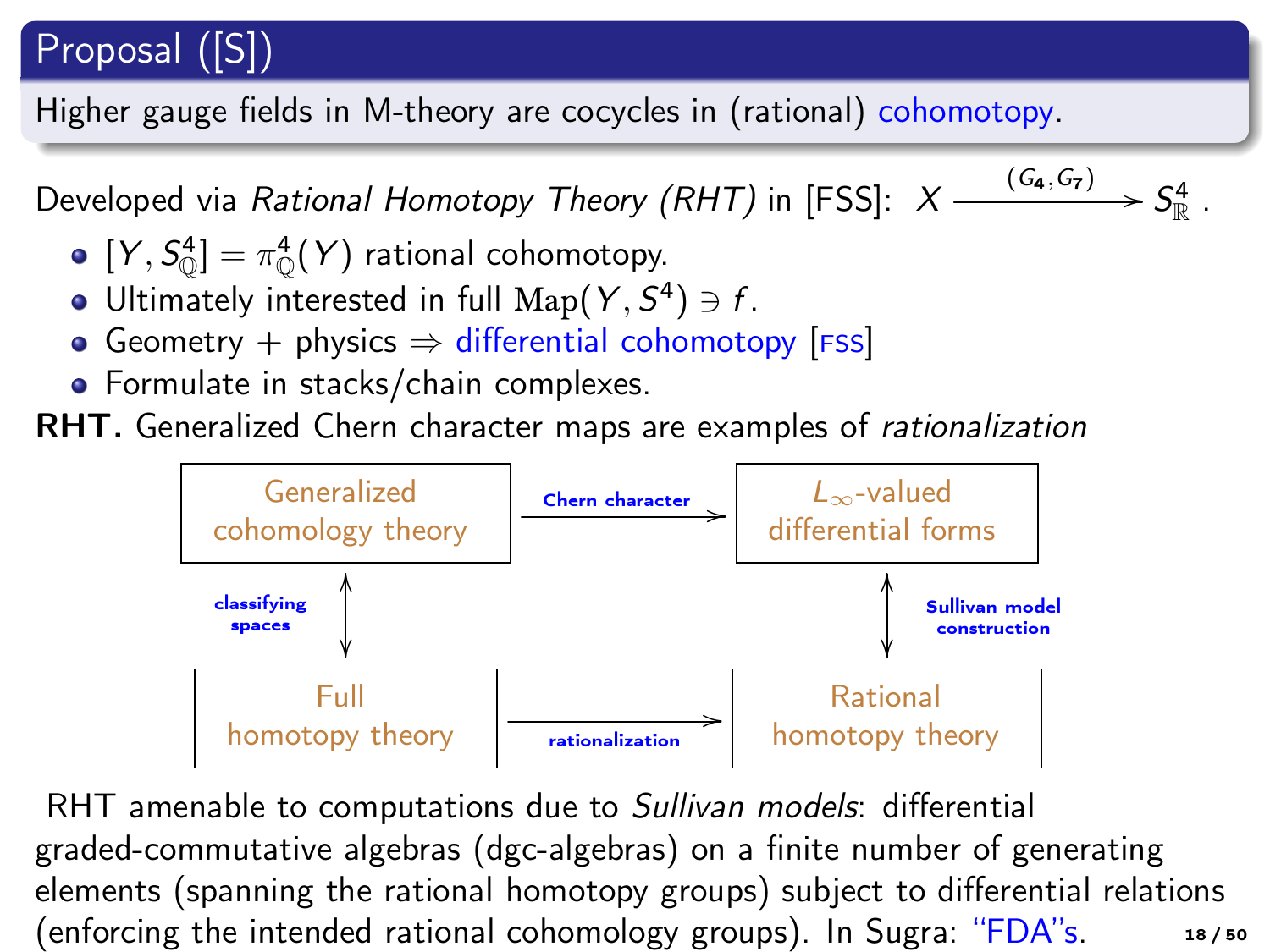### Proposal ([S])

Higher gauge fields in M-theory are cocycles in (rational) cohomotopy.

Developed via Rational Homotopy Theory (RHT) in [FSS]:  $X$  - $\frac{(G_4, G_7)}{G_7}$  >  $S^4_{\mathbb{R}}$ .

- $[Y, S^4_{\mathbb{Q}}] = \pi^4_{\mathbb{Q}}(Y)$  rational cohomotopy.
- Ultimately interested in full  $\mathrm{Map}(Y, S^4) \ni f$ .
- Geometry + physics  $\Rightarrow$  differential cohomotopy [FSS]
- **•** Formulate in stacks/chain complexes.

RHT. Generalized Chern character maps are examples of rationalization



RHT amenable to computations due to Sullivan models: differential graded-commutative algebras (dgc-algebras) on a finite number of generating elements (spanning the rational homotopy groups) subject to differential relations (enforcing the intended rational cohomology groups). In Sugra: "FDA"s. 18/50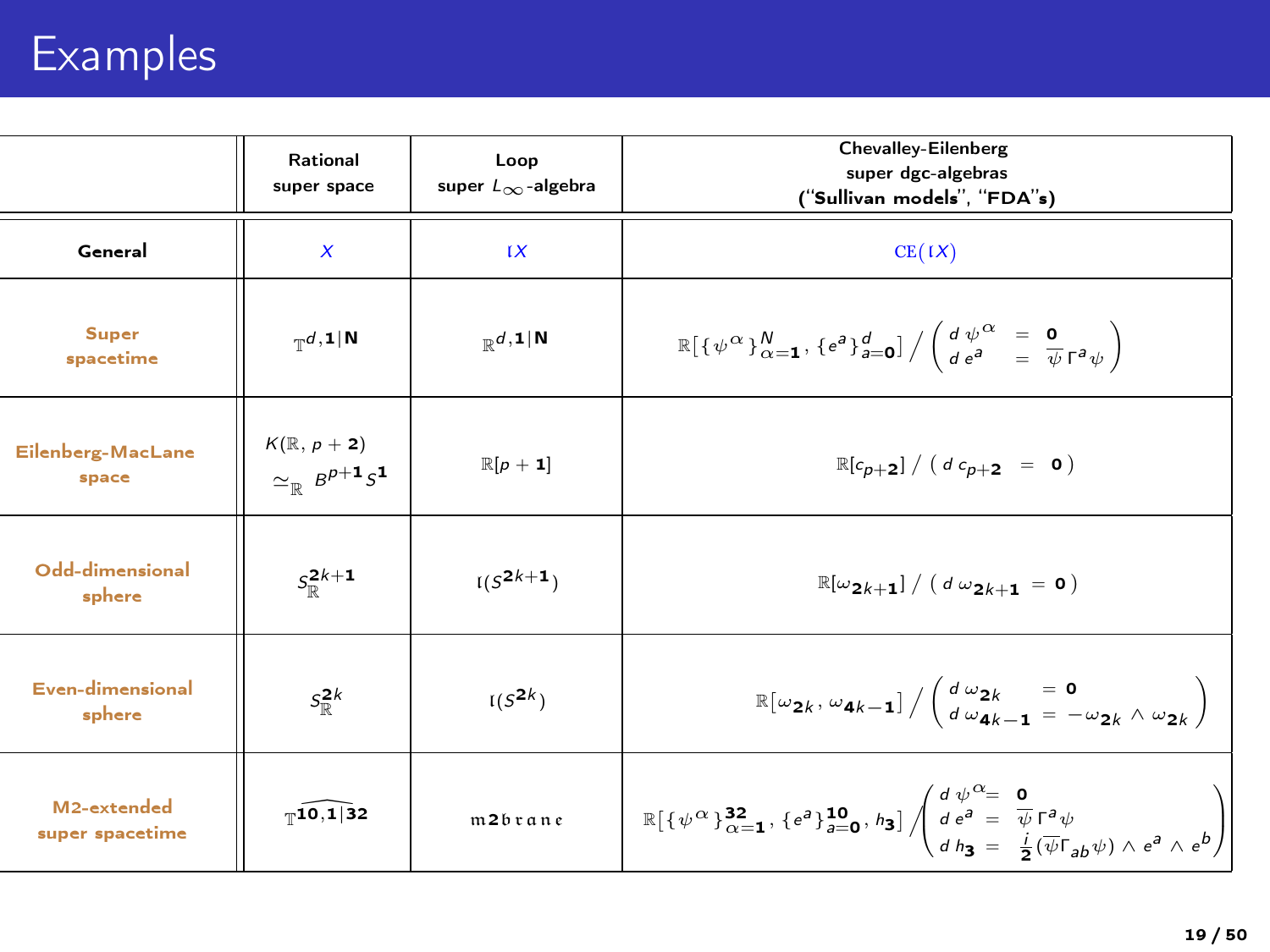# Examples

|                                | Rational<br>super space                                     | Loop<br>super $L_{\infty}$ -algebra  | <b>Chevalley-Eilenberg</b><br>super dgc-algebras<br>("Sullivan models", "FDA"s)                                                                                                                                                                                                                                      |
|--------------------------------|-------------------------------------------------------------|--------------------------------------|----------------------------------------------------------------------------------------------------------------------------------------------------------------------------------------------------------------------------------------------------------------------------------------------------------------------|
| General                        | $\boldsymbol{x}$                                            | IX                                   | CE(IX)                                                                                                                                                                                                                                                                                                               |
| Super<br>spacetime             | $_{\mathbb{T}}$ d, 1   N                                    | $\mathbb{D}d, \mathbf{1} \mathbf{N}$ | $\mathbb{R}[\{\psi^{\alpha}\}_{\alpha=1}^{N},\{e^{a}\}_{a=0}^{d}]/\left(\begin{array}{cc}d\,\psi^{\alpha} & = & \mathbf{0}\\de^{a} & = & \overline{\psi}\Gamma^{a}\psi\end{array}\right)$                                                                                                                            |
| Eilenberg-MacLane<br>space     | $K(\mathbb{R}, p + 2)$<br>$\simeq_{\mathbb{R}} B^{p+1} S^1$ | $\mathbb{R}[\rho + 1]$               | $\mathbb{R}[c_{p+2}] / (d c_{p+2} = 0)$                                                                                                                                                                                                                                                                              |
| Odd-dimensional<br>sphere      | $S_{m}^{2k+1}$                                              | $I(S^{2k+1})$                        | $\mathbb{R}[\omega_{2k+1}]/(d\omega_{2k+1}=0)$                                                                                                                                                                                                                                                                       |
| Even-dimensional<br>sphere     | $S_{\mathbb{D}}^{2k}$                                       | $I(S^{2k})$                          | $\mathbb{R}[\omega_{2k}, \omega_{4k-1}]/\left(\begin{array}{cc} d\omega_{2k} & = \mathbf{0} \\ d\omega_{4k-1} & = -\omega_{2k} \wedge \omega_{2k} \end{array}\right)$                                                                                                                                                |
| M2-extended<br>super spacetime | $T$ 10,132                                                  | m2brane                              | $\mathbb{R}\big[\{\psi^{\alpha}\}_{\alpha=1}^{32},\{\epsilon^a\}_{a=0}^{10},\hbar_3\big]\left\langle\begin{array}{l} d\ \psi^{\mbox{\tiny \it CE}}\\ d\ \epsilon^a=\ \overline{\psi}\,\Gamma^a\psi\\ d\ \hbar_2=\ \frac{i}{2}(\overline{\psi}\Gamma_{ab}\psi)\wedge\epsilon^a\wedge\epsilon^b\end{array}\right\vert$ |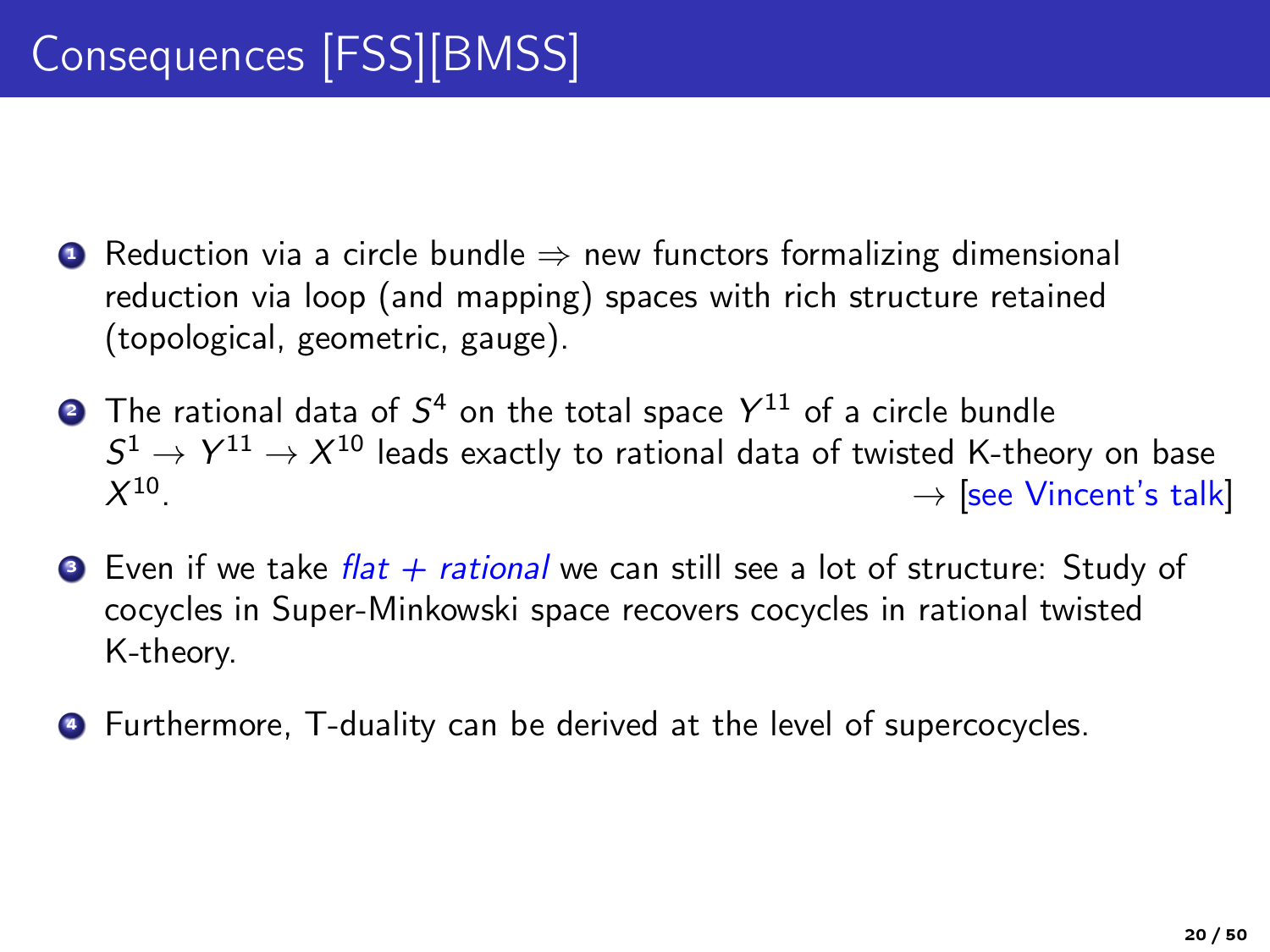- **■** Reduction via a circle bundle  $\Rightarrow$  new functors formalizing dimensional reduction via loop (and mapping) spaces with rich structure retained (topological, geometric, gauge).
- $\bullet$  The rational data of  $S^4$  on the total space  $Y^{11}$  of a circle bundle  $S^1\to Y^{11}\to X^{10}$  leads exactly to rational data of twisted K-theory on base  $X^{10}$  $\rightarrow$  [see Vincent's talk]
- $\bullet$  Even if we take *flat + rational* we can still see a lot of structure: Study of cocycles in Super-Minkowski space recovers cocycles in rational twisted K-theory.
- <sup>4</sup> Furthermore, T-duality can be derived at the level of supercocycles.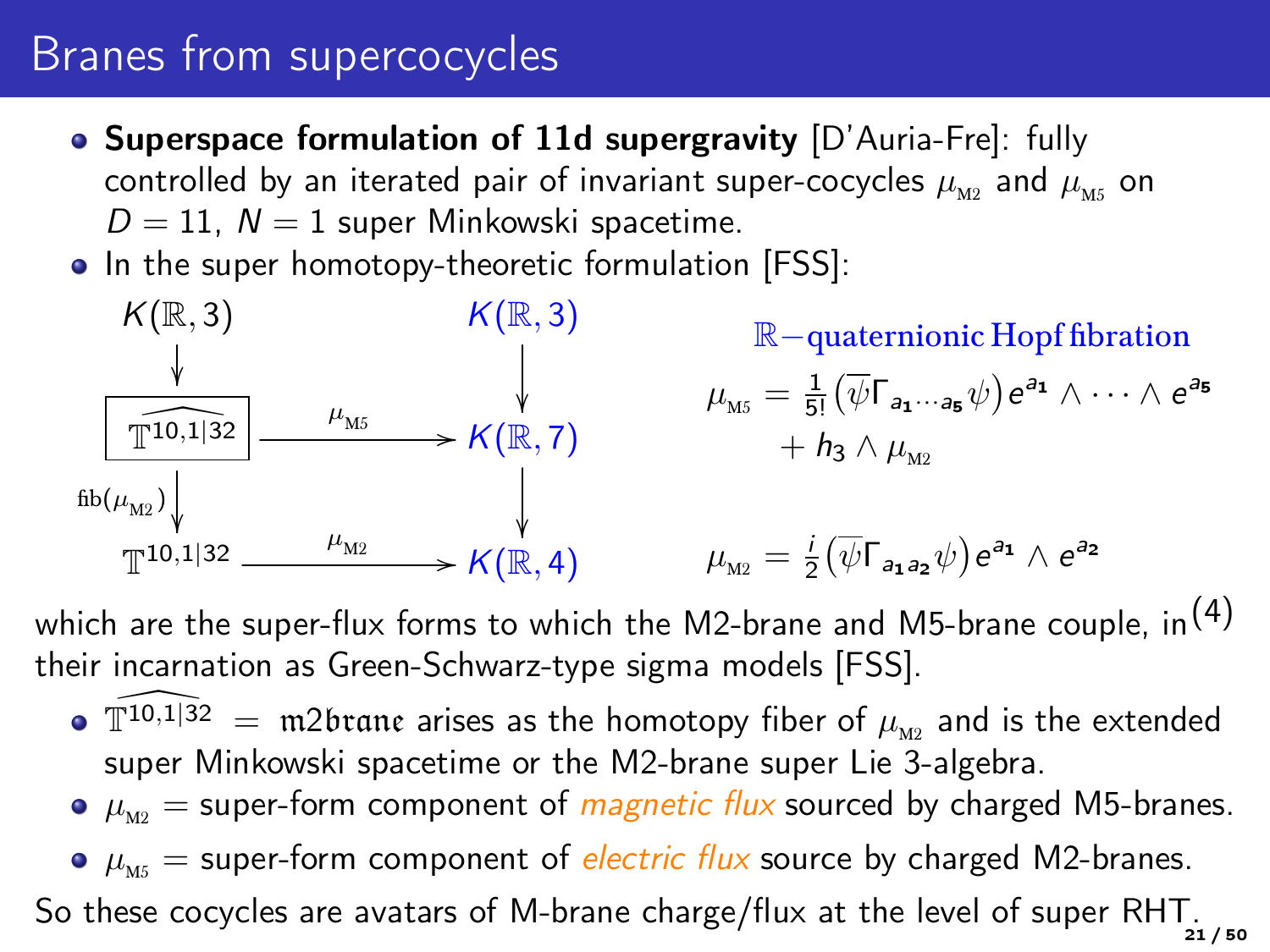## Branes from supercocycles

- Superspace formulation of 11d supergravity [D'Auria-Fre]: fully controlled by an iterated pair of invariant super-cocycles  $\mu_{M2}$  and  $\mu_{M5}$  on  $D = 11$ ,  $N = 1$  super Minkowski spacetime.
- In the super homotopy-theoretic formulation [FSS]:



which are the super-flux forms to which the M2-brane and M5-brane couple, in<sup>(4)</sup> their incarnation as Green-Schwarz-type sigma models [FSS].

- $\bullet$   $\mathbb{T}^{10,1|32}$  = m2brane arises as the homotopy fiber of  $\mu_{M2}$  and is the extended super Minkowski spacetime or the M2-brane super Lie 3-algebra.
- $\bullet$   $\mu_{\text{M2}}$  = super-form component of *magnetic flux* sourced by charged M5-branes.
- $\bullet$   $\mu_{\rm{me}}$  = super-form component of *electric flux* source by charged M2-branes.

So these cocycles are avatars of M-brane charge/flux at the level of super RHT.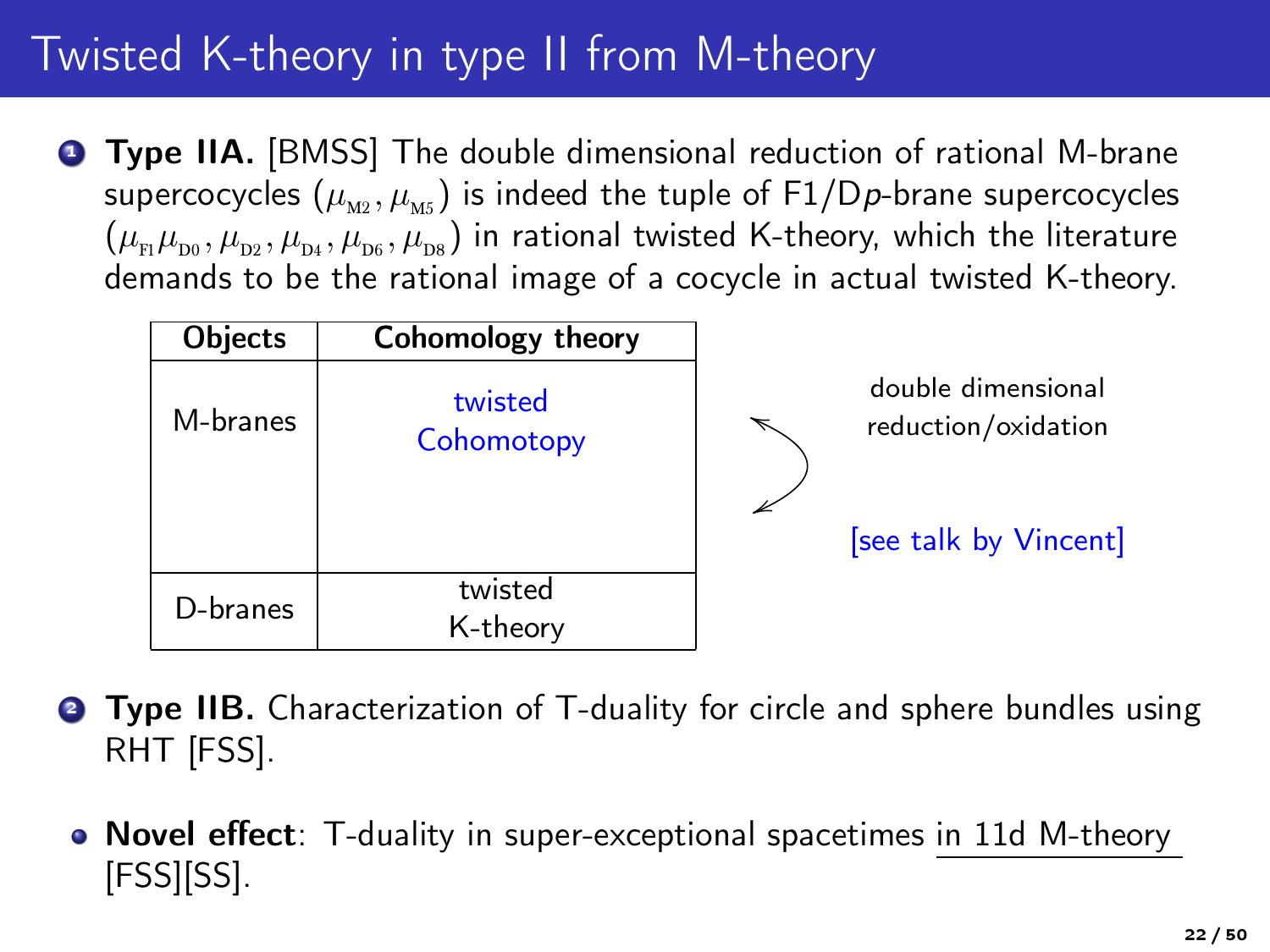# Twisted K-theory in type II from M-theory

**1 Type IIA.** [BMSS] The double dimensional reduction of rational M-brane supercocycles  $(\mu_{M2}, \mu_{M5})$  is indeed the tuple of F1/Dp-brane supercocycles  $(\mu_{\rm m}\mu_{\rm m},\mu_{\rm m},\mu_{\rm m},\mu_{\rm m},\mu_{\rm m})$  in rational twisted K-theory, which the literature demands to be the rational image of a cocycle in actual twisted K-theory.

| Objects  | Cohomology theory     |                                           |
|----------|-----------------------|-------------------------------------------|
| M-branes | twisted<br>Cohomotopy | double dimensional<br>reduction/oxidation |
|          |                       | [see talk by Vincent]                     |
| D-branes | twisted<br>K-theory   |                                           |

- **Type IIB.** Characterization of T-duality for circle and sphere bundles using RHT [FSS].
	- Novel effect: T-duality in super-exceptional spacetimes in 11d M-theory [FSS][SS].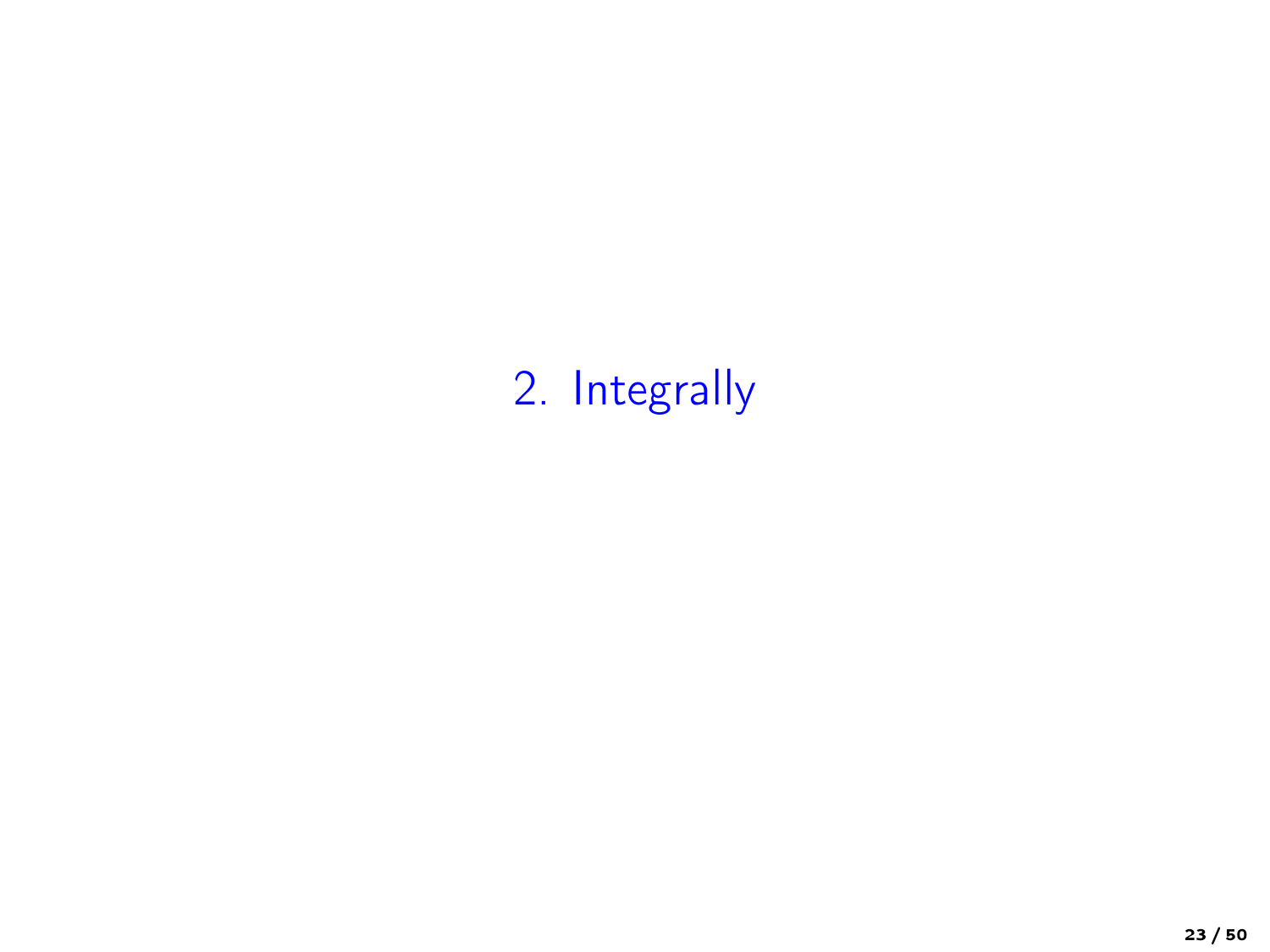# 2. Integrally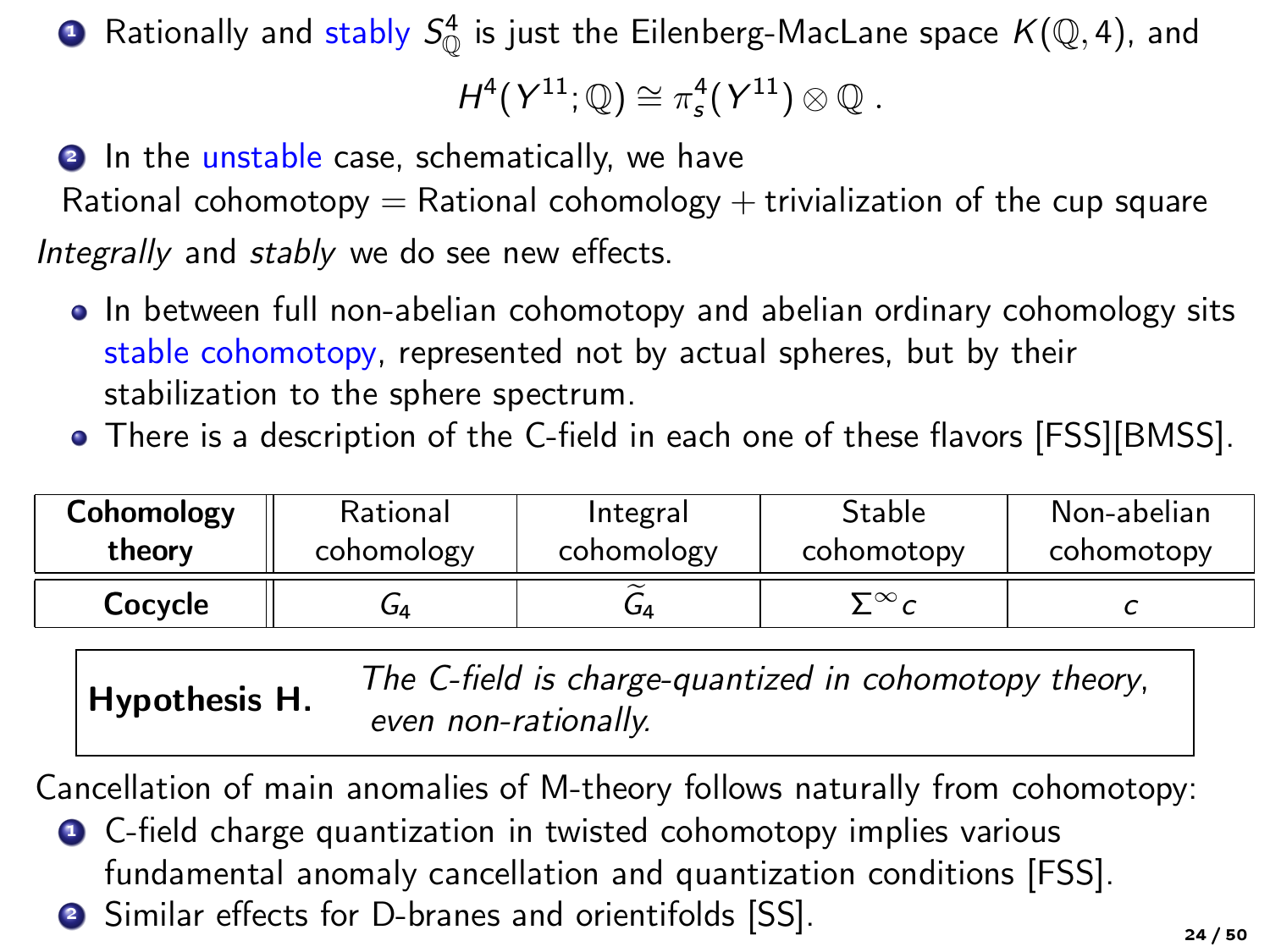$\bullet$  Rationally and stably  $S^4_{\mathbb{O}}$  is just the Eilenberg-MacLane space  $\mathcal{K}(\mathbb{Q},4)$ , and

 $H^4(Y^{11};\mathbb{Q})\cong \pi_s^4(Y^{11})\otimes \mathbb{Q}$ .

**2** In the unstable case, schematically, we have Rational cohomotopy  $=$  Rational cohomology  $+$  trivialization of the cup square Integrally and stably we do see new effects.

- In between full non-abelian cohomotopy and abelian ordinary cohomology sits stable cohomotopy, represented not by actual spheres, but by their stabilization to the sphere spectrum.
- There is a description of the C-field in each one of these flavors [FSS][BMSS].

| Cohomology | Rational   | Integral   | Stable     | Non-abelian |
|------------|------------|------------|------------|-------------|
| theory     | cohomology | cohomology | cohomotopy | cohomotopy  |
| Cocycle    | 4ت         | Δ          | ∼∽∽        |             |

<span id="page-23-0"></span>Hypothesis H. The C-field is charge-quantized in cohomotopy theory, even non-rationally.

Cancellation of main anomalies of M-theory follows naturally from cohomotopy:

- **1** C-field charge quantization in twisted cohomotopy implies various fundamental anomaly cancellation and quantization conditions [FSS].
- <sup>2</sup> Similar effects for D-branes and orientifolds [SS].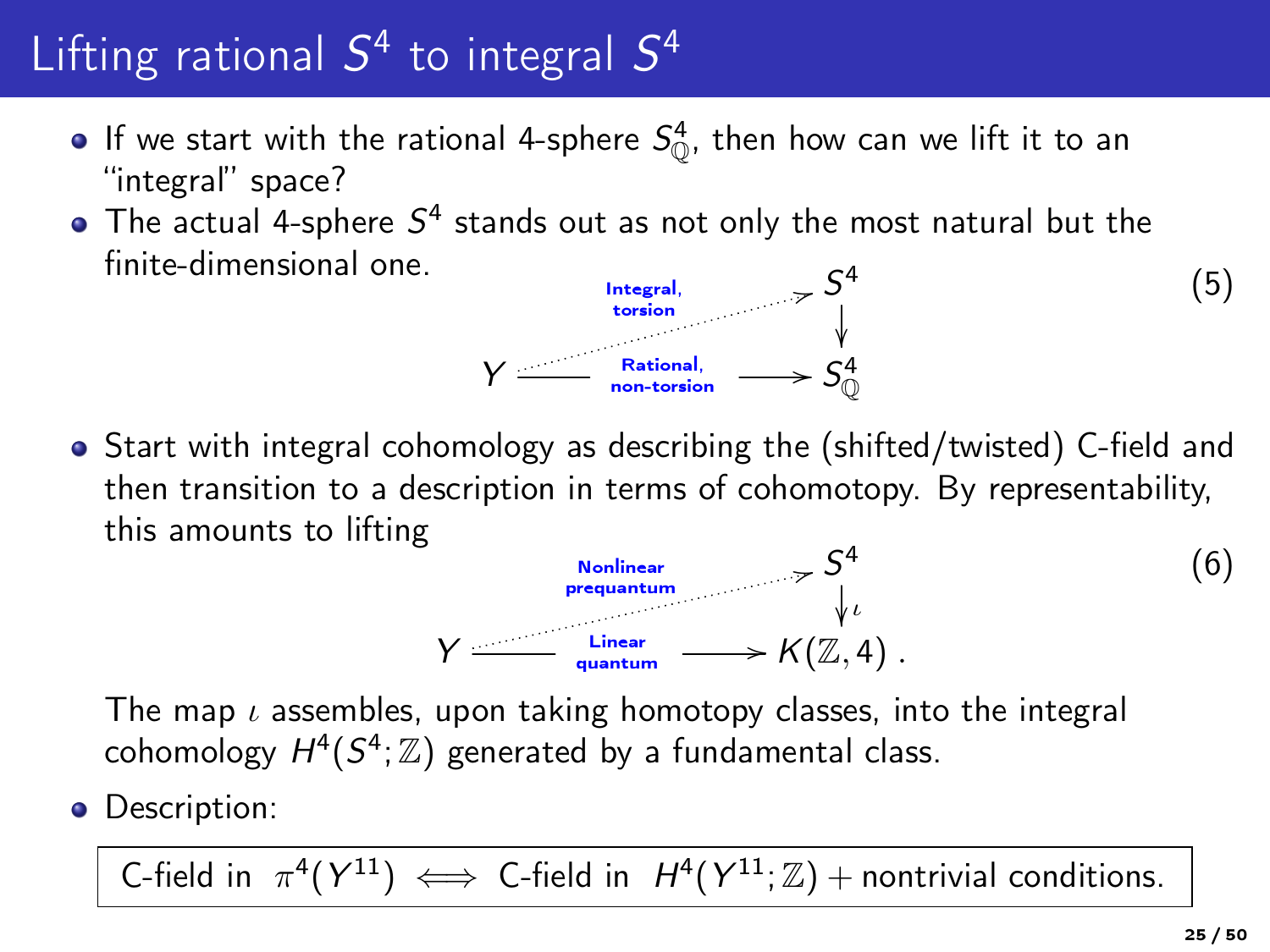# Lifting rational  $S^4$  to integral  $S^4$

- If we start with the rational 4-sphere  $S^4_{\mathbb{O}}$ , then how can we lift it to an "integral" space?
- The actual 4-sphere  $S^4$  stands out as not only the most natural but the  $\textrm{finite-dimensional one.} \hspace{1cm} \textrm{[mtegral]} \hspace{1cm} S^4$

Y

<span id="page-24-0"></span>

• Start with integral cohomology as describing the (shifted/twisted) C-field and then transition to a description in terms of cohomotopy. By representability, this amounts to lifting

$$
\gamma \xrightarrow{\text{Nonlinear} \atop \text{prequantum}} \gamma \xrightarrow{\zeta^4} \qquad (6)
$$
\n
$$
\gamma \xrightarrow{\text{Linear} \atop \text{quantum}} \gamma \xrightarrow{\zeta^4} K(\mathbb{Z}, 4) .
$$

The map  $\iota$  assembles, upon taking homotopy classes, into the integral cohomology  $H^4(S^4; \mathbb{Z})$  generated by a fundamental class.

• Description:

C-field in  $\pi^4(Y^{11}) \iff$  C-field in  $H^4(Y^{11}; \mathbb{Z})$  + nontrivial conditions.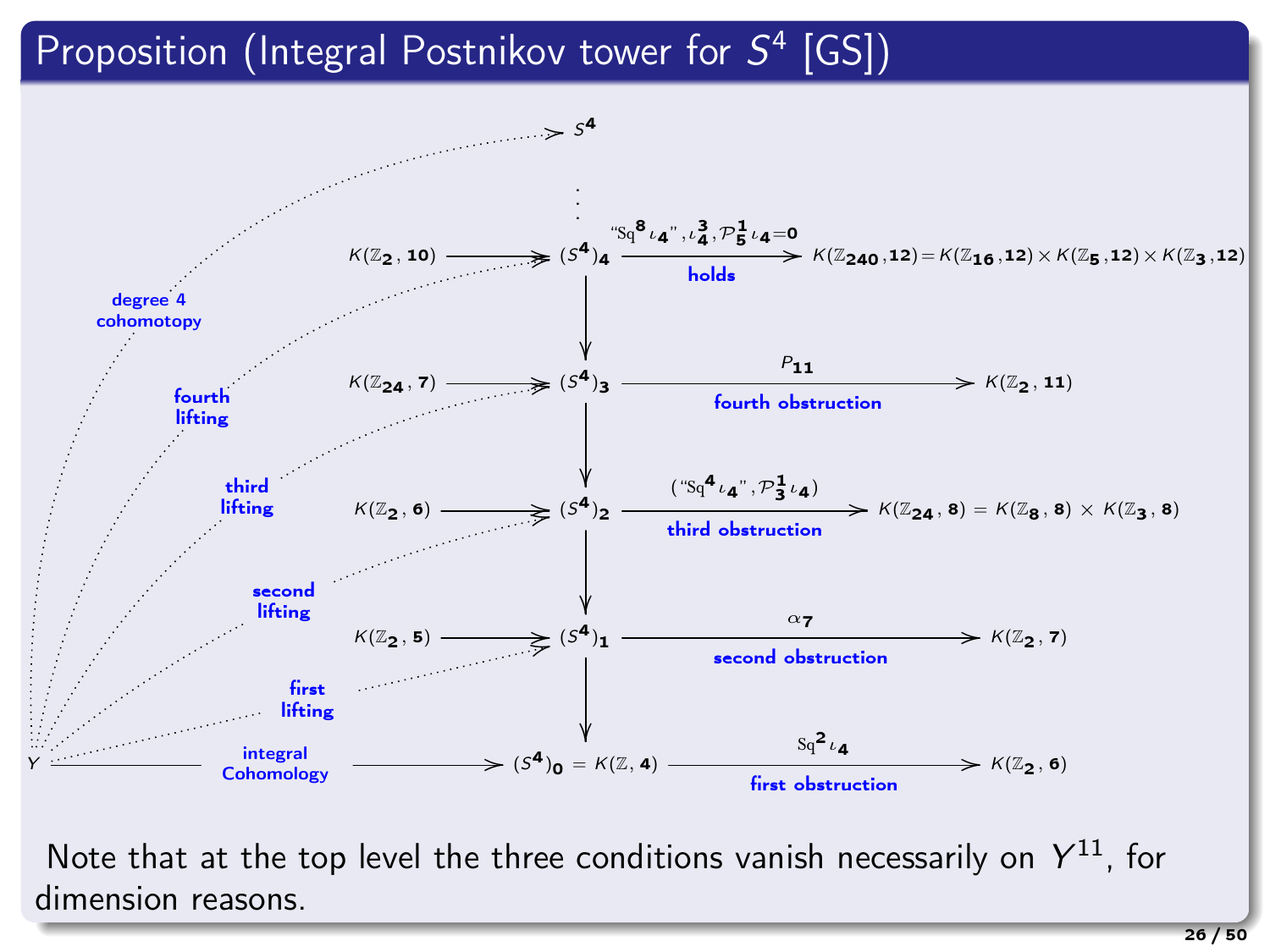### Proposition (Integral Postnikov tower for  $S^4$  [GS])



Note that at the top level the three conditions vanish necessarily on  $Y^{11}$ , for dimension reasons.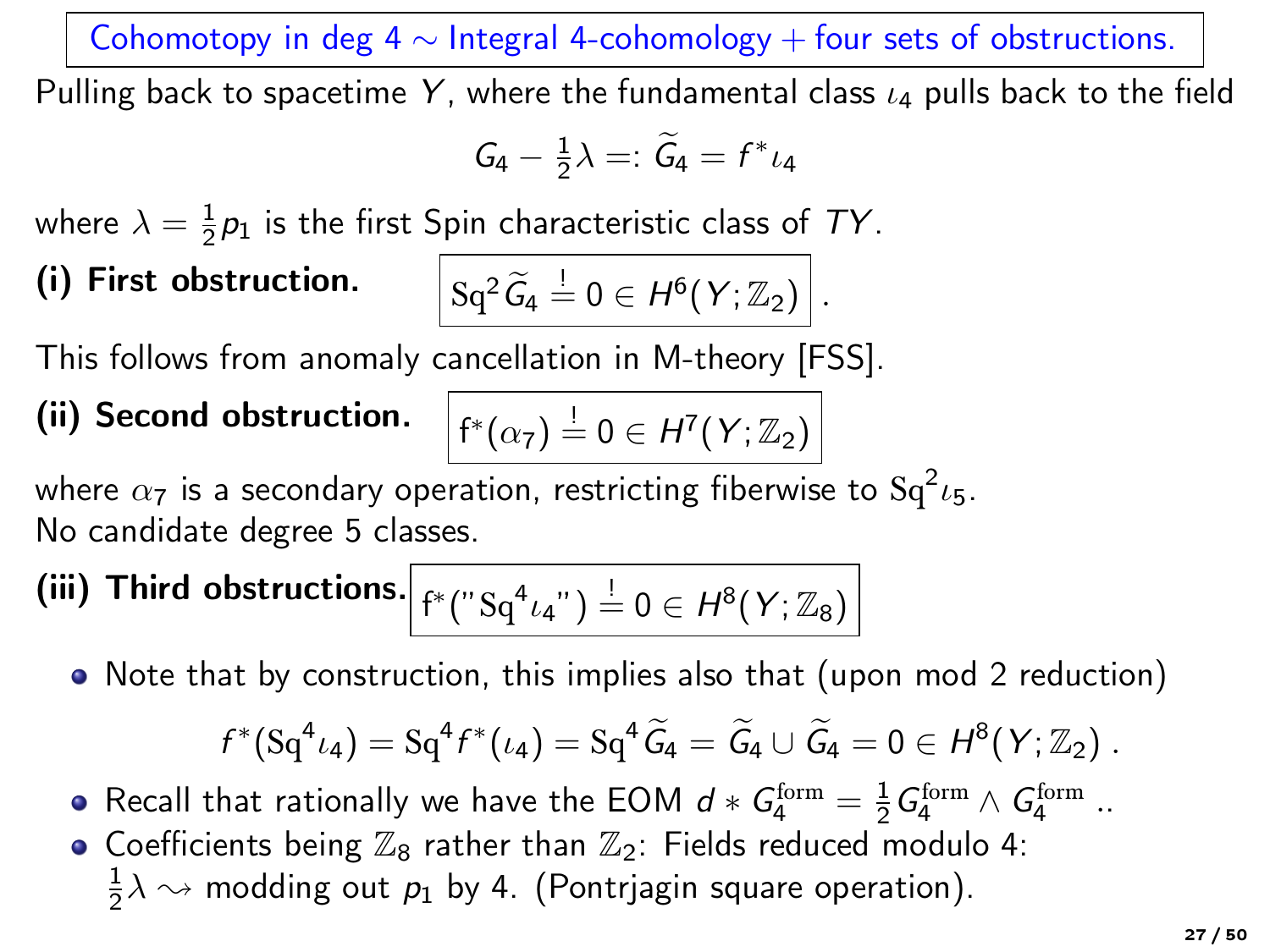Cohomotopy in deg 4  $\sim$  Integral 4-cohomology + four sets of obstructions.

Pulling back to spacetime Y, where the fundamental class  $\iota_4$  pulls back to the field

$$
G_4-\tfrac{1}{2}\lambda=:\,\widetilde{G}_4=f^*\iota_4
$$

where  $\lambda = \frac{1}{2}p_1$  is the first Spin characteristic class of TY.

## (i) First obstruction.

$$
\mathrm{Sq}^2\,\widetilde{\mathcal{G}}_4 \stackrel{!}{=} 0 \in H^6(Y;\mathbb{Z}_2)\,\bigg|\,.
$$

This follows from anomaly cancellation in M-theory [FSS].

(ii) Second obstruction.  $\Big|f^*(\alpha_7)\stackrel{!}{=}0\in H^7(Y;\mathbb{Z}_2)$ 

where 
$$
\alpha_7
$$
 is a secondary operation, restricting fiberwise to  $Sq^2 \iota_5$ .

No candidate degree 5 classes.

(iii) Third obstructions. 
$$
f^*(\mathrm{``Sq^4}\iota_4\mathrm{''}) \stackrel{!}{=} 0 \in H^8(Y;\mathbb{Z}_8)
$$

• Note that by construction, this implies also that (upon mod 2 reduction)

$$
f^*(Sq^4\iota_4)=Sq^4f^*(\iota_4)=Sq^4\,\widetilde{G}_4=\,\widetilde{G}_4\cup\,\widetilde{G}_4=0\in H^8(Y;\mathbb{Z}_2)\ .
$$

Recall that rationally we have the EOM  $d * G_4^{\text{form}} = \frac{1}{2} G_4^{\text{form}} \wedge G_4^{\text{form}}$  ..

• Coefficients being  $\mathbb{Z}_8$  rather than  $\mathbb{Z}_2$ : Fields reduced modulo 4:  $\frac{1}{2}\lambda \rightsquigarrow$  modding out  $p_1$  by 4. (Pontrjagin square operation).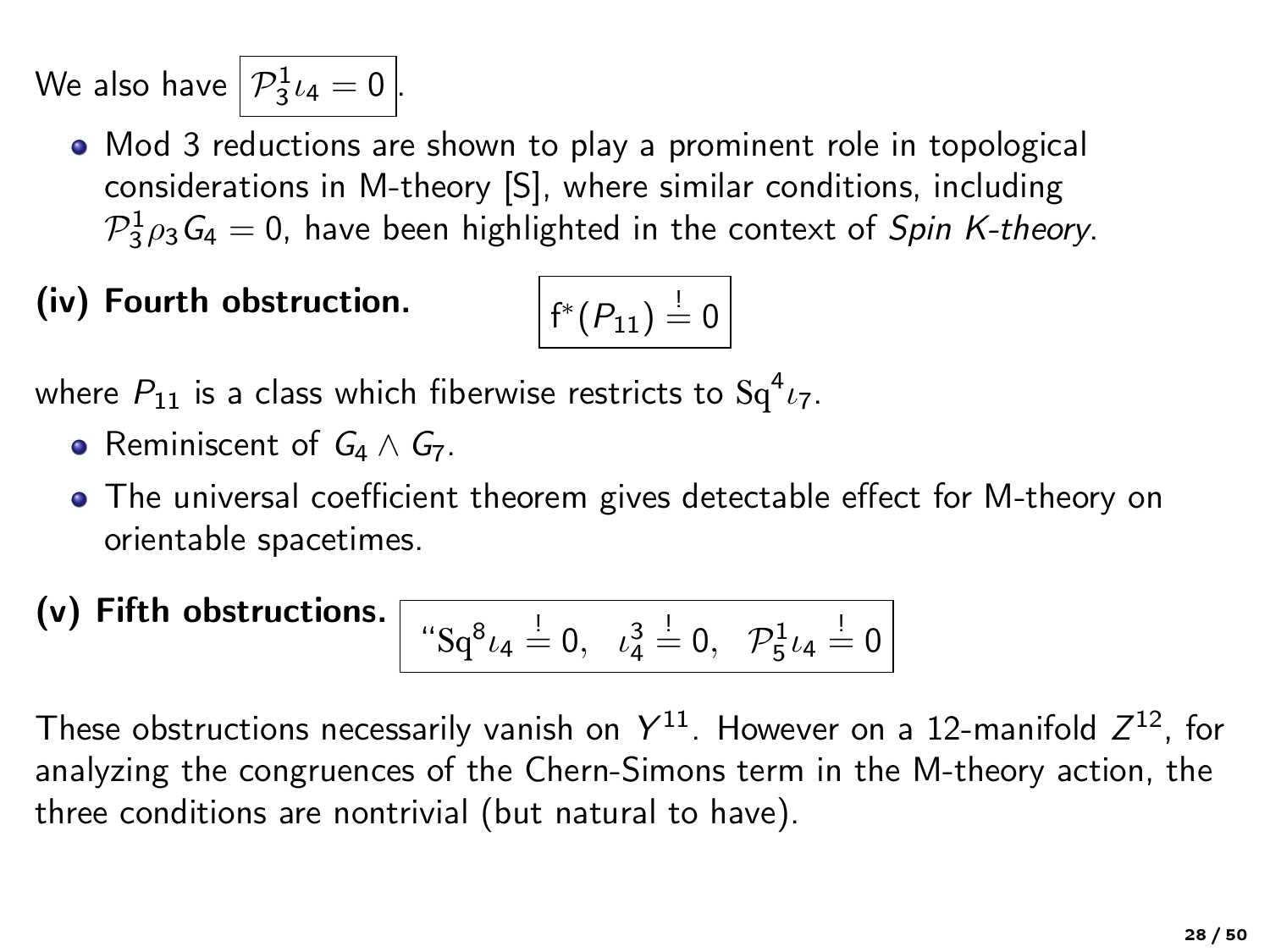We also have  $\left| \mathcal{P}_3^1 \iota_4 \right| = 0$   $\left| \mathcal{P}_3^1 \right|$ 

Mod 3 reductions are shown to play a prominent role in topological considerations in M-theory [S], where similar conditions, including  $\mathcal{P}_3^1\rho_3\mathcal{G}_4=0$ , have been highlighted in the context of Spin K-theory.

(iv) Fourth obstruction.

$$
f^*(P_{11})\stackrel{!}{=}0
$$

where  $P_{11}$  is a class which fiberwise restricts to  $\mathrm{Sq}^4\iota_7.$ 

- Reminiscent of  $G_4 \wedge G_7$ .
- The universal coefficient theorem gives detectable effect for M-theory on orientable spacetimes.
- (v) Fifth obstructions.  $\Box$

$$
``Sq^{8}\iota_4 \stackrel{!}{=} 0, \ \ \iota_4^3 \stackrel{!}{=} 0, \ \ {\mathcal P}_5^1 \iota_4 \stackrel{!}{=} 0 \Big]
$$

These obstructions necessarily vanish on  $Y^{11}$ . However on a 12-manifold  $Z^{12}$ , for analyzing the congruences of the Chern-Simons term in the M-theory action, the three conditions are nontrivial (but natural to have).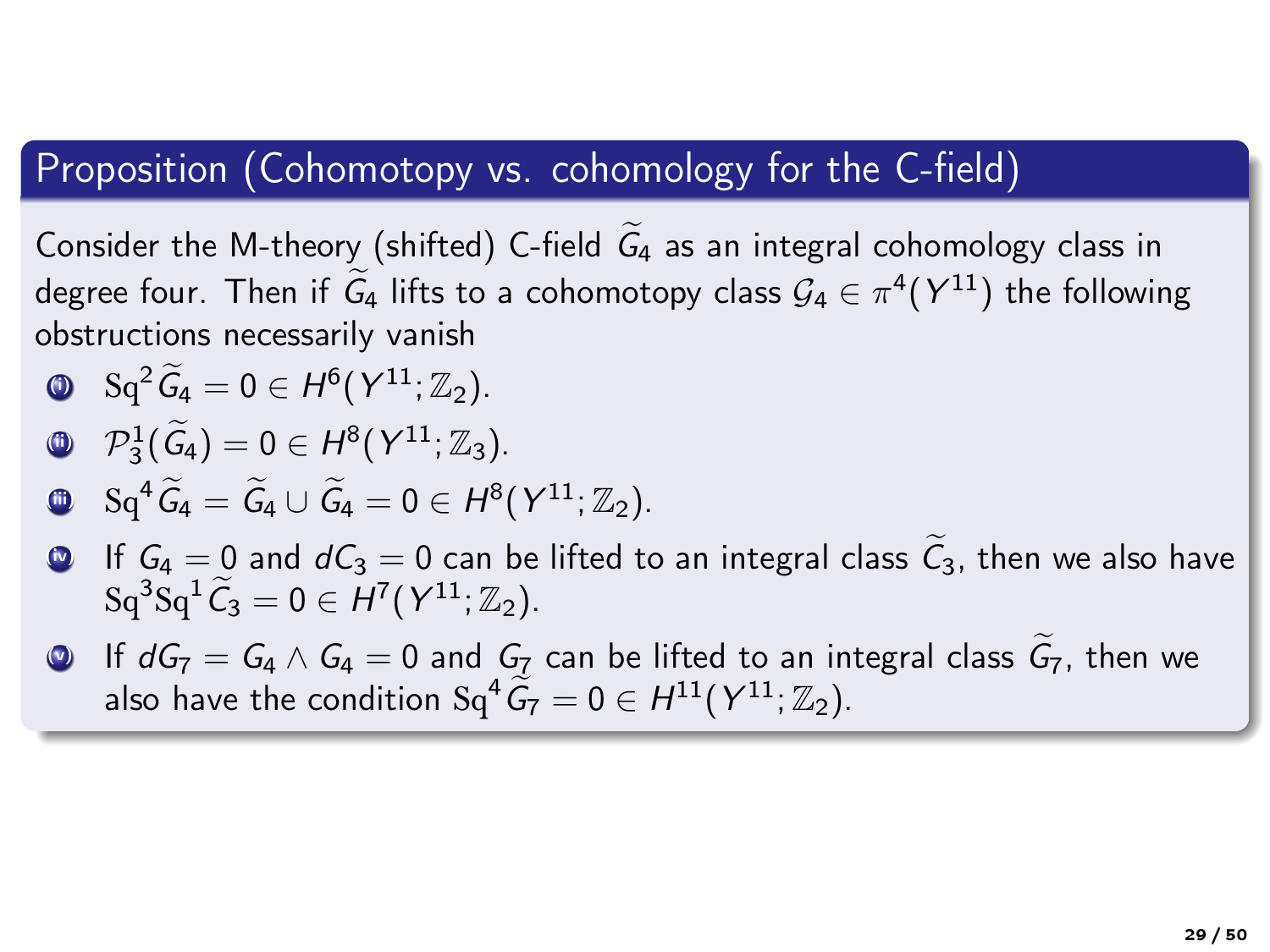#### Proposition (Cohomotopy vs. cohomology for the C-field)

Consider the M-theory (shifted) C-field  $\widetilde{G}_4$  as an integral cohomology class in degree four. Then if  $G_4$  lifts to a cohomotopy class  $G_4 \in \pi^4(Y^{11})$  the following obstructions necessarily vanish

$$
\text{Q} \quad \text{Sq}^2 \widetilde{G}_4 = 0 \in H^6(\text{Y}^{11}; \mathbb{Z}_2).
$$

$$
\mathbf{0} \quad \mathcal{P}_3^1(\widetilde{\mathcal{G}}_4) = 0 \in H^8(Y^{11}; \mathbb{Z}_3).
$$

$$
\bullet \quad \mathrm{Sq}^4 \widetilde{G}_4 = \widetilde{G}_4 \cup \widetilde{G}_4 = 0 \in H^8(Y^{11}; \mathbb{Z}_2).
$$

- If  $G_4 = 0$  and  $dC_3 = 0$  can be lifted to an integral class  $\tilde{C}_3$ , then we also have  $\operatorname{Sq}^3\operatorname{Sq}^1\widetilde{\mathcal{C}}_3=0\in H^7(\mathcal{Y}^{11};\mathbb{Z}_2).$
- **■** If  $dG_7 = G_4 \wedge G_4 = 0$  and  $G_7$  can be lifted to an integral class  $G_7$ , then we also have the condition  $Sq^4 \widetilde{G}_7 = 0 \in H^{11}(Y^{11}; \mathbb{Z}_2)$ .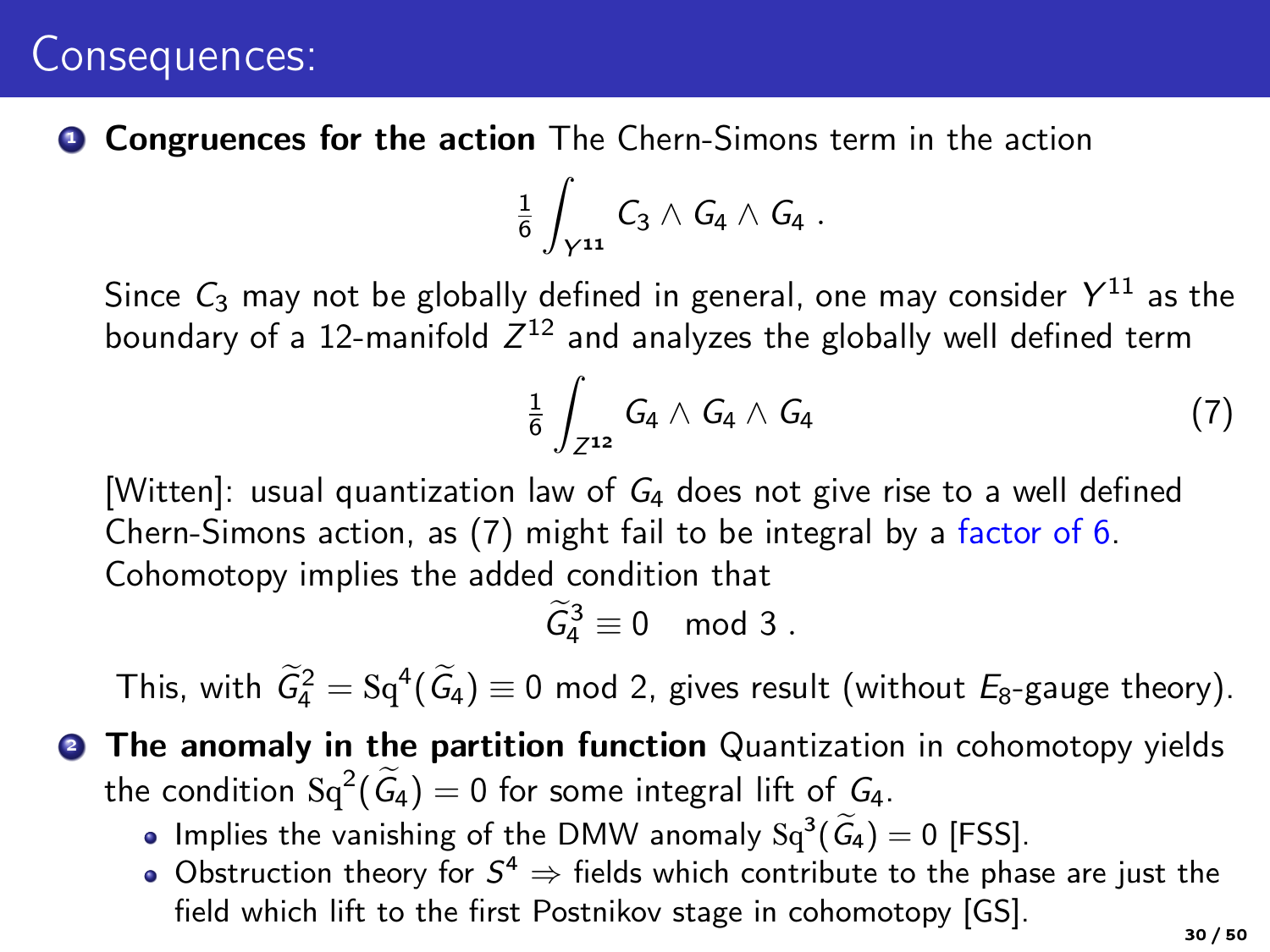### Consequences:

**• Congruences for the action** The Chern-Simons term in the action

$$
\frac{1}{6}\int_{\gamma^{11}} C_3 \wedge G_4 \wedge G_4 \ .
$$

Since  $C_3$  may not be globally defined in general, one may consider  $Y^{11}$  as the boundary of a 12-manifold  $Z^{12}$  and analyzes the globally well defined term

<span id="page-29-0"></span>
$$
\frac{1}{6}\int_{Z^{12}}G_4\wedge G_4\wedge G_4\qquad \qquad (7)
$$

[Witten]: usual quantization law of  $G_4$  does not give rise to a well defined Chern-Simons action, as [\(7\)](#page-29-0) might fail to be integral by a factor of 6. Cohomotopy implies the added condition that

 $\widetilde{G}_4^3 \equiv 0 \mod 3$ .

This, with  $\widetilde{G}_4^2 = \mathrm{Sq}^4(\widetilde{G}_4) \equiv 0$  mod 2, gives result (without  $E_8$ -gauge theory).

- **2 The anomaly in the partition function** Quantization in cohomotopy yields the condition  $\operatorname{Sq}^2(\widetilde{G}_4) = 0$  for some integral lift of  $G_4$ .
	- Implies the vanishing of the DMW anomaly  $Sq^3(\widetilde{G}_4) = 0$  [FSS].
	- Obstruction theory for  $S^4 \Rightarrow$  fields which contribute to the phase are just the field which lift to the first Postnikov stage in cohomotopy [GS].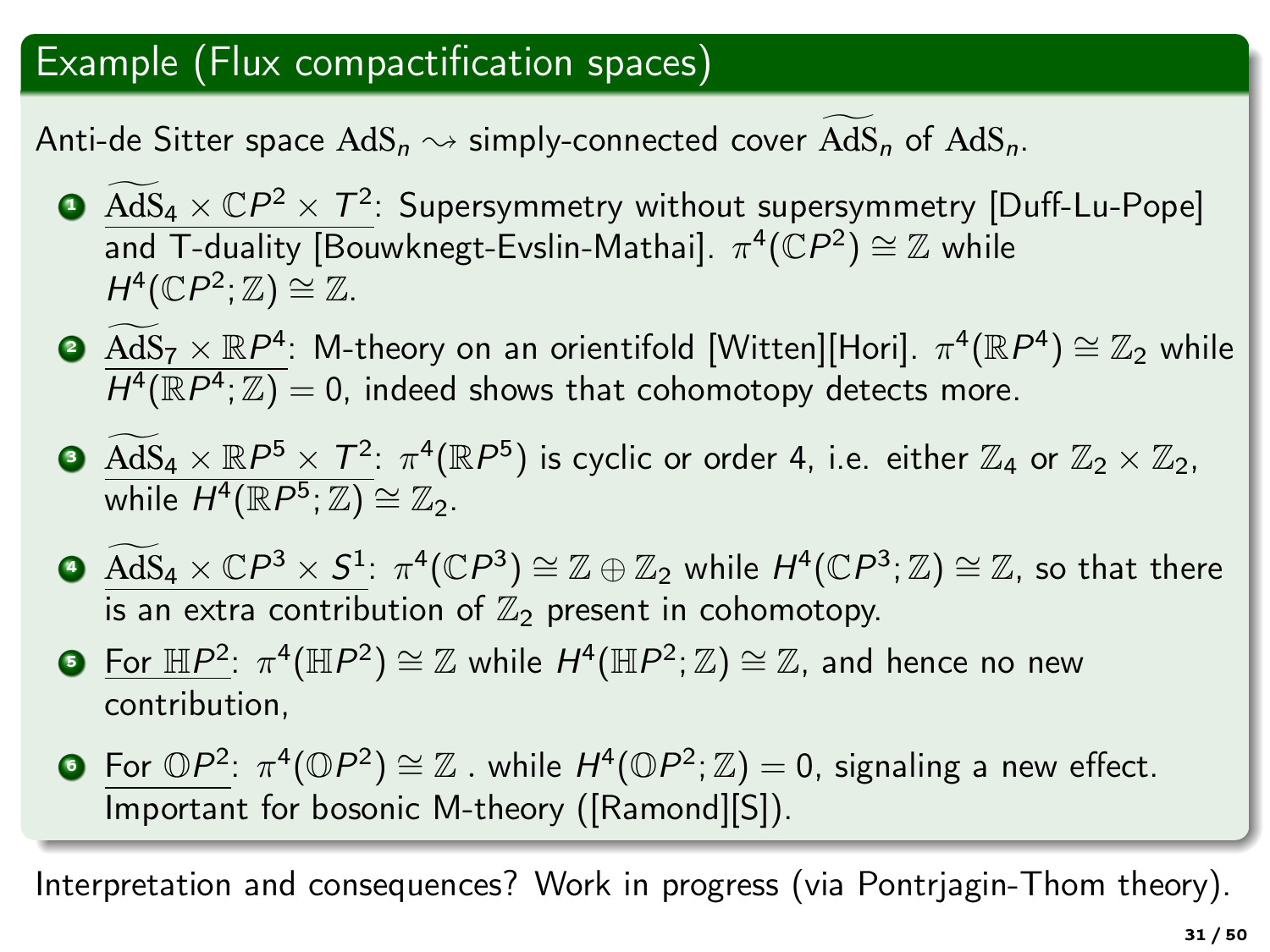### Example (Flux compactification spaces)

Anti-de Sitter space  $AdS_n \rightarrow$  simply-connected cover  $AdS_n$  of  $AdS_n$ .

- **1 AdS**  $4 \times CP^2 \times T^2$ : Supersymmetry without supersymmetry [Duff-Lu-Pope] and T-duality [Bouwknegt-Evslin-Mathai].  $\pi^4(\mathbb{C}P^2) \cong \mathbb{Z}$  while  $H^4(\mathbb{C}P^2;\mathbb{Z})\cong\mathbb{Z}.$
- **3**  $\widetilde{AdS}_7 \times \mathbb{R}P^4$ : M-theory on an orientifold [Witten][Hori].  $\pi^4(\mathbb{R}P^4) \cong \mathbb{Z}_2$  while  $\overline{H^{4}(\mathbb{R}P^{4};\mathbb{Z})} = 0$ , indeed shows that cohomotopy detects more.
- **3**  $AdS_4 \times \mathbb{R}P^5 \times T^2$ :  $\pi^4(\mathbb{R}P^5)$  is cyclic or order 4, i.e. either  $\mathbb{Z}_4$  or  $\mathbb{Z}_2 \times \mathbb{Z}_2$ , while  $H^4(\mathbb{R}P^5; \mathbb{Z}) \cong \mathbb{Z}_2$ .
- $\begin{split} \textbf{4.4} \otimes \widetilde{\text{AdS}}_4 \times \mathbb{C} P^3 \times S^1:~ & \pi^4(\mathbb{C} P^3) \cong \mathbb{Z} \oplus \mathbb{Z}_2 \text{ while } H^4(\mathbb{C} P^3;\mathbb{Z}) \cong \mathbb{Z}, \text{ so that there.} \end{split}$ is an extra contribution of  $\mathbb{Z}_2$  present in cohomotopy.
- $\textbf{D}$  For  $\mathbb{H}P^2$ :  $\pi^4(\mathbb{H}P^2) \cong \mathbb{Z}$  while  $H^4(\mathbb{H}P^2;\mathbb{Z}) \cong \mathbb{Z}$ , and hence no new contribution,
- $\bullet$  For  $\mathbb{O}P^2$ :  $\pi^4(\mathbb{O}P^2) \cong \mathbb{Z}$  . while  $H^4(\mathbb{O}P^2;\mathbb{Z})=0$ , signaling a new effect. Important for bosonic M-theory ([Ramond][S]).

Interpretation and consequences? Work in progress (via Pontrjagin-Thom theory).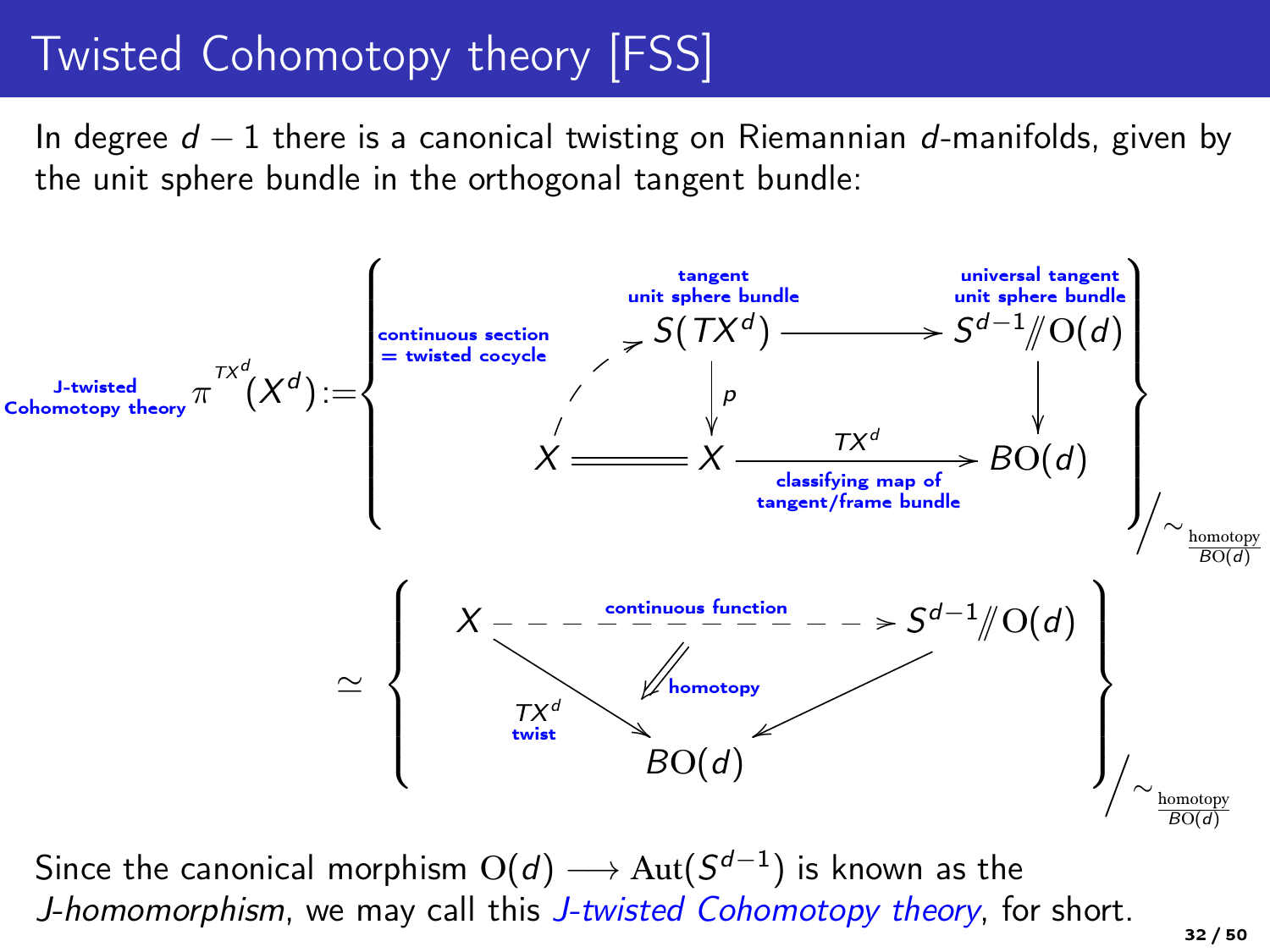# Twisted Cohomotopy theory [FSS]

In degree  $d-1$  there is a canonical twisting on Riemannian d-manifolds, given by the unit sphere bundle in the orthogonal tangent bundle:



Since the canonical morphism  ${\rm O}(d)\longrightarrow {\rm Aut}(S^{d-1})$  is known as the J-homomorphism, we may call this J-twisted Cohomotopy theory, for short.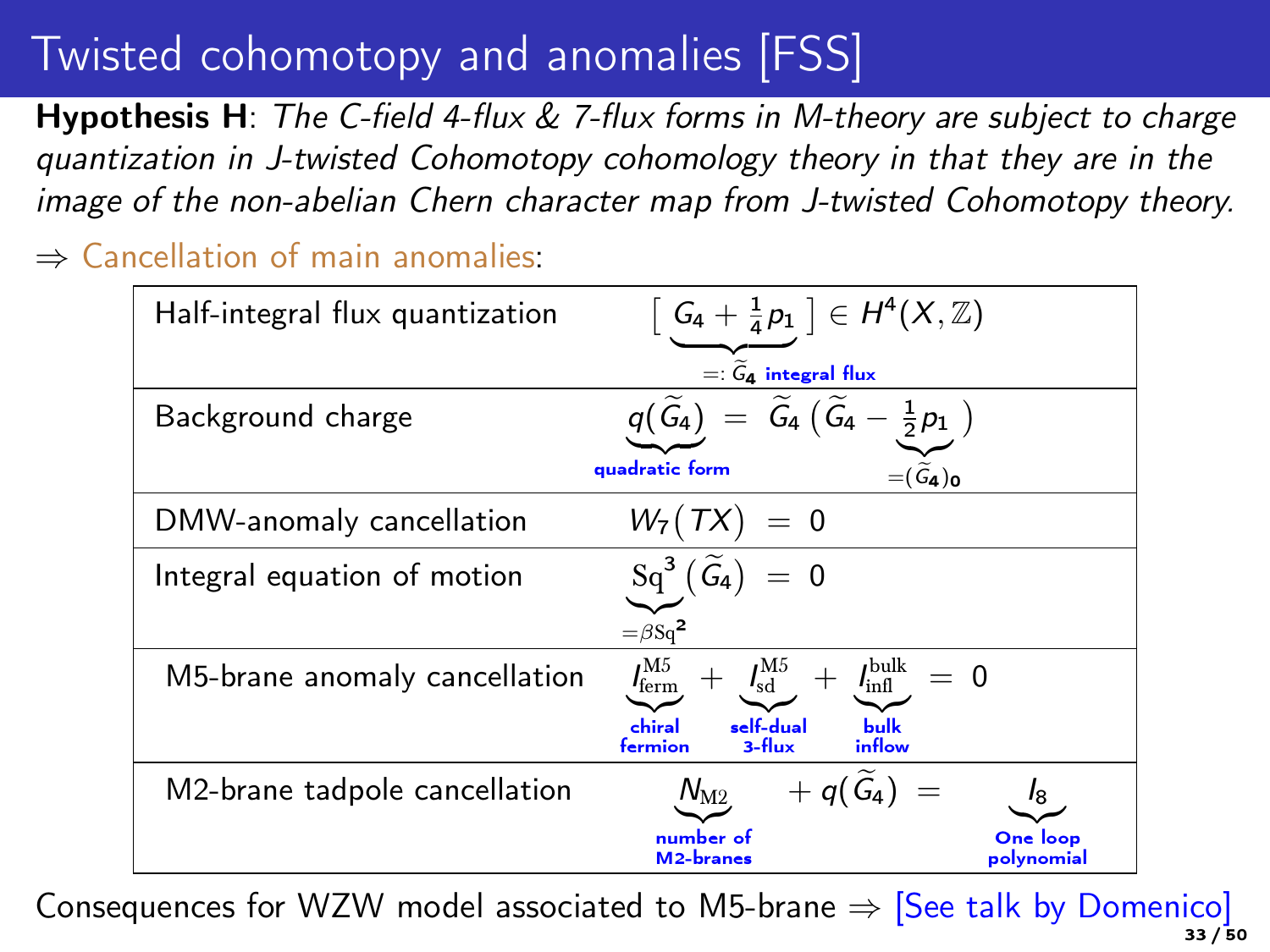# Twisted cohomotopy and anomalies [FSS]

**Hypothesis H:** The C-field 4-flux  $\&$  7-flux forms in M-theory are subject to charge quantization in J-twisted Cohomotopy cohomology theory in that they are in the image of the non-abelian Chern character map from J-twisted Cohomotopy theory.

⇒ Cancellation of main anomalies:

| Half-integral flux quantization | $\left[G_4 + \frac{1}{4}p_1\right] \in H^4(X,\mathbb{Z})$                                                 |                        |
|---------------------------------|-----------------------------------------------------------------------------------------------------------|------------------------|
|                                 | $=:\widetilde{G}_{4}$ integral flux                                                                       |                        |
| Background charge               | $\widetilde{\mathsf{G}}_4\,\big(\,\widetilde{\mathsf{G}}_4-\frac{1}{2}p_1\,\,\big)$<br>$q(\tilde{G}_4) =$ |                        |
|                                 | quadratic form<br>$=(\widetilde{G}_{4})_{0}$                                                              |                        |
| DMW-anomaly cancellation        | $W_7(TX) = 0$                                                                                             |                        |
| Integral equation of motion     | $\mathrm{Sq}^3(\widetilde{\mathcal{G}_4})$<br>$= 0$                                                       |                        |
|                                 | $=\beta$ Sq <sup>2</sup>                                                                                  |                        |
| M5-brane anomaly cancellation   | $I_{\rm ferm}^{\rm M5}$<br>$+$ $I_{sd}^{M5}$ +<br>$I_{\rm infl}^{\rm bulk}$<br>$= 0$                      |                        |
|                                 | self-dual<br>chiral<br><b>bulk</b><br>inflow<br>3-flux<br>fermion                                         |                        |
| M2-brane tadpole cancellation   | $+q(\widetilde{G}_4)$<br>$N_{\rm M2}$                                                                     |                        |
|                                 | number of<br>M <sub>2</sub> -branes                                                                       | One loop<br>polynomial |

Consequences for WZW model associated to M5-brane  $\Rightarrow$  [See talk by Domenico] 33 / 50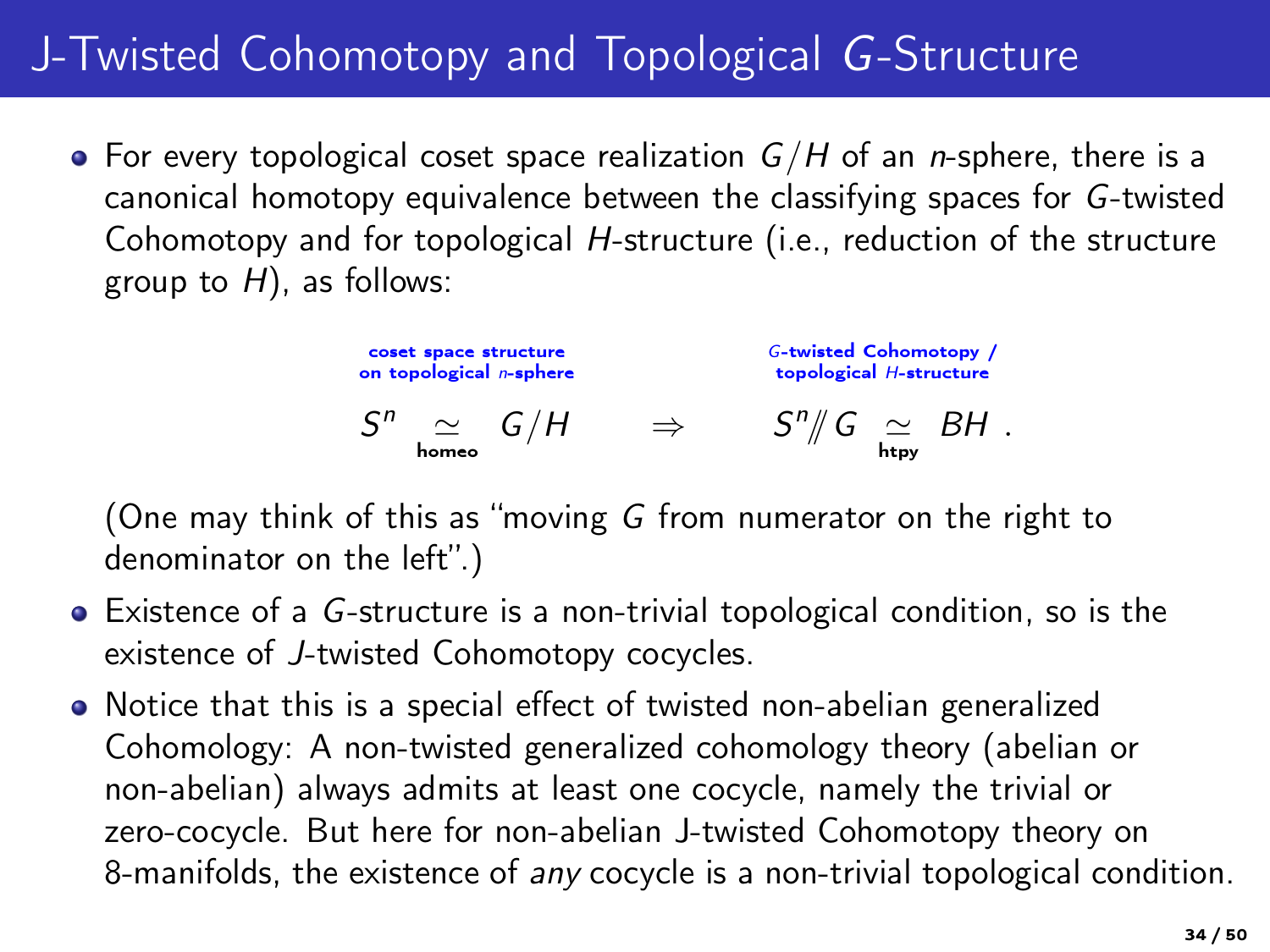# J-Twisted Cohomotopy and Topological G-Structure

• For every topological coset space realization  $G/H$  of an *n*-sphere, there is a canonical homotopy equivalence between the classifying spaces for G-twisted Cohomotopy and for topological H-structure (i.e., reduction of the structure group to  $H$ ), as follows:

> coset space structure on topological n-sphere  $S^n \cong G/H \Rightarrow S^n/\!\!/ G \cong BH$ . G-twisted Cohomotopy / topological H-structure

(One may think of this as "moving G from numerator on the right to denominator on the left".)

- Existence of a G-structure is a non-trivial topological condition, so is the existence of J-twisted Cohomotopy cocycles.
- Notice that this is a special effect of twisted non-abelian generalized Cohomology: A non-twisted generalized cohomology theory (abelian or non-abelian) always admits at least one cocycle, namely the trivial or zero-cocycle. But here for non-abelian J-twisted Cohomotopy theory on 8-manifolds, the existence of any cocycle is a non-trivial topological condition.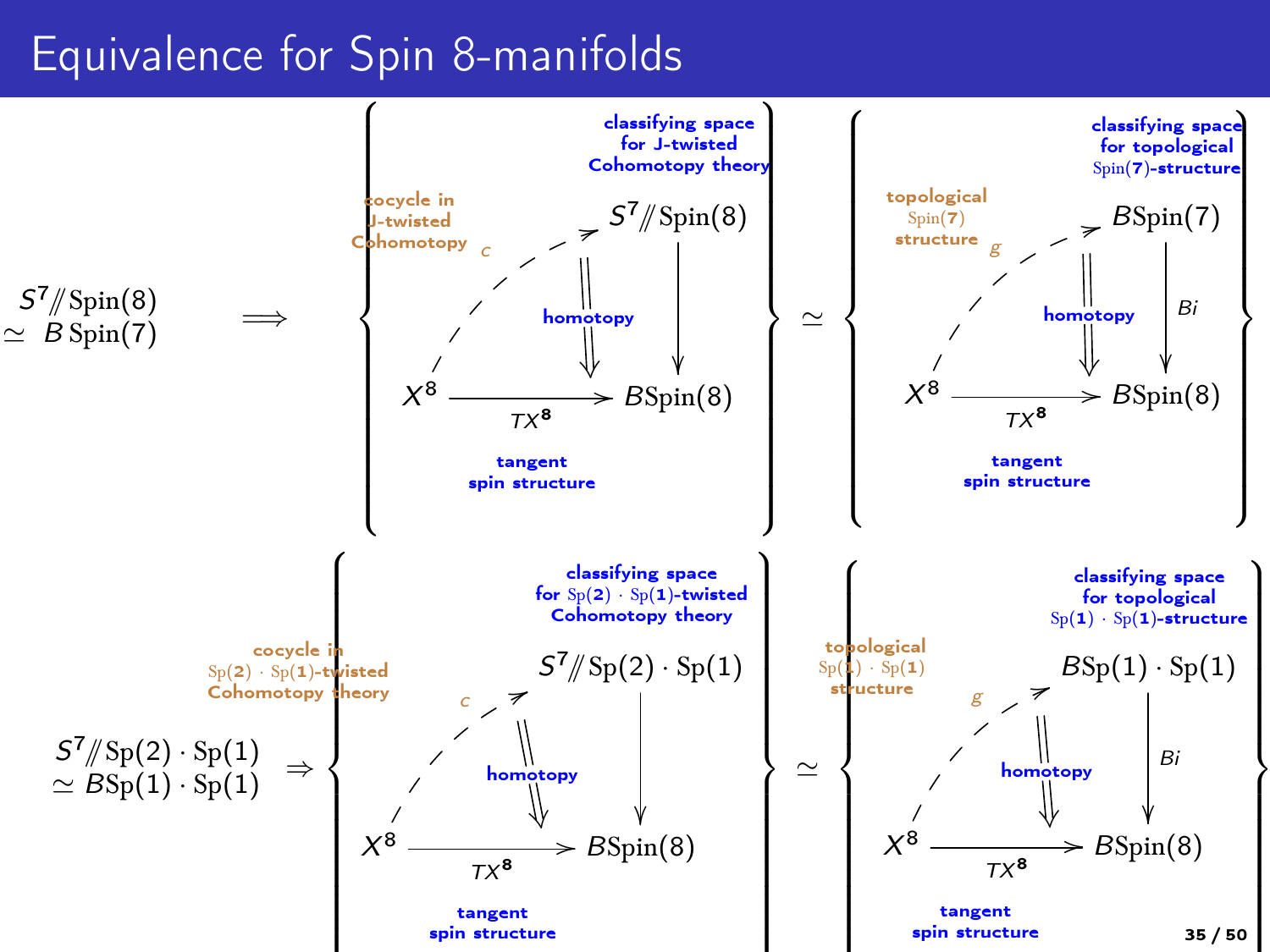### Equivalence for Spin 8-manifolds

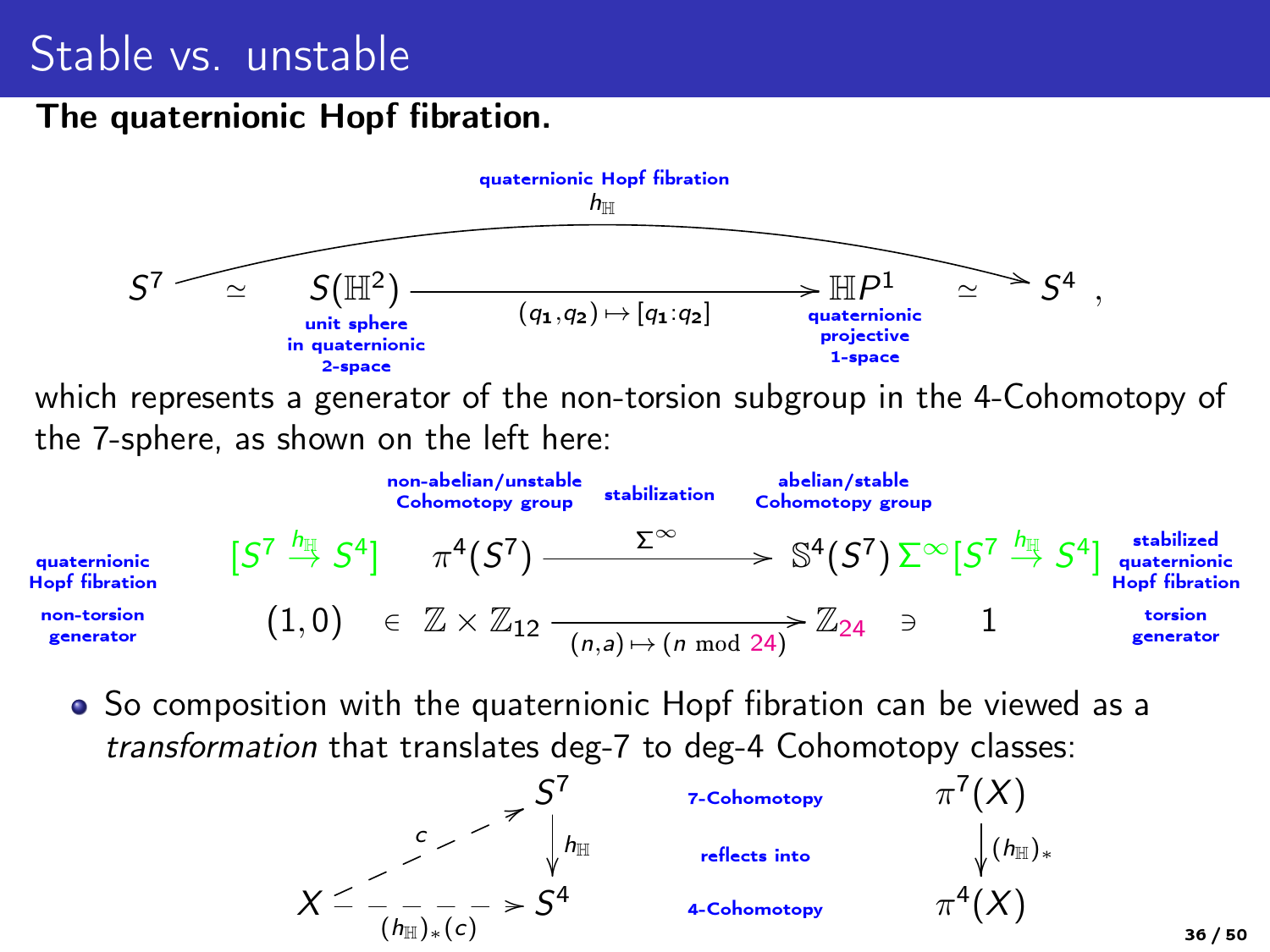## Stable vs. unstable

#### The quaternionic Hopf fibration.



• So composition with the quaternionic Hopf fibration can be viewed as a transformation that translates deg-7 to deg-4 Cohomotopy classes:

![](_page_35_Figure_4.jpeg)

36 / 50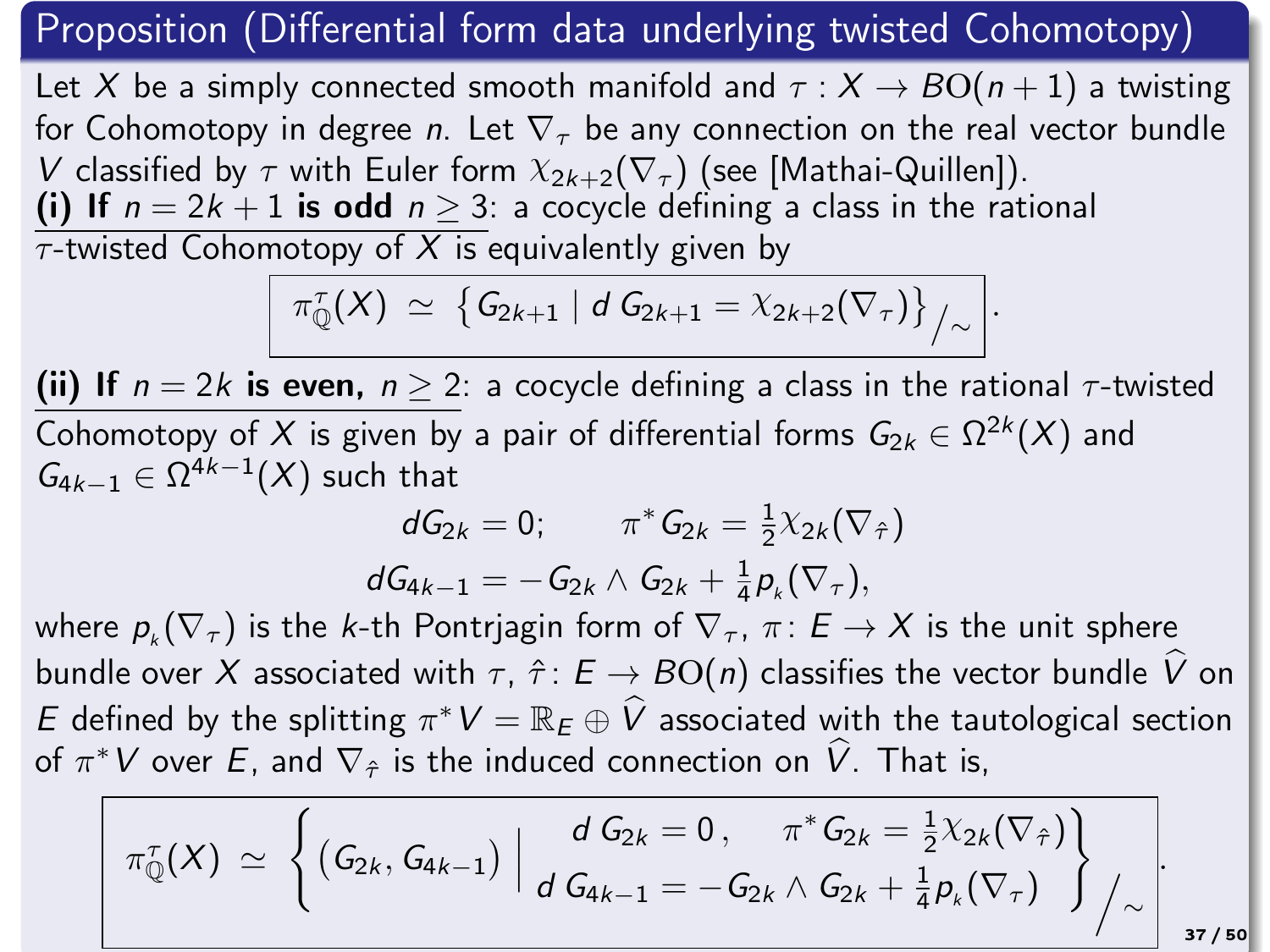### Proposition (Differential form data underlying twisted Cohomotopy)

Let X be a simply connected smooth manifold and  $\tau : X \to BO(n+1)$  a twisting for Cohomotopy in degree n. Let  $\nabla_{\tau}$  be any connection on the real vector bundle V classified by  $\tau$  with Euler form  $X_{2k+2}(\nabla_{\tau})$  (see [Mathai-Quillen]). (i) If  $n = 2k + 1$  is odd  $n \ge 3$ : a cocycle defining a class in the rational

 $\tau$ -twisted Cohomotopy of X is equivalently given by

$$
\pi_{\mathbb{Q}}^{\tau}(X) \; \simeq \; \big\{\,G_{2k+1} \mid d \; G_{2k+1} = \chi_{2k+2}(\nabla_{\tau})\big\}_{\big/\sim} \, \bigg|.
$$

(ii) If  $n = 2k$  is even,  $n \geq 2$ : a cocycle defining a class in the rational  $\tau$ -twisted Cohomotopy of X is given by a pair of differential forms  $G_{2k} \in \Omega^{2k}(X)$  and  $G_{4k-1} \in \Omega^{4k-1}(X)$  such that

$$
\begin{aligned} dG_{2k}=0; \qquad \pi^*G_{2k}=\tfrac{1}{2}\chi_{2k}(\nabla_{\hat{\tau}})\\ dG_{4k-1}=-G_{2k}\wedge G_{2k}+\tfrac{1}{4}p_k(\nabla_{\tau}),\end{aligned}
$$

where  $p_k(\nabla_\tau)$  is the k-th Pontrjagin form of  $\nabla_\tau$ ,  $\pi\colon E\to X$  is the unit sphere bundle over X associated with  $\tau$ ,  $\hat{\tau}$ :  $E \rightarrow BO(n)$  classifies the vector bundle  $\hat{V}$  on E defined by the splitting  $\pi^* V = \mathbb{R}_E \oplus \widehat{V}$  associated with the tautological section of  $\pi^*V$  over E, and  $\nabla_{\hat{\tau}}$  is the induced connection on  $\hat{V}$ . That is,

$$
\pi_{\mathbb{Q}}^{\tau}(X) \simeq \left\{ (G_{2k}, G_{4k-1}) \middle| \frac{d G_{2k} = 0, \pi^* G_{2k} = \frac{1}{2} \chi_{2k}(\nabla_{\hat{\tau}}) \right\}_{\Lambda \text{ST}/50} \right\}_{d G_{4k-1}} = -G_{2k} \wedge G_{2k} + \frac{1}{4} p_k(\nabla_{\tau}) \right\}_{\Lambda \text{ST}/50}
$$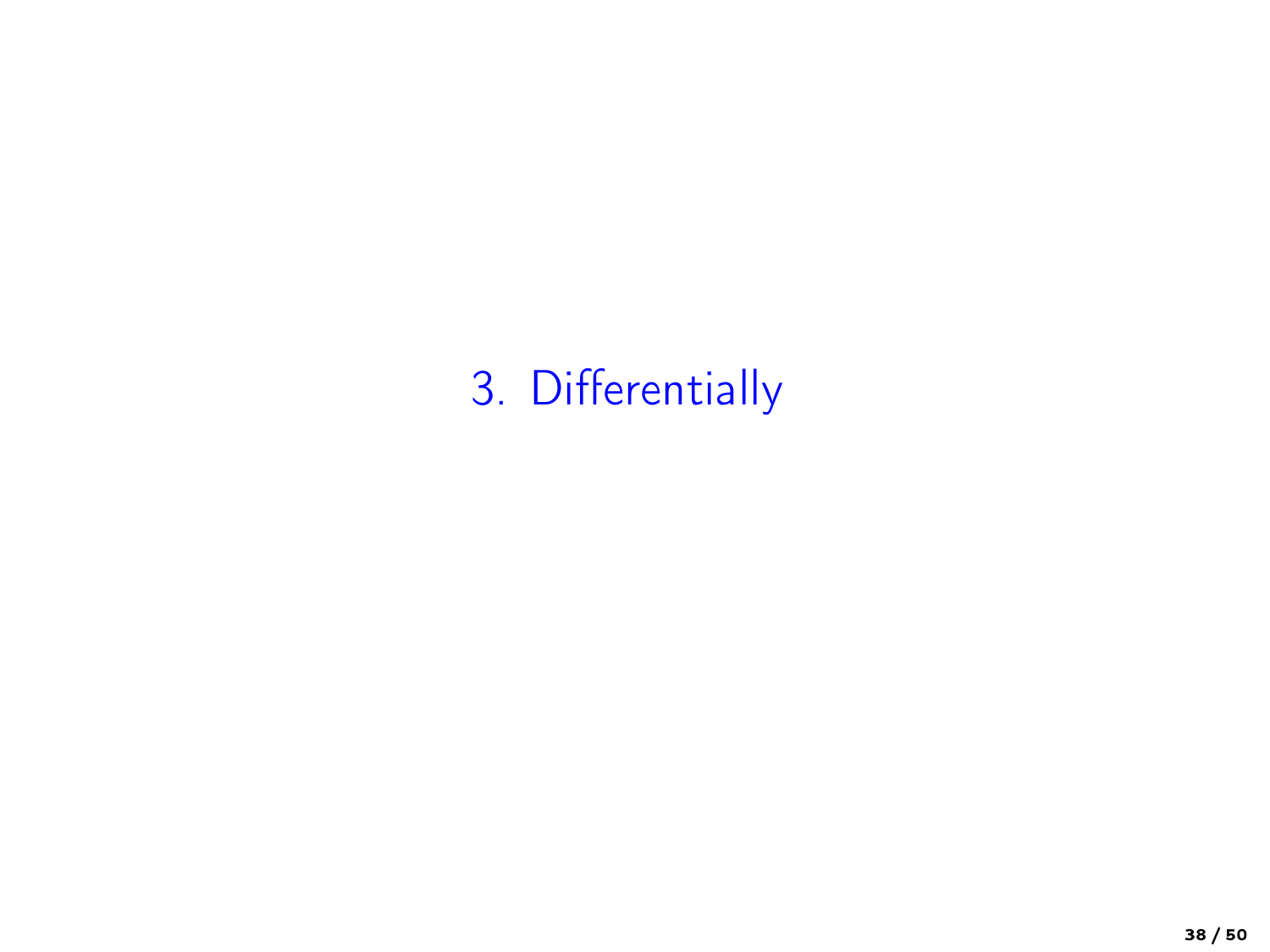# 3. Differentially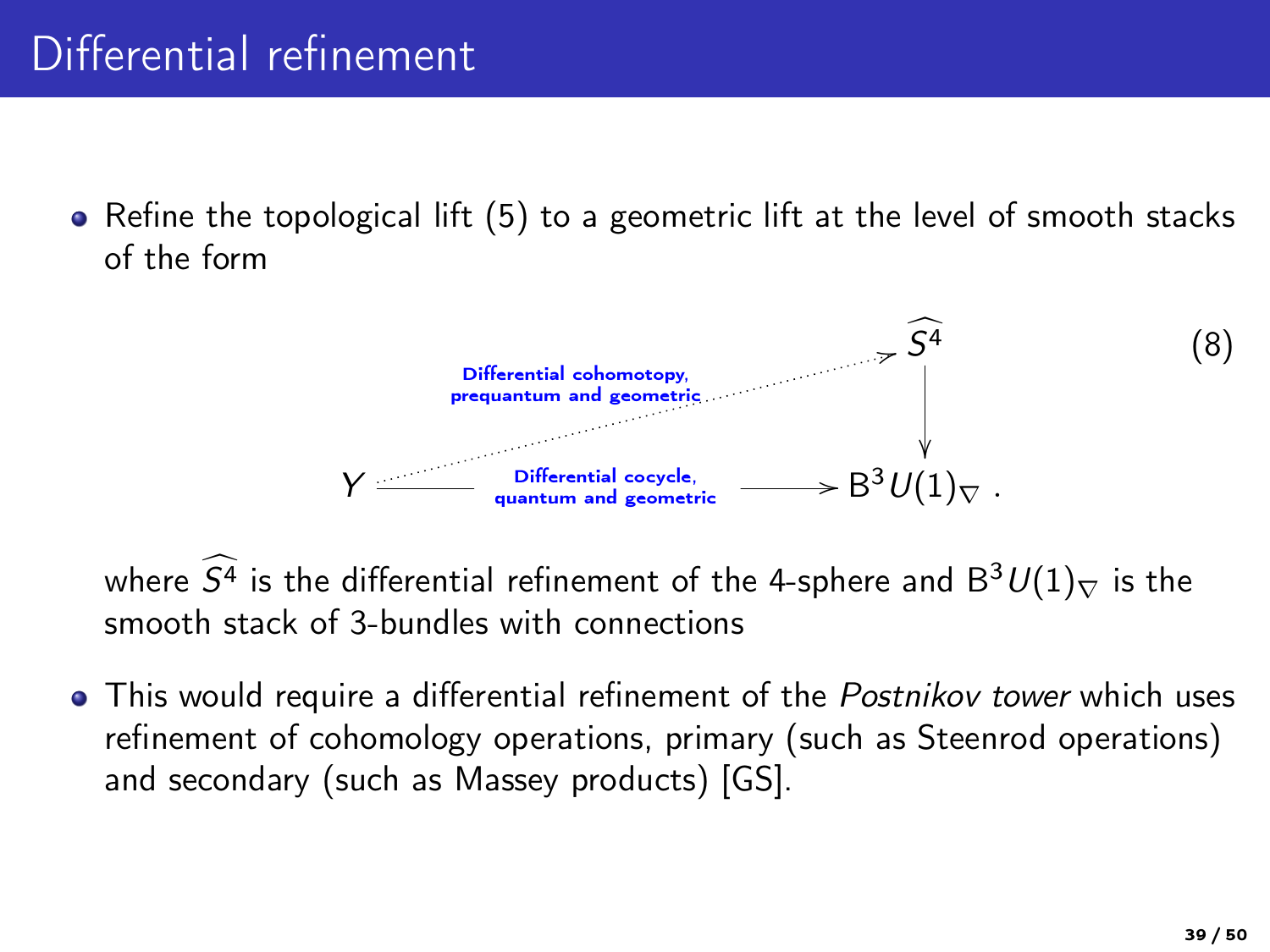# Differential refinement

 $\bullet$  Refine the topological lift [\(5\)](#page-24-0) to a geometric lift at the level of smooth stacks of the form

![](_page_38_Figure_2.jpeg)

where  $\widehat{S}^4$  is the differential refinement of the 4-sphere and  $B^3U(1)_\nabla$  is the smooth stack of 3-bundles with connections

• This would require a differential refinement of the Postnikov tower which uses refinement of cohomology operations, primary (such as Steenrod operations) and secondary (such as Massey products) [GS].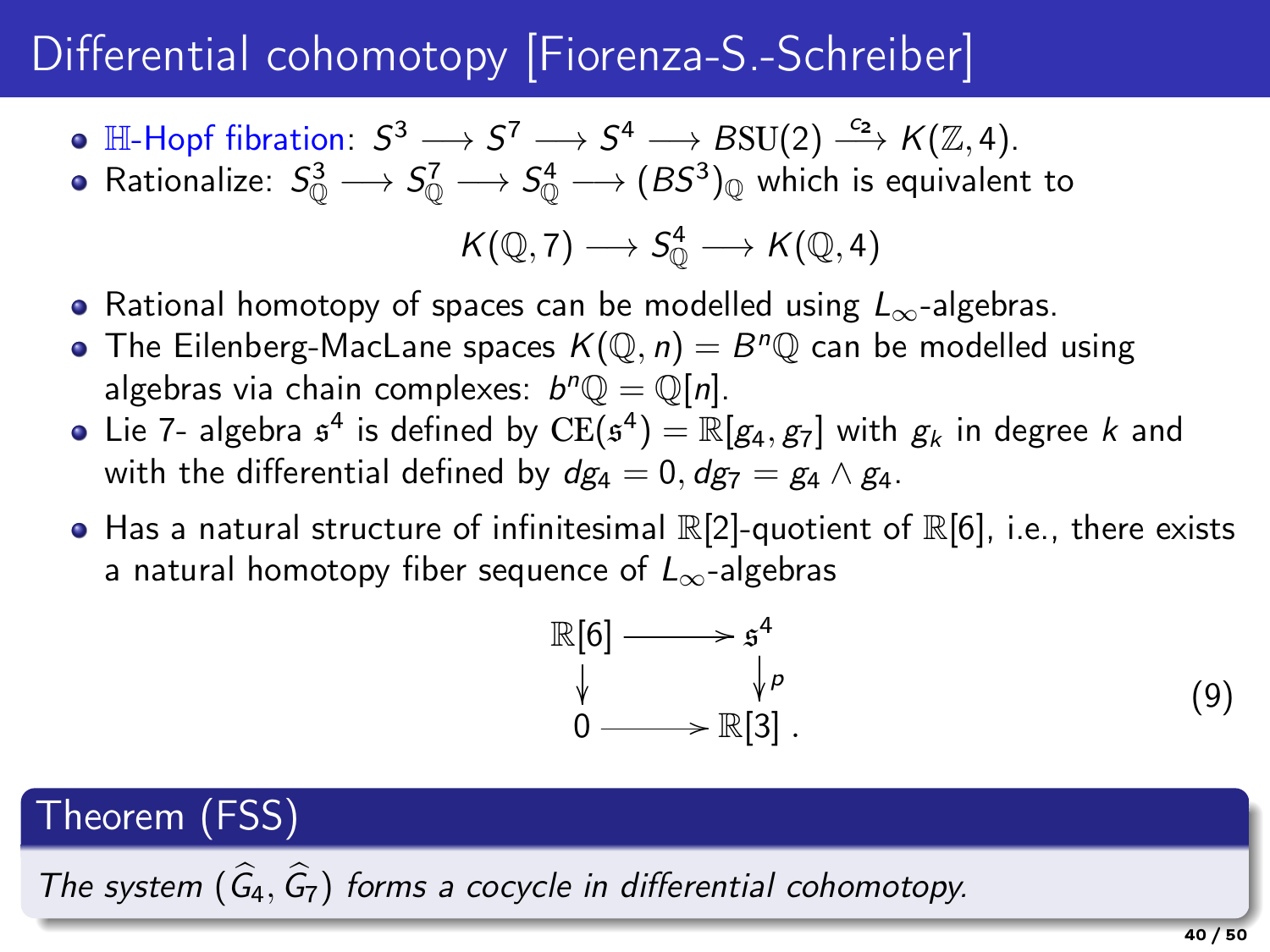# Differential cohomotopy [Fiorenza-S.-Schreiber]

- $\mathbb{H}\text{-}\mathsf{Hopf} \text{ fibration}\colon\thinspace \mathcal{S}^3\longrightarrow \mathcal{S}^7\longrightarrow \mathcal{S}^4\longrightarrow B\mathrm{SU}(2)\stackrel{c_2}\longrightarrow \mathcal{K}(\mathbb{Z},4).$
- Rationalize:  $S^3_0 \longrightarrow S^7_0 \longrightarrow S^4_0 \longrightarrow (BS^3)_\mathbb{Q}$  which is equivalent to  $K(\mathbb{Q}, 7) \longrightarrow S^4_{\mathbb{Q}} \longrightarrow K(\mathbb{Q}, 4)$
- Rational homotopy of spaces can be modelled using  $L_{\infty}$ -algebras.
- The Eilenberg-MacLane spaces  $K(\mathbb{Q}, n) = B^n \mathbb{Q}$  can be modelled using algebras via chain complexes:  $b^n Q = \mathbb{Q}[n]$ .
- Lie 7- algebra  $\mathfrak{s}^4$  is defined by  $\mathrm{CE}(\mathfrak{s}^4)=\mathbb{R}[g_4,g_7]$  with  $g_k$  in degree k and with the differential defined by  $d\mathbf{g}_4 = 0$ ,  $d\mathbf{g}_7 = \mathbf{g}_4 \wedge \mathbf{g}_4$ .
- $\bullet$  Has a natural structure of infinitesimal  $\mathbb{R}[2]$ -quotient of  $\mathbb{R}[6]$ , i.e., there exists a natural homotopy fiber sequence of  $L_{\infty}$ -algebras

$$
\begin{array}{ccc}\n\mathbb{R}[6] & \longrightarrow & \mathfrak{s}^4 \\
\downarrow & & \downarrow \rho \\
0 & \longrightarrow & \mathbb{R}[3]\n\end{array} \tag{9}
$$

## Theorem (FSS)

The system  $(\widehat{G}_4, \widehat{G}_7)$  forms a cocycle in differential cohomotopy.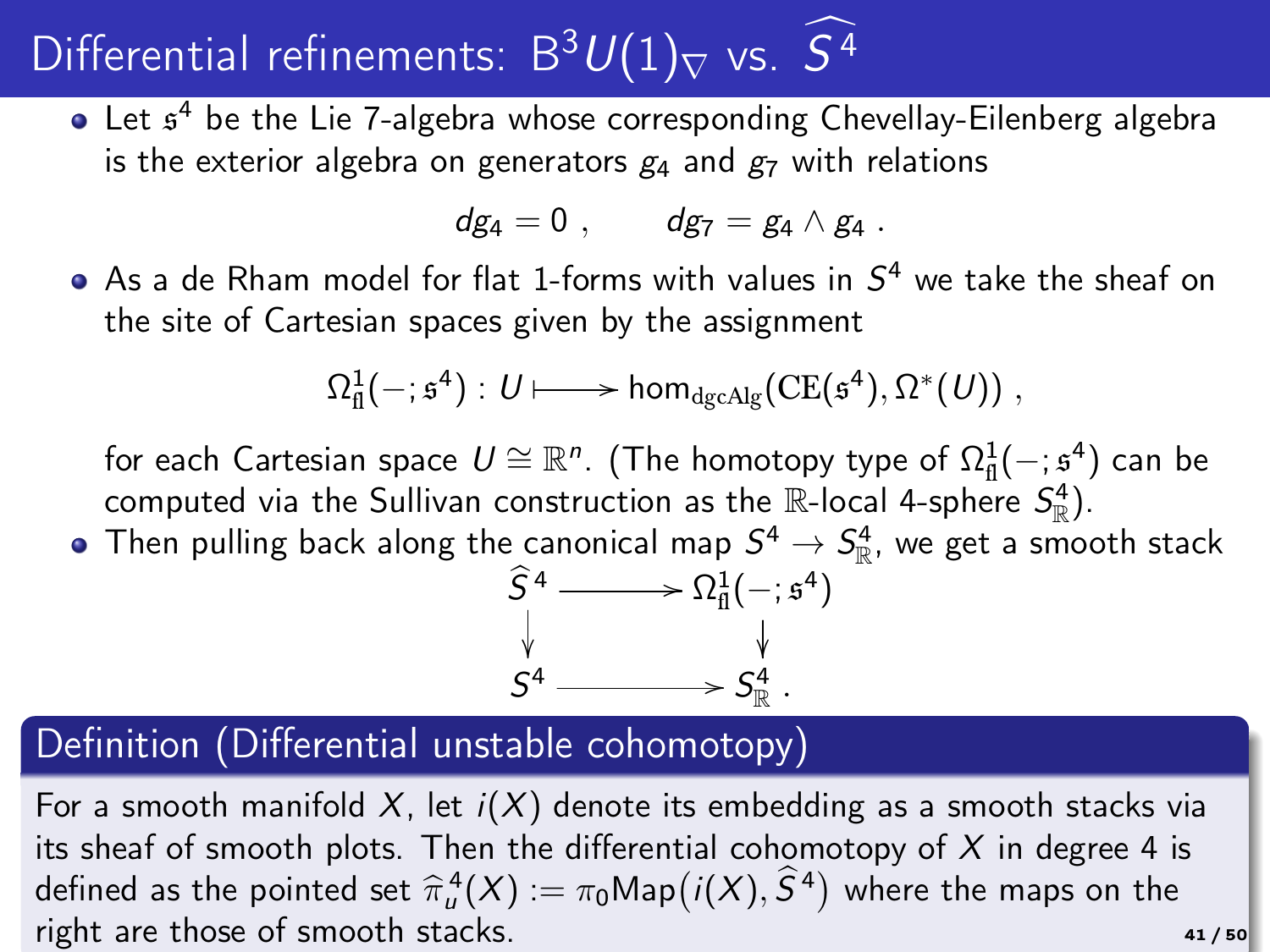# Differential refinements:  $B^3U(1)_\nabla$  vs.  $S^4$

Let  $\mathfrak{s}^4$  be the Lie 7-algebra whose corresponding Chevellay-Eilenberg algebra is the exterior algebra on generators  $g_4$  and  $g_7$  with relations

$$
dg_4=0\ ,\qquad dg_7=g_4\wedge g_4\ .
$$

As a de Rham model for flat 1-forms with values in  $S^4$  we take the sheaf on the site of Cartesian spaces given by the assignment

$$
\Omega^1_{\mathrm{fl}}(-;\mathfrak{s}^4):U\longmapsto \mathsf{hom}_{\mathsf{dgcAlg}}(\mathsf{CE}(\mathfrak{s}^4),\Omega^*(U))\;,
$$

for each Cartesian space  $U \cong \mathbb{R}^n$ . (The homotopy type of  $\Omega^1_\mathrm{fl}(-;\mathfrak{s}^4)$  can be for each carcesian space  $\sigma = \infty$ . (The nonlotopy type of  $\Omega_{\text{fl}}(\cdot, \vec{z})$ ).

Then pulling back along the canonical map  $S^4\to S^4_\mathbb{R}$ , we get a smooth stack

![](_page_40_Figure_7.jpeg)

### Definition (Differential unstable cohomotopy)

For a smooth manifold  $X$ , let  $i(X)$  denote its embedding as a smooth stacks via its sheaf of smooth plots. Then the differential cohomotopy of  $X$  in degree 4 is defined as the pointed set  $\hat{\pi}_{\mu}^4(X) := \pi_0 \text{Map}\big(i(X), \hat{S}^4\big)$  where the maps on the right are those of smooth stacks.  $41 / 50$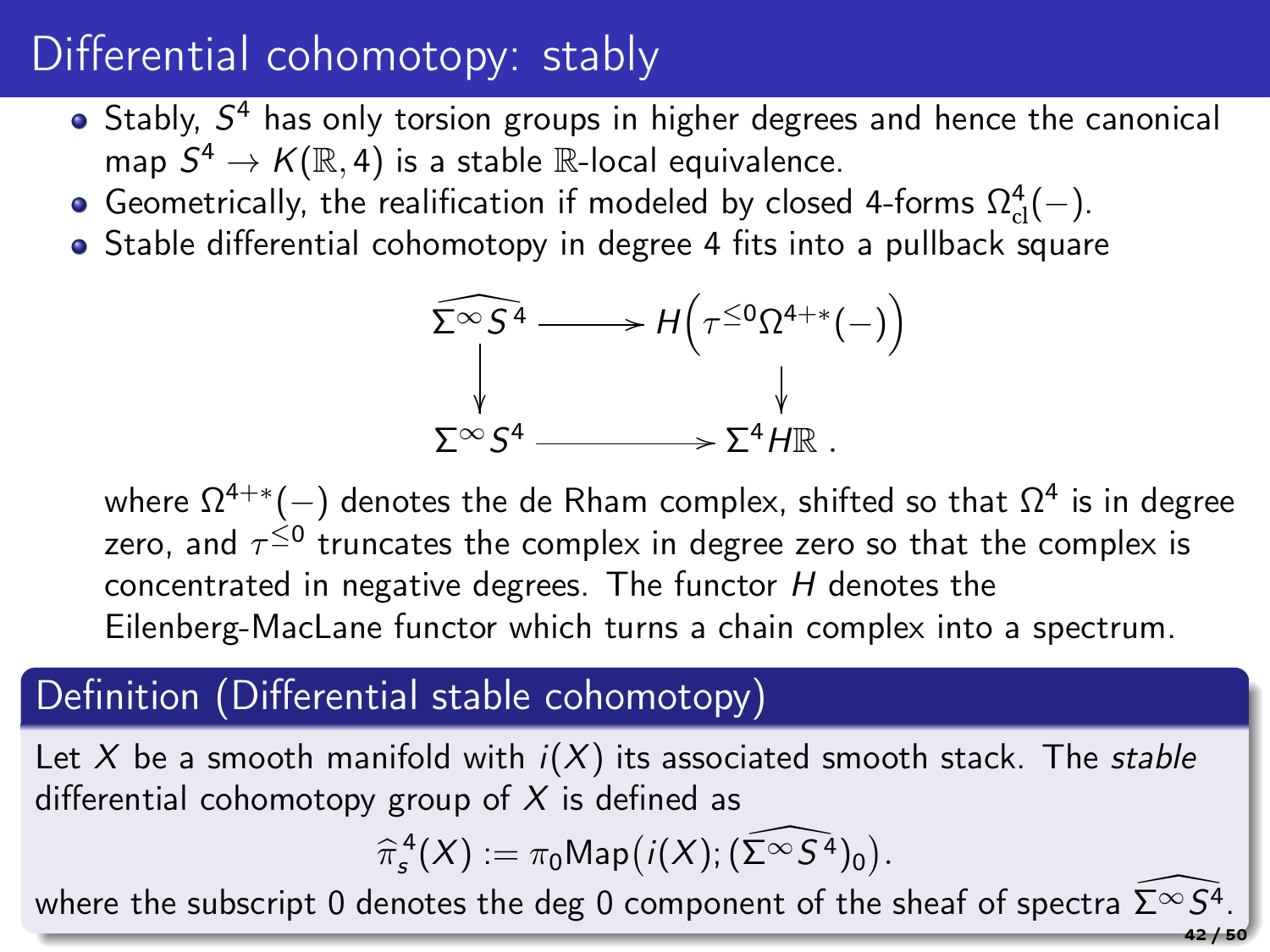## Differential cohomotopy: stably

- Stably, S <sup>4</sup> has only torsion groups in higher degrees and hence the canonical map  $S^4 \to K(\mathbb{R},4)$  is a stable  $\mathbb{R}$ -local equivalence.
- Geometrically, the realification if modeled by closed 4-forms  $\Omega_{\text{cl}}^4(-)$ .
- Stable differential cohomotopy in degree 4 fits into a pullback square

$$
\begin{aligned}\n\widehat{\Sigma^{\infty}S^4} &\longrightarrow H\left(\tau^{\leq 0}\Omega^{4+\ast}(-)\right) \\
&\downarrow \qquad \qquad \downarrow \\
\Sigma^{\infty}S^4 &\longrightarrow \Sigma^4 H\mathbb{R}.\n\end{aligned}
$$

where  $\Omega^{4+*}(-)$  denotes the de Rham complex, shifted so that  $\Omega^4$  is in degree zero, and  $\tau^{\leq 0}$  truncates the complex in degree zero so that the complex is concentrated in negative degrees. The functor H denotes the Eilenberg-MacLane functor which turns a chain complex into a spectrum.

### Definition (Differential stable cohomotopy)

Let X be a smooth manifold with  $i(X)$  its associated smooth stack. The stable differential cohomotopy group of  $X$  is defined as

$$
\widehat{\pi}^4_s(X) := \pi_0 \text{Map}\big(i(X); (\widehat{\Sigma^{\infty} S^4})_0\big).
$$

 $\widehat{\pi}^{\,4}_s(X) := \pi_0 \mathsf{Map}\big(i(X); (\Sigma^{\infty} S^4)_0\big).$ where the subscript 0 denotes the deg 0 component of the sheaf of spectra  $\widehat{\Sigma^{\infty} S^4}.$ 

42 / 50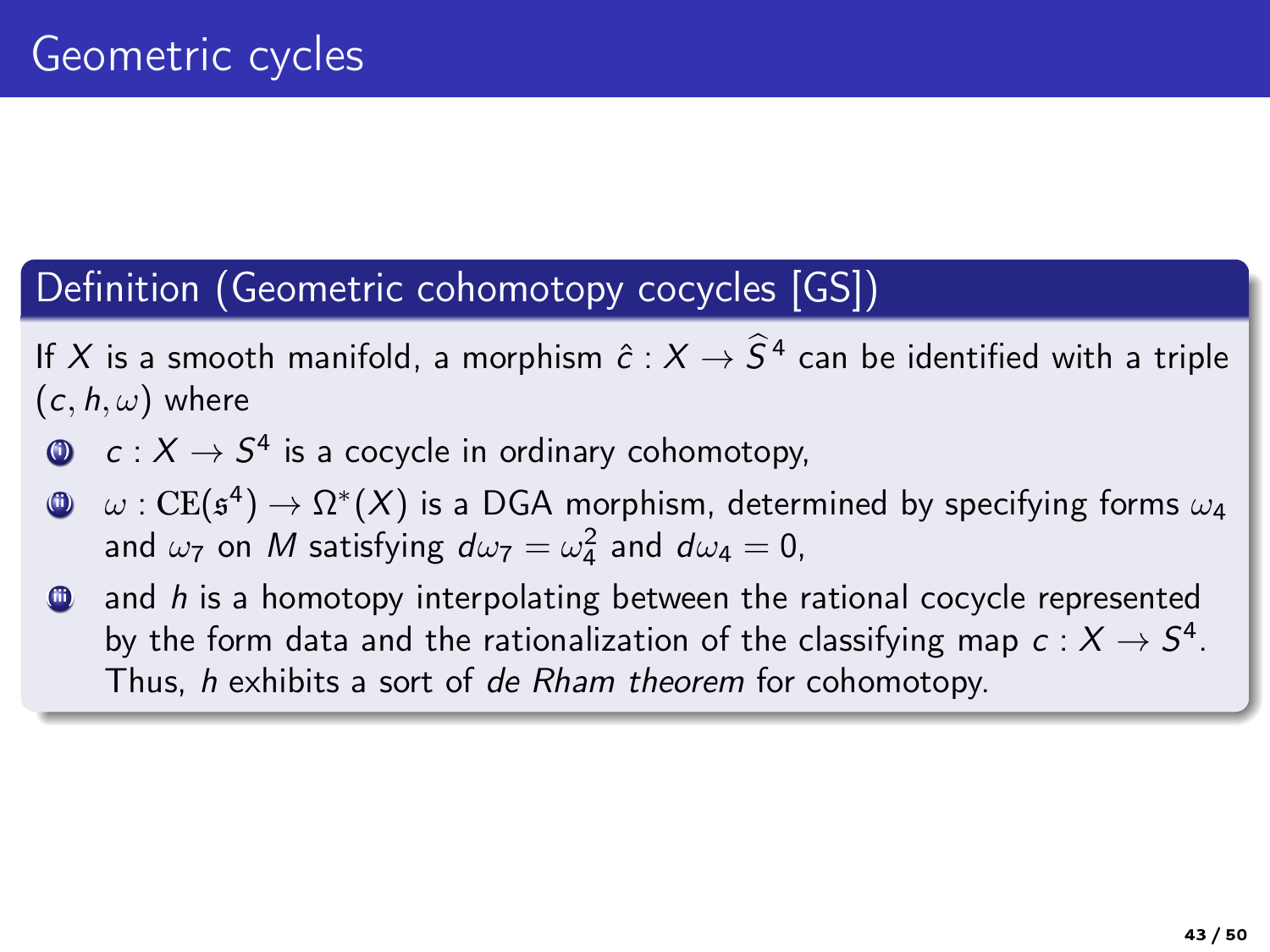### Definition (Geometric cohomotopy cocycles [GS])

If X is a smooth manifold, a morphism  $\hat{c}: X \to \overline{S}^4$  can be identified with a triple  $(c, h, \omega)$  where

- $\quad \bullet \quad c : X \to S^4$  is a cocycle in ordinary cohomotopy,
- (ii) ω : CE(s 4 ) → Ω ∗ (X) is a DGA morphism, determined by specifying forms ω<sup>4</sup> and  $\omega_7$  on  $M$  satisfying  $d\omega_7 = \omega_4^2$  and  $d\omega_4 = 0$ ,
- and  $h$  is a homotopy interpolating between the rational cocycle represented by the form data and the rationalization of the classifying map  $\,c: X \rightarrow S^4.$ Thus, h exhibits a sort of de Rham theorem for cohomotopy.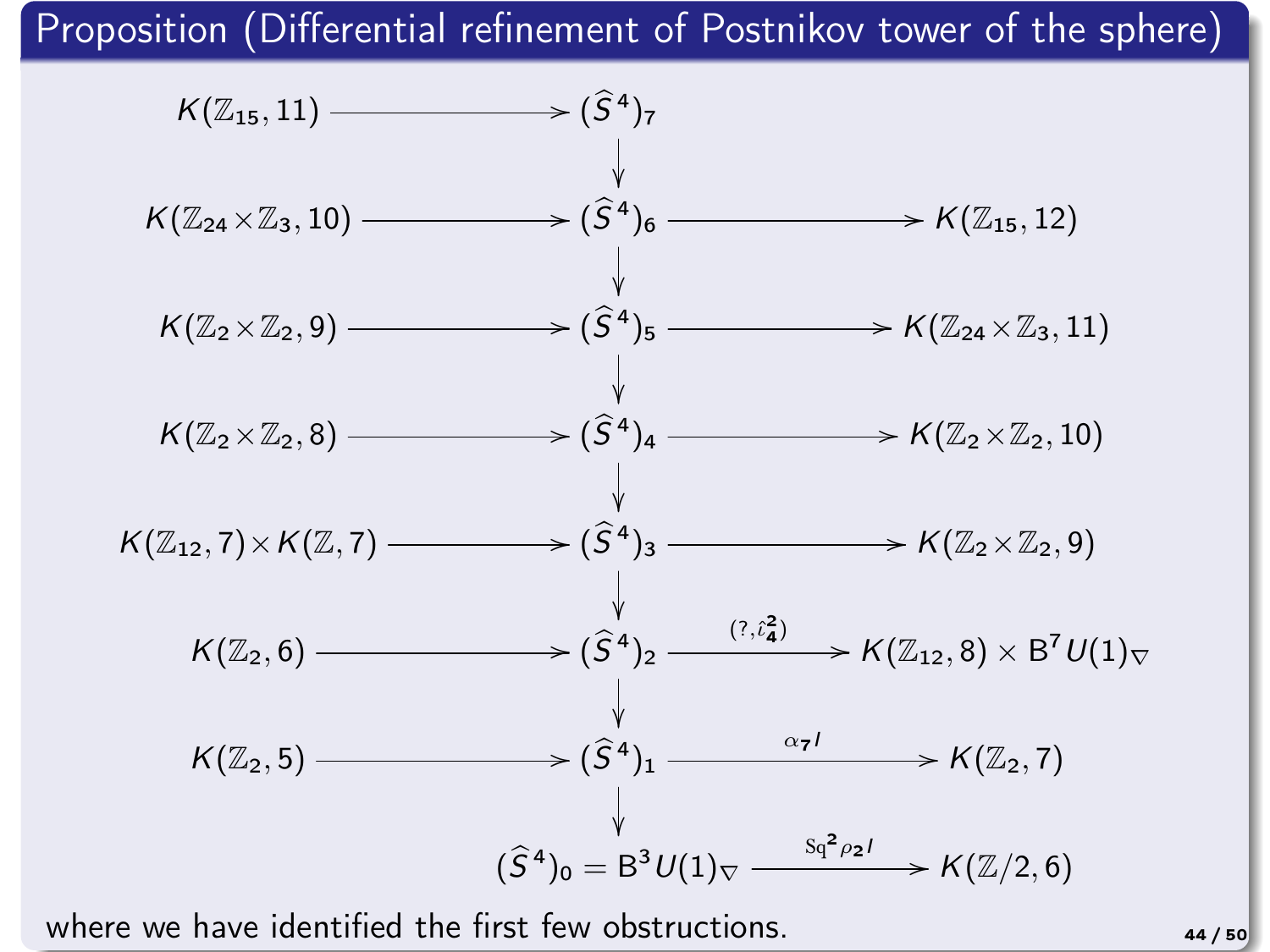Proposition (Differential refinement of Postnikov tower of the sphere)

![](_page_43_Figure_1.jpeg)

where we have identified the first few obstructions.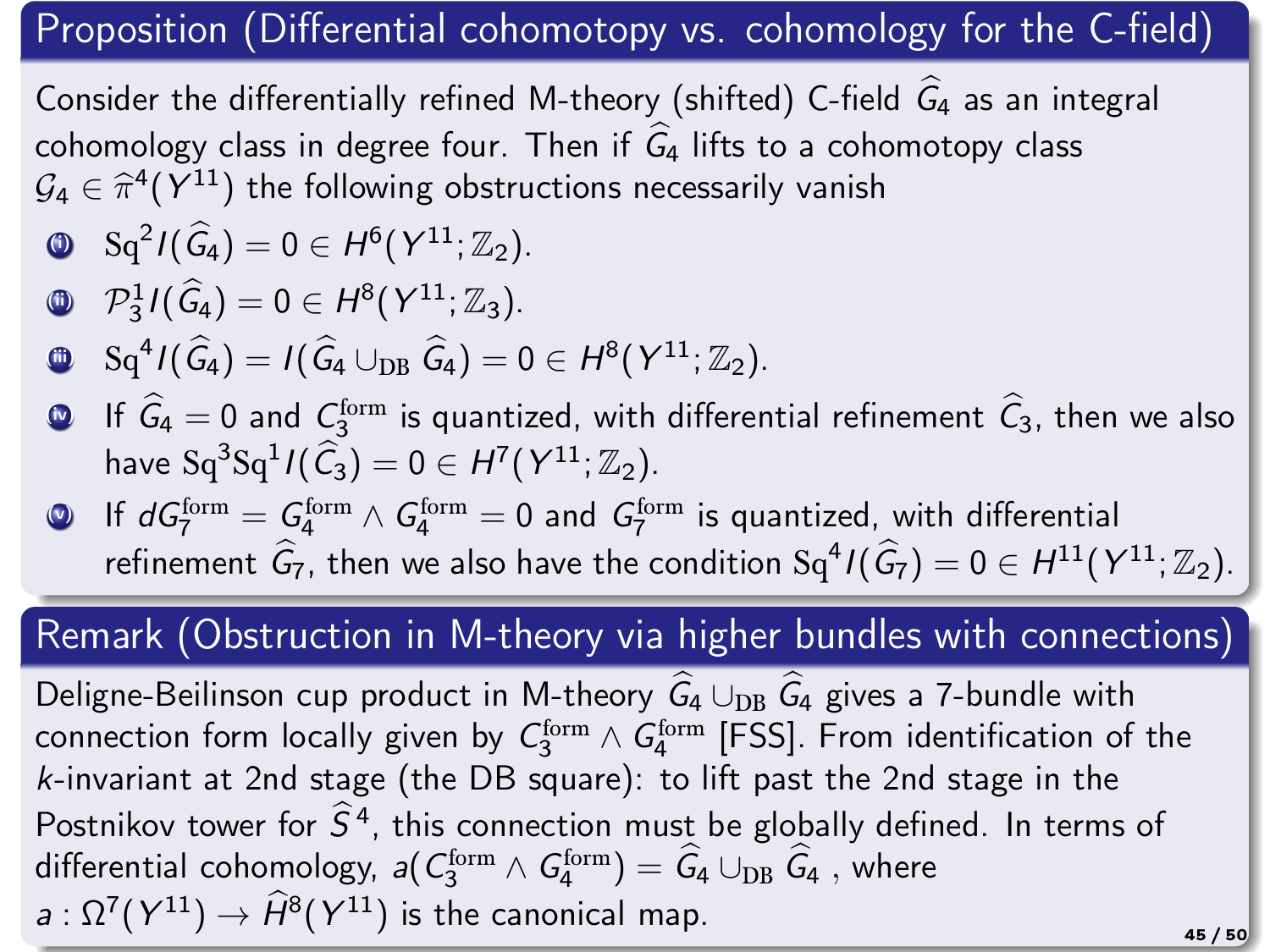### Proposition (Differential cohomotopy vs. cohomology for the C-field)

Consider the differentially refined M-theory (shifted) C-field  $\hat{G}_4$  as an integral cohomology class in degree four. Then if  $G_4$  lifts to a cohomotopy class  $\mathcal{G}_4 \in \hat{\pi}^4(\mathcal{Y}^{11})$  the following obstructions necessarily vanish

$$
\bullet \quad \mathrm{Sq}^2 I(\widehat{\mathcal{G}}_4) = 0 \in H^6(Y^{11};\mathbb{Z}_2).
$$

$$
\mathbf{I} \quad \mathcal{P}_3^1 I(\widehat{G}_4) = 0 \in H^8(Y^{11}; \mathbb{Z}_3).
$$

- **(i)**  $\mathrm{Sq}^4 I(\widehat{G}_4) = I(\widehat{G}_4 \cup_{\mathrm{DB}} \widehat{G}_4) = 0 \in H^8(Y^{11}; \mathbb{Z}_2).$
- **1** If  $G_4 = 0$  and  $C_3^{\text{form}}$  is quantized, with differential refinement  $C_3$ , then we also have  $\operatorname{Sq}^3 \operatorname{Sq}^1 I(\widehat{\mathcal{C}}_3) = 0 \in H^7(Y^{11}; \mathbb{Z}_2).$
- $\bullet$  If  $dG_7^{\rm form} = \mathcal{G}_4^{\rm form} \wedge G_4^{\rm form} = 0$  and  $G_7^{\rm form}$  is quantized, with differential refinement  $\widehat{G}_7$ , then we also have the condition  $\text{Sq}^4\text{I}(\widehat{G}_7) = 0 \in H^{11}(Y^{11}; \mathbb{Z}_2).$

### Remark (Obstruction in M-theory via higher bundles with connections)

Deligne-Beilinson cup product in M-theory  $\widehat{G}_4 \cup_{\text{DR}} \widehat{G}_4$  gives a 7-bundle with connection form locally given by  $\mathcal{C}_3^\text{form} \wedge \mathcal{G}_4^\text{form}$  [FSS]. From identification of the k-invariant at 2nd stage (the DB square): to lift past the 2nd stage in the Postnikov tower for  $\hat{S}^4$ , this connection must be globally defined. In terms of differential cohomology,  $a(C_3^{\text{form}} \wedge G_4^{\text{form}}) = \hat{G}_4 \cup_{\text{DB}} \hat{G}_4$  , where  $a:\Omega^7(Y^{11})\to \widehat{H}^8(Y^{11})$  is the canonical map.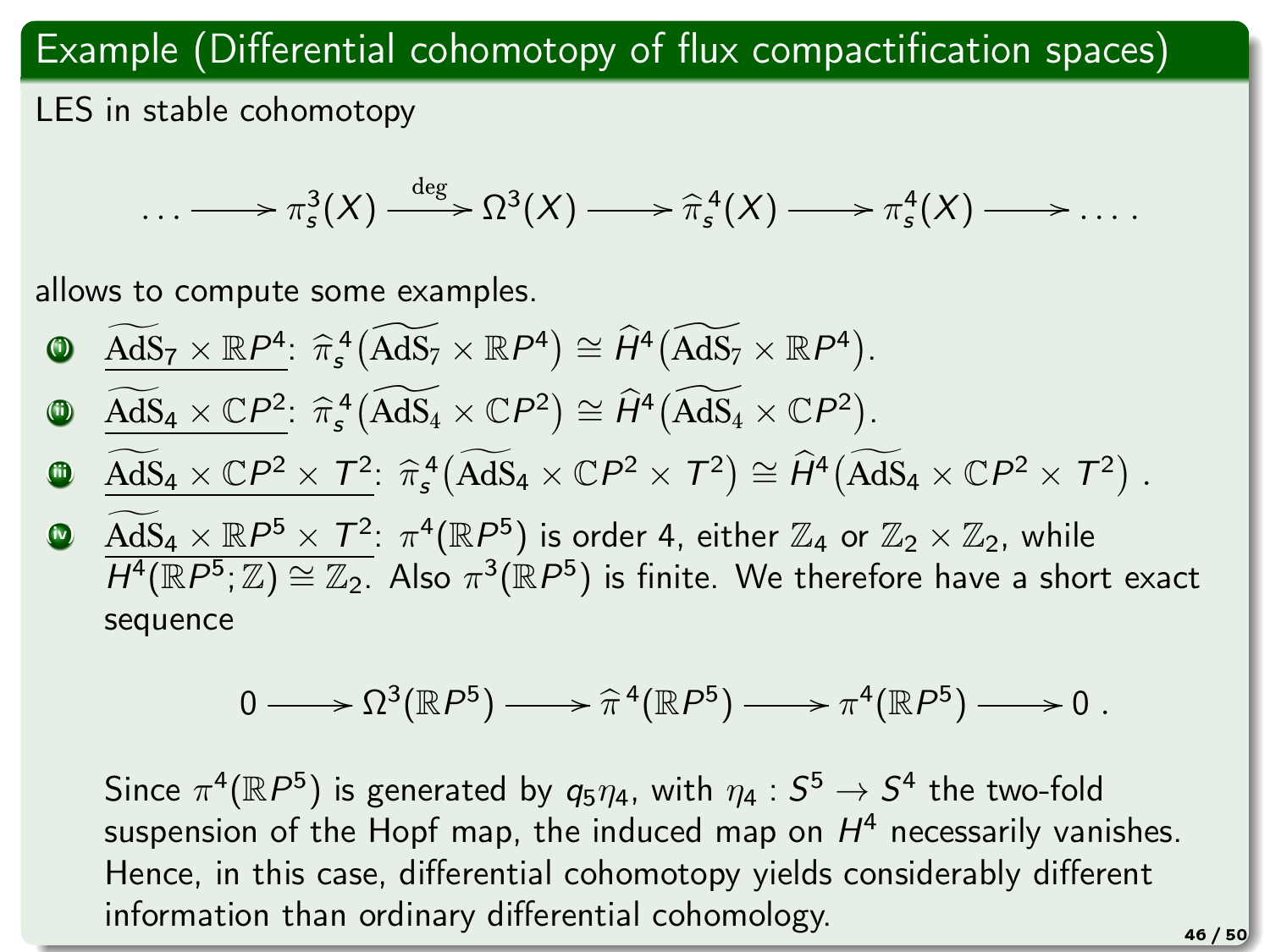### Example (Differential cohomotopy of flux compactification spaces)

LES in stable cohomotopy

$$
\ldots \longrightarrow \pi_s^3(X) \xrightarrow{\deg} \Omega^3(X) \longrightarrow \widehat{\pi}_s^4(X) \longrightarrow \pi_s^4(X) \longrightarrow \ldots
$$

allows to compute some examples.

\n- \n
$$
\begin{array}{ll}\n \text{AdS}_7 \times \mathbb{R}P^4 & \hat{\pi}_s^4 \left( \widehat{\text{AdS}}_7 \times \mathbb{R}P^4 \right) \cong \hat{H}^4 \left( \widehat{\text{AdS}}_7 \times \mathbb{R}P^4 \right) \\
 \text{AAS}_4 \times \mathbb{C}P^2 & \hat{\pi}_s^4 \left( \widehat{\text{AdS}}_4 \times \mathbb{C}P^2 \right) \cong \hat{H}^4 \left( \widehat{\text{AdS}}_4 \times \mathbb{C}P^2 \right) \\
 \end{array}
$$
\n
\n

$$
\underbrace{\widetilde{AdS}_4\times \mathbb{C}P^2\times T^2}_{\textcolor{red}{\widetilde{\text{MS}}_4\times \mathbb{C}P^2}}\cdot \widehat{\pi}^4_s\big(\widetilde{AdS}_4\times \mathbb{C}P^2\times \mathcal{T}^2\big)\cong \widehat{H}^4\big(\widetilde{AdS}_4\times \mathbb{C}P^2\times \mathcal{T}^2\big)\;.
$$

**9**  $\overline{AdS_4 \times \mathbb{R} P^5 \times T^2}$ :  $\pi^4(\mathbb{R} P^5)$  is order 4, either  $\mathbb{Z}_4$  or  $\mathbb{Z}_2 \times \mathbb{Z}_2$ , while  $\overline{H^4(\mathbb{R}P^5;\mathbb{Z})\cong \mathbb{Z}_2}$ . Also  $\pi^3(\mathbb{R}P^5)$  is finite. We therefore have a short exact sequence

$$
0 \longrightarrow \Omega^3(\mathbb{R}P^5) \longrightarrow \hat{\pi}^4(\mathbb{R}P^5) \longrightarrow \pi^4(\mathbb{R}P^5) \longrightarrow 0.
$$

Since  $\pi^4(\mathbb{R}P^5)$  is generated by  $q_5\eta_4$ , with  $\eta_4:S^5\to S^4$  the two-fold suspension of the Hopf map, the induced map on  $H^4$  necessarily vanishes. Hence, in this case, differential cohomotopy yields considerably different information than ordinary differential cohomology.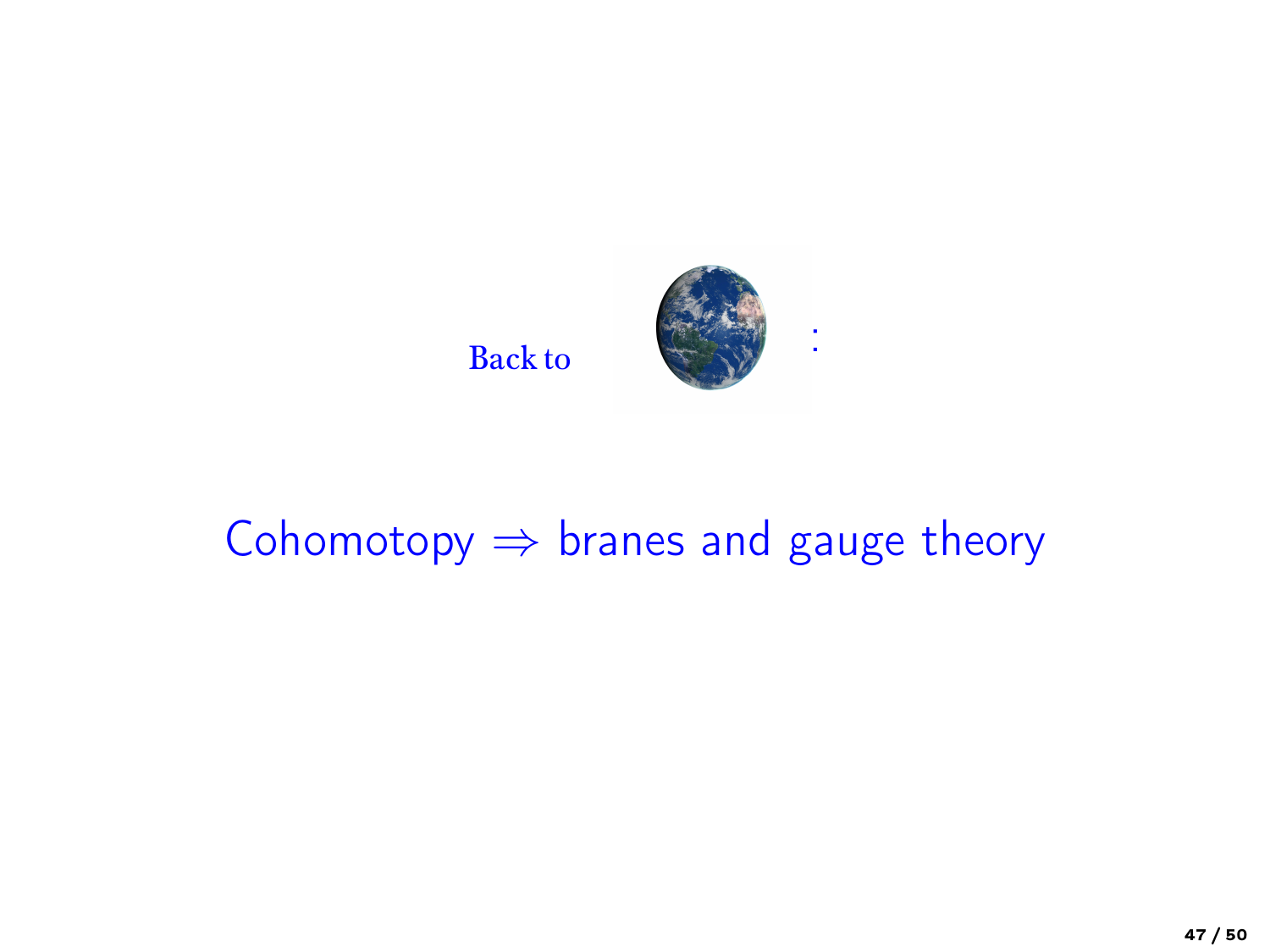![](_page_46_Picture_0.jpeg)

## Cohomotopy  $\Rightarrow$  branes and gauge theory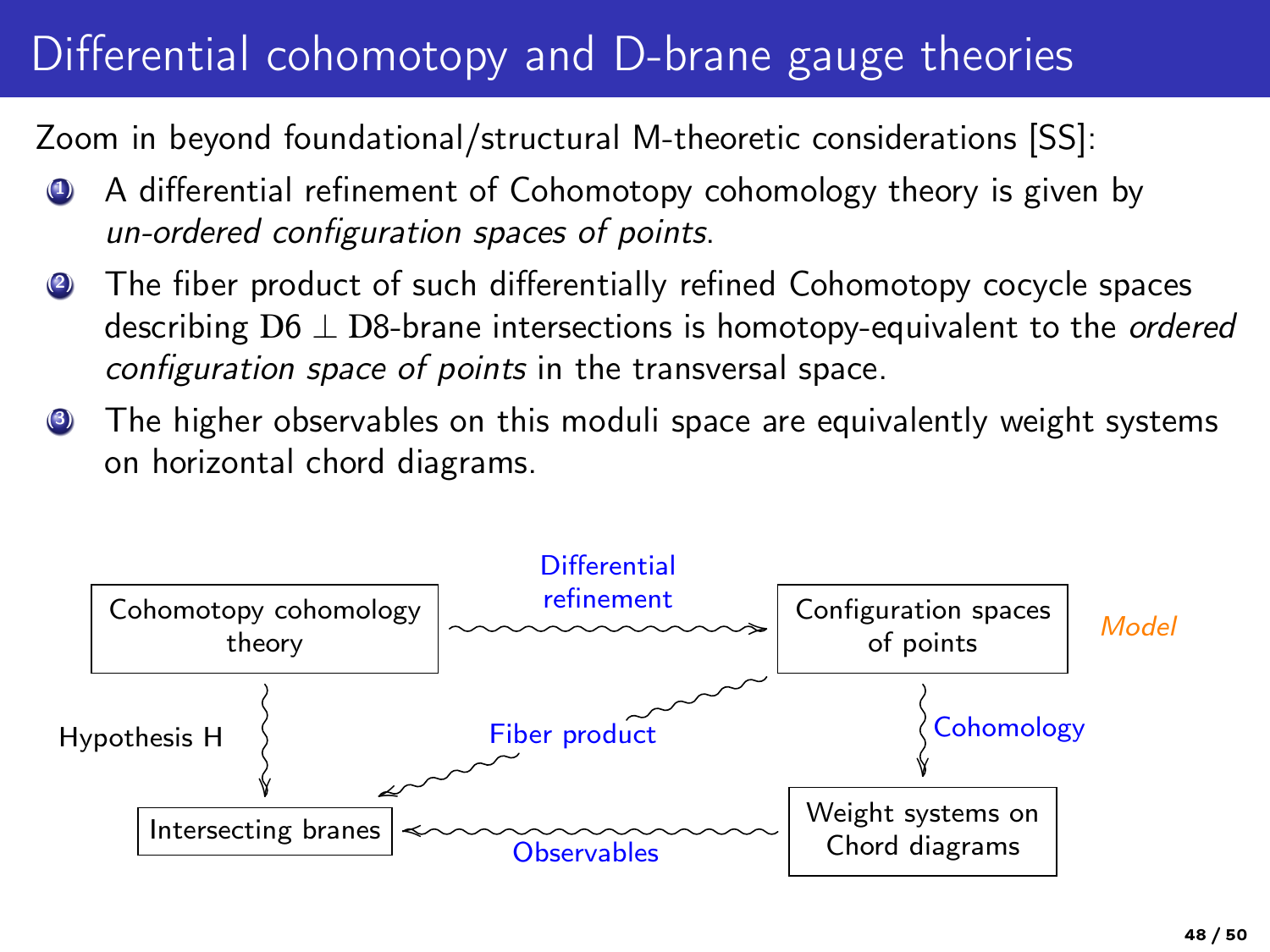# Differential cohomotopy and D-brane gauge theories

Zoom in beyond foundational/structural M-theoretic considerations [SS]:

- A differential refinement of Cohomotopy cohomology theory is given by un-ordered configuration spaces of points.
- The fiber product of such differentially refined Cohomotopy cocycle spaces describing  $D6 \perp D8$ -brane intersections is homotopy-equivalent to the *ordered* configuration space of points in the transversal space.
- The higher observables on this moduli space are equivalently weight systems on horizontal chord diagrams.

![](_page_47_Figure_5.jpeg)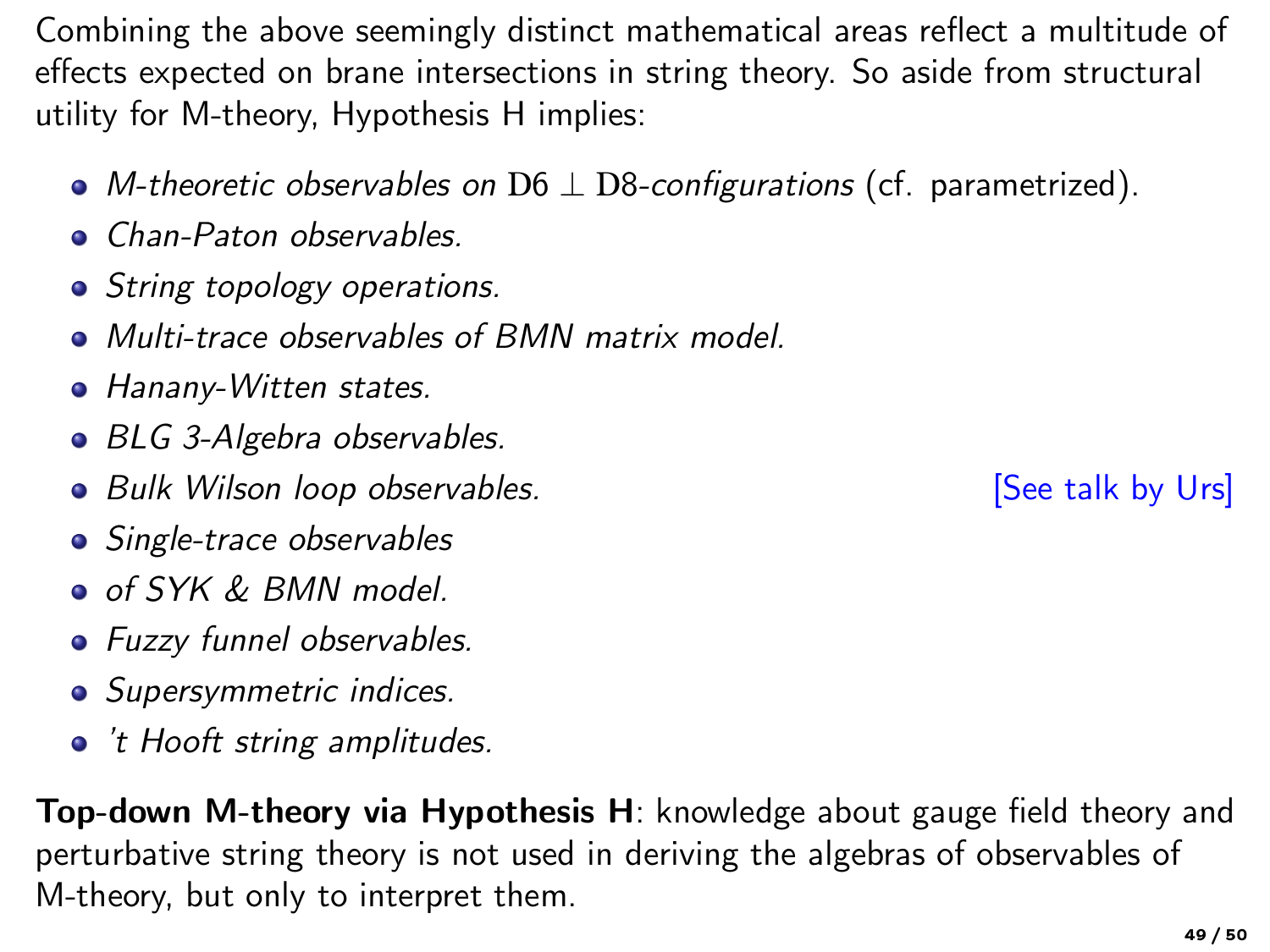Combining the above seemingly distinct mathematical areas reflect a multitude of effects expected on brane intersections in string theory. So aside from structural utility for M-theory, Hypothesis H implies:

- M-theoretic observables on  $D6 \perp D8$ -configurations (cf. parametrized).
- **Chan-Paton observables.**
- String topology operations.
- Multi-trace observables of BMN matrix model.
- Hanany-Witten states.
- BLG 3-Algebra observables.
- Bulk Wilson loop observables. The state of the state of See talk by Urs]
- Single-trace observables
- o of SYK & BMN model.
- **•** Fuzzy funnel observables.
- Supersymmetric indices.
- 't Hooft string amplitudes.

Top-down M-theory via [Hypothesis H](#page-23-0): knowledge about gauge field theory and perturbative string theory is not used in deriving the algebras of observables of M-theory, but only to interpret them.